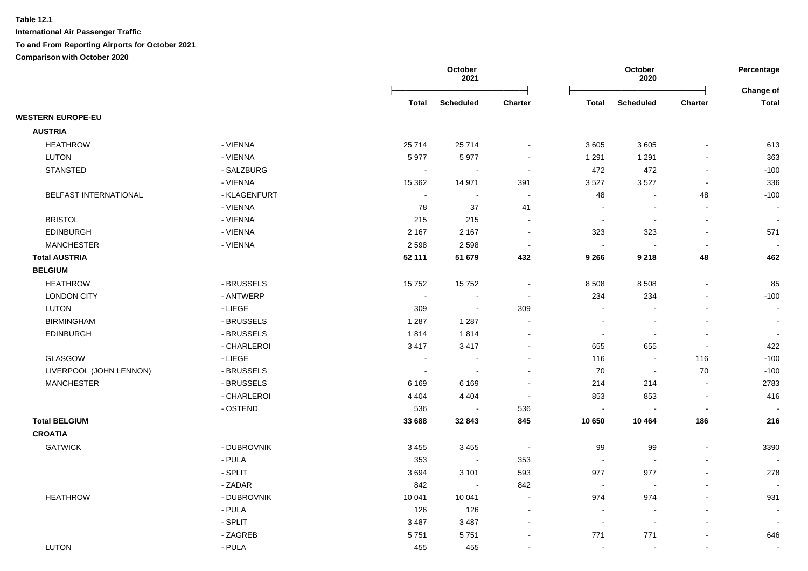|                          |              |         | October<br>2021          |                |                          | October<br>2020          |                          | Percentage<br>Change of  |
|--------------------------|--------------|---------|--------------------------|----------------|--------------------------|--------------------------|--------------------------|--------------------------|
|                          |              | Total   | <b>Scheduled</b>         | <b>Charter</b> | Total                    | <b>Scheduled</b>         | <b>Charter</b>           | <b>Total</b>             |
| <b>WESTERN EUROPE-EU</b> |              |         |                          |                |                          |                          |                          |                          |
| <b>AUSTRIA</b>           |              |         |                          |                |                          |                          |                          |                          |
| <b>HEATHROW</b>          | - VIENNA     | 25714   | 25 7 14                  | $\sim$         | 3 6 0 5                  | 3605                     |                          | 613                      |
| LUTON                    | - VIENNA     | 5977    | 5977                     |                | 1 2 9 1                  | 1 2 9 1                  |                          | 363                      |
| <b>STANSTED</b>          | - SALZBURG   | $\sim$  |                          | $\sim$         | 472                      | 472                      |                          | $-100$                   |
|                          | - VIENNA     | 15 3 62 | 14 971                   | 391            | 3527                     | 3527                     | $\blacksquare$           | 336                      |
| BELFAST INTERNATIONAL    | - KLAGENFURT | $\sim$  | $\sim$                   | $\sim$         | 48                       | $\overline{\phantom{a}}$ | 48                       | $-100$                   |
|                          | - VIENNA     | 78      | 37                       | 41             | $\overline{\phantom{a}}$ | $\blacksquare$           | $\sim$                   | $\sim$                   |
| <b>BRISTOL</b>           | - VIENNA     | 215     | 215                      | $\sim$         | $\overline{\phantom{a}}$ | $\blacksquare$           | $\sim$                   | $\Delta$                 |
| <b>EDINBURGH</b>         | - VIENNA     | 2 1 6 7 | 2 1 6 7                  | $\sim$         | 323                      | 323                      |                          | 571                      |
| <b>MANCHESTER</b>        | - VIENNA     | 2 5 9 8 | 2598                     | $\blacksquare$ | $\overline{\phantom{a}}$ |                          | $\overline{\phantom{a}}$ |                          |
| <b>Total AUSTRIA</b>     |              | 52 111  | 51 679                   | 432            | 9 2 6 6                  | 9 2 1 8                  | 48                       | 462                      |
| <b>BELGIUM</b>           |              |         |                          |                |                          |                          |                          |                          |
| <b>HEATHROW</b>          | - BRUSSELS   | 15752   | 15752                    | $\blacksquare$ | 8 5 0 8                  | 8 5 0 8                  | $\sim$                   | 85                       |
| <b>LONDON CITY</b>       | - ANTWERP    | $\sim$  | $\sim$                   | $\sim$         | 234                      | 234                      | $\sim$                   | $-100$                   |
| LUTON                    | $-LIEGE$     | 309     | $\sim$                   | 309            | $\sim$                   |                          |                          | $\sim$                   |
| <b>BIRMINGHAM</b>        | - BRUSSELS   | 1 2 8 7 | 1 2 8 7                  |                | $\sim$                   |                          |                          | $\overline{\phantom{a}}$ |
| <b>EDINBURGH</b>         | - BRUSSELS   | 1814    | 1814                     |                | $\overline{\phantom{a}}$ |                          |                          |                          |
|                          | - CHARLEROI  | 3417    | 3417                     |                | 655                      | 655                      | $\sim$                   | 422                      |
| <b>GLASGOW</b>           | - LIEGE      | $\sim$  | $\overline{\phantom{a}}$ |                | 116                      | $\overline{\phantom{a}}$ | 116                      | $-100$                   |
| LIVERPOOL (JOHN LENNON)  | - BRUSSELS   | $\sim$  | $\sim$                   |                | 70                       | $\blacksquare$           | 70                       | $-100$                   |
| <b>MANCHESTER</b>        | - BRUSSELS   | 6 1 6 9 | 6 1 6 9                  |                | 214                      | 214                      | $\overline{\phantom{a}}$ | 2783                     |
|                          | - CHARLEROI  | 4 4 0 4 | 4 4 0 4                  |                | 853                      | 853                      | $\sim$                   | 416                      |
|                          | - OSTEND     | 536     | $\sim$                   | 536            | $\sim$                   | $\sim$                   | $\sim$                   | $\overline{\phantom{a}}$ |
| <b>Total BELGIUM</b>     |              | 33 688  | 32 843                   | 845            | 10 650                   | 10 4 64                  | 186                      | 216                      |
| <b>CROATIA</b>           |              |         |                          |                |                          |                          |                          |                          |
| <b>GATWICK</b>           | - DUBROVNIK  | 3 4 5 5 | 3 4 5 5                  | $\sim$ $-$     | 99                       | 99                       | $\blacksquare$           | 3390                     |
|                          | - PULA       | 353     | $\blacksquare$           | 353            | $\sim$                   | $\overline{\phantom{a}}$ |                          | $\sim$                   |
|                          | - SPLIT      | 3694    | 3 1 0 1                  | 593            | 977                      | 977                      |                          | 278                      |
|                          | - ZADAR      | 842     | $\sim$                   | 842            | $\sim$                   | $\sim$                   |                          | $\overline{\phantom{a}}$ |
| <b>HEATHROW</b>          | - DUBROVNIK  | 10 041  | 10 041                   |                | 974                      | 974                      |                          | 931                      |
|                          | - PULA       | 126     | 126                      |                | $\overline{\phantom{a}}$ |                          |                          | $\overline{\phantom{a}}$ |
|                          | - SPLIT      | 3 4 8 7 | 3 4 8 7                  |                | $\blacksquare$           | $\sim$                   |                          |                          |
|                          | - ZAGREB     | 5751    | 5751                     |                | 771                      | 771                      | $\sim$                   | 646                      |
| <b>LUTON</b>             | - PULA       | 455     | 455                      |                | $\sim$                   | $\blacksquare$           | $\sim$                   | $\blacksquare$           |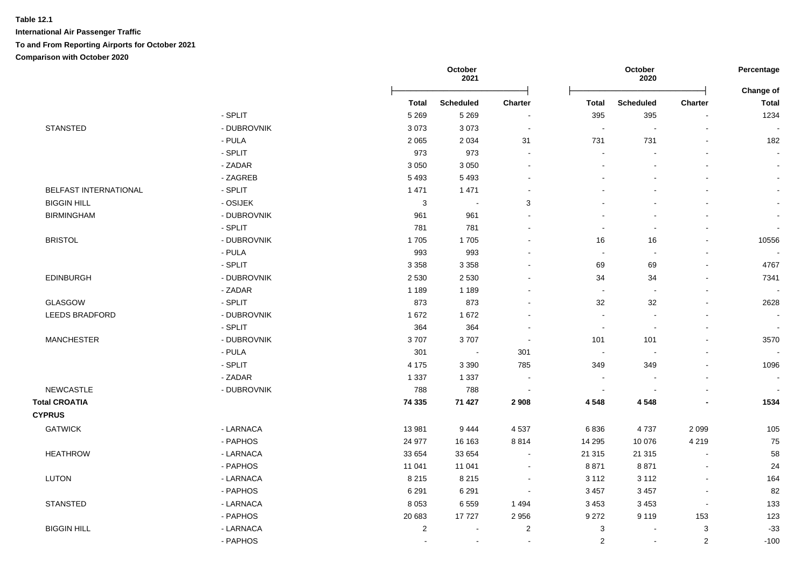|                       |             |                | October<br>2021  |                |                         | October<br>2020          |                           | Percentage                |
|-----------------------|-------------|----------------|------------------|----------------|-------------------------|--------------------------|---------------------------|---------------------------|
|                       |             | <b>Total</b>   | <b>Scheduled</b> | <b>Charter</b> | <b>Total</b>            | <b>Scheduled</b>         | Charter                   | Change of<br><b>Total</b> |
|                       | - SPLIT     | 5 2 6 9        | 5 2 6 9          |                | 395                     | 395                      | $\blacksquare$            | 1234                      |
| <b>STANSTED</b>       | - DUBROVNIK | 3073           | 3073             | $\blacksquare$ | $\blacksquare$          | $\blacksquare$           | $\overline{\phantom{a}}$  |                           |
|                       | - PULA      | 2 0 6 5        | 2 0 3 4          | 31             | 731                     | 731                      | $\blacksquare$            | 182                       |
|                       | - SPLIT     | 973            | 973              | $\sim$         |                         |                          |                           |                           |
|                       | - ZADAR     | 3 0 5 0        | 3 0 5 0          |                |                         |                          |                           | $\blacksquare$            |
|                       | - ZAGREB    | 5493           | 5 4 9 3          |                |                         | $\blacksquare$           | $\blacksquare$            | $\blacksquare$            |
| BELFAST INTERNATIONAL | - SPLIT     | 1 4 7 1        | 1 4 7 1          |                |                         | L.                       | $\overline{a}$            |                           |
| <b>BIGGIN HILL</b>    | - OSIJEK    | $\mathbf{3}$   | $\blacksquare$   | 3              |                         | $\mathbf{r}$             | $\sim$                    | $\blacksquare$            |
| <b>BIRMINGHAM</b>     | - DUBROVNIK | 961            | 961              |                |                         | $\overline{a}$           | $\overline{a}$            | $\blacksquare$            |
|                       | - SPLIT     | 781            | 781              |                |                         | $\blacksquare$           | $\blacksquare$            | $\blacksquare$            |
| <b>BRISTOL</b>        | - DUBROVNIK | 1705           | 1705             |                | 16                      | 16                       | L.                        | 10556                     |
|                       | - PULA      | 993            | 993              |                | $\sim$                  | $\overline{\phantom{a}}$ | L.                        |                           |
|                       | - SPLIT     | 3 3 5 8        | 3 3 5 8          |                | 69                      | 69                       | $\mathbf{r}$              | 4767                      |
| <b>EDINBURGH</b>      | - DUBROVNIK | 2 5 3 0        | 2 5 3 0          |                | 34                      | 34                       | $\overline{a}$            | 7341                      |
|                       | - ZADAR     | 1 1 8 9        | 1 1 8 9          |                | $\sim$                  | $\sim$                   | $\blacksquare$            |                           |
| GLASGOW               | - SPLIT     | 873            | 873              |                | 32                      | 32                       | L.                        | 2628                      |
| <b>LEEDS BRADFORD</b> | - DUBROVNIK | 1672           | 1672             |                | $\blacksquare$          | $\blacksquare$           | $\blacksquare$            | $\blacksquare$            |
|                       | - SPLIT     | 364            | 364              |                | $\sim$                  | $\sim$                   | $\sim$                    | $\sim$                    |
| <b>MANCHESTER</b>     | - DUBROVNIK | 3707           | 3707             |                | 101                     | 101                      | $\mathbf{r}$              | 3570                      |
|                       | - PULA      | 301            | $\sim$           | 301            | $\sim$                  | $\overline{\phantom{a}}$ |                           |                           |
|                       | - SPLIT     | 4 1 7 5        | 3 3 9 0          | 785            | 349                     | 349                      | $\overline{a}$            | 1096                      |
|                       | - ZADAR     | 1 3 3 7        | 1 3 3 7          | $\sim$         |                         | $\blacksquare$           |                           | $\blacksquare$            |
| <b>NEWCASTLE</b>      | - DUBROVNIK | 788            | 788              |                | $\sim$                  |                          |                           |                           |
| <b>Total CROATIA</b>  |             | 74 335         | 71 427           | 2 9 0 8        | 4548                    | 4 5 4 8                  |                           | 1534                      |
| <b>CYPRUS</b>         |             |                |                  |                |                         |                          |                           |                           |
| <b>GATWICK</b>        | - LARNACA   | 13 981         | 9444             | 4 5 3 7        | 6836                    | 4737                     | 2 0 9 9                   | 105                       |
|                       | - PAPHOS    | 24 977         | 16 163           | 8814           | 14 29 5                 | 10 0 76                  | 4 2 1 9                   | 75                        |
| <b>HEATHROW</b>       | - LARNACA   | 33 654         | 33 654           | $\sim$         | 21 315                  | 21 315                   | $\sim$                    | 58                        |
|                       | - PAPHOS    | 11 041         | 11 041           |                | 8871                    | 8871                     | $\blacksquare$            | 24                        |
| <b>LUTON</b>          | - LARNACA   | 8 2 1 5        | 8 2 1 5          |                | 3 1 1 2                 | 3 1 1 2                  | $\overline{a}$            | 164                       |
|                       | - PAPHOS    | 6 2 9 1        | 6 2 9 1          |                | 3 4 5 7                 | 3 4 5 7                  |                           | 82                        |
| <b>STANSTED</b>       | - LARNACA   | 8 0 5 3        | 6559             | 1 4 9 4        | 3 4 5 3                 | 3 4 5 3                  | $\blacksquare$            | 133                       |
|                       | - PAPHOS    | 20 683         | 17727            | 2 9 5 6        | 9 2 7 2                 | 9 1 1 9                  | 153                       | 123                       |
| <b>BIGGIN HILL</b>    | - LARNACA   | $\overline{c}$ | $\sim$           | $\overline{c}$ | 3                       | $\sim$                   | $\ensuremath{\mathsf{3}}$ | $-33$                     |
|                       | - PAPHOS    | $\blacksquare$ | $\blacksquare$   |                | $\overline{\mathbf{c}}$ | $\blacksquare$           | $\boldsymbol{2}$          | $-100$                    |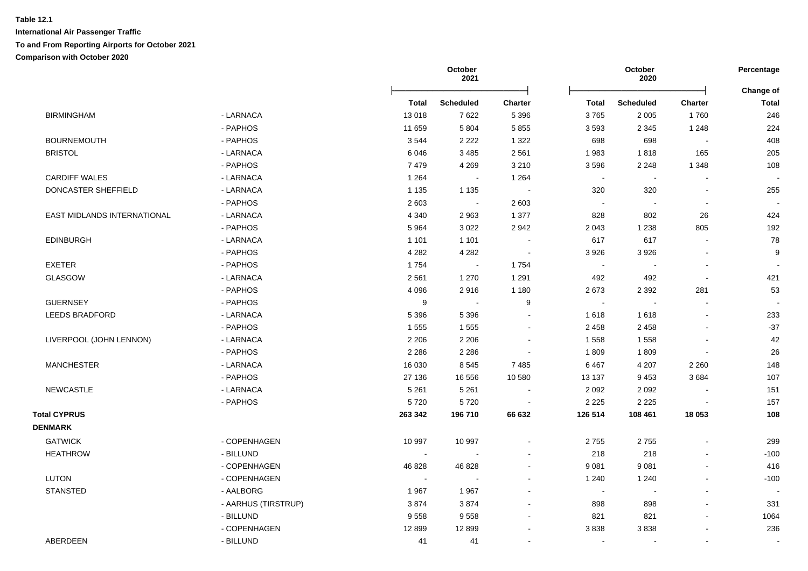|                             |                     |         | October<br>2021  |                |                            | October<br>2020          |                | Percentage                |
|-----------------------------|---------------------|---------|------------------|----------------|----------------------------|--------------------------|----------------|---------------------------|
|                             |                     | Total   | <b>Scheduled</b> | <b>Charter</b> | Total                      | <b>Scheduled</b>         | Charter        | Change of<br><b>Total</b> |
| <b>BIRMINGHAM</b>           | - LARNACA           | 13018   | 7622             | 5 3 9 6        | 3765                       | 2 0 0 5                  | 1760           | 246                       |
|                             | - PAPHOS            | 11 659  | 5 8 0 4          | 5 8 5 5        | 3593                       | 2 3 4 5                  | 1 2 4 8        | 224                       |
| <b>BOURNEMOUTH</b>          | - PAPHOS            | 3544    | 2 2 2 2          | 1 3 2 2        | 698                        | 698                      | $\sim$         | 408                       |
| <b>BRISTOL</b>              | - LARNACA           | 6046    | 3 4 8 5          | 2 5 6 1        | 1983                       | 1818                     | 165            | 205                       |
|                             | - PAPHOS            | 7479    | 4 2 6 9          | 3 2 1 0        | 3596                       | 2 2 4 8                  | 1 3 4 8        | 108                       |
| <b>CARDIFF WALES</b>        | - LARNACA           | 1 2 6 4 | $\blacksquare$   | 1 2 6 4        | $\sim$                     | $\overline{\phantom{a}}$ |                |                           |
| DONCASTER SHEFFIELD         | - LARNACA           | 1 1 3 5 | 1 1 3 5          |                | 320                        | 320                      | $\blacksquare$ | 255                       |
|                             | - PAPHOS            | 2 6 0 3 | $\sim$           | 2 6 0 3        | $\sim$                     |                          | $\overline{a}$ |                           |
| EAST MIDLANDS INTERNATIONAL | - LARNACA           | 4 3 4 0 | 2963             | 1 377          | 828                        | 802                      | 26             | 424                       |
|                             | - PAPHOS            | 5964    | 3 0 2 2          | 2942           | 2 0 4 3                    | 1 2 3 8                  | 805            | 192                       |
| <b>EDINBURGH</b>            | - LARNACA           | 1 1 0 1 | 1 1 0 1          |                | 617                        | 617                      |                | 78                        |
|                             | - PAPHOS            | 4 2 8 2 | 4 2 8 2          |                | 3926                       | 3926                     |                | 9                         |
| <b>EXETER</b>               | - PAPHOS            | 1754    | $\sim$           | 1754           | $\mathcal{L}_{\mathbf{r}}$ | $\sim$                   | L.             |                           |
| <b>GLASGOW</b>              | - LARNACA           | 2561    | 1 2 7 0          | 1 2 9 1        | 492                        | 492                      | L.             | 421                       |
|                             | - PAPHOS            | 4 0 9 6 | 2916             | 1 1 8 0        | 2673                       | 2 3 9 2                  | 281            | 53                        |
| <b>GUERNSEY</b>             | - PAPHOS            | 9       | $\sim$           | 9              | $\sim$                     | $\sim$                   | $\sim$         |                           |
| <b>LEEDS BRADFORD</b>       | - LARNACA           | 5 3 9 6 | 5 3 9 6          | $\sim$         | 1618                       | 1618                     |                | 233                       |
|                             | - PAPHOS            | 1 5 5 5 | 1555             |                | 2 4 5 8                    | 2 4 5 8                  |                | $-37$                     |
| LIVERPOOL (JOHN LENNON)     | - LARNACA           | 2 2 0 6 | 2 2 0 6          |                | 1 5 5 8                    | 1558                     |                | 42                        |
|                             | - PAPHOS            | 2 2 8 6 | 2 2 8 6          |                | 1809                       | 1809                     |                | 26                        |
| <b>MANCHESTER</b>           | - LARNACA           | 16 030  | 8545             | 7 4 8 5        | 6467                       | 4 2 0 7                  | 2 2 6 0        | 148                       |
|                             | - PAPHOS            | 27 136  | 16 556           | 10 580         | 13 137                     | 9453                     | 3684           | 107                       |
| NEWCASTLE                   | - LARNACA           | 5 2 6 1 | 5 2 6 1          |                | 2 0 9 2                    | 2 0 9 2                  |                | 151                       |
|                             | - PAPHOS            | 5720    | 5720             |                | 2 2 2 5                    | 2 2 2 5                  |                | 157                       |
| <b>Total CYPRUS</b>         |                     | 263 342 | 196 710          | 66 632         | 126 514                    | 108 461                  | 18 053         | 108                       |
| <b>DENMARK</b>              |                     |         |                  |                |                            |                          |                |                           |
| <b>GATWICK</b>              | - COPENHAGEN        | 10 997  | 10 997           |                | 2755                       | 2755                     |                | 299                       |
| <b>HEATHROW</b>             | - BILLUND           |         |                  |                | 218                        | 218                      |                | $-100$                    |
|                             | - COPENHAGEN        | 46 828  | 46 828           |                | 9 0 8 1                    | 9081                     |                | 416                       |
| <b>LUTON</b>                | - COPENHAGEN        | $\sim$  | $\sim$           |                | 1 2 4 0                    | 1 2 4 0                  |                | $-100$                    |
| <b>STANSTED</b>             | - AALBORG           | 1967    | 1967             |                | $\sim$                     | $\overline{\phantom{a}}$ |                |                           |
|                             | - AARHUS (TIRSTRUP) | 3874    | 3874             |                | 898                        | 898                      | $\overline{a}$ | 331                       |
|                             | - BILLUND           | 9558    | 9558             |                | 821                        | 821                      |                | 1064                      |
|                             | - COPENHAGEN        | 12899   | 12 8 9 9         |                | 3838                       | 3838                     |                | 236                       |
|                             |                     |         |                  |                |                            |                          |                |                           |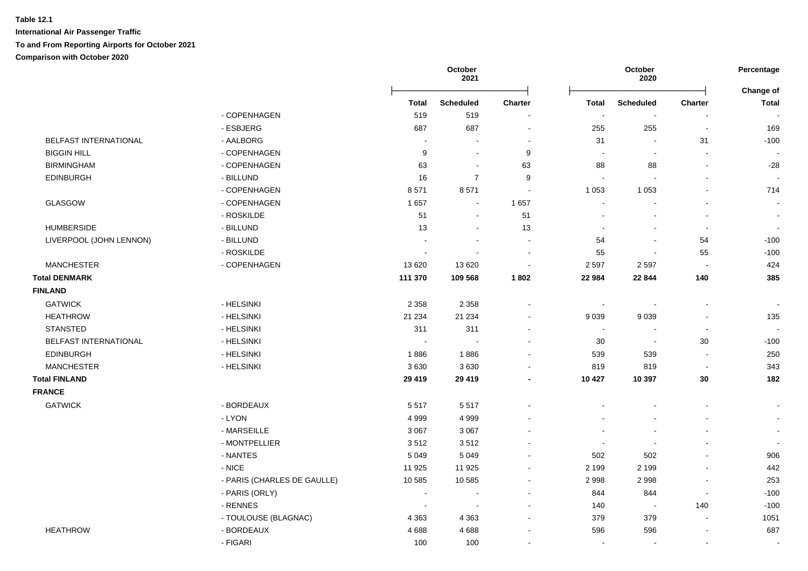| - COPENHAGEN                               |                             | <b>Total</b><br>519<br>687 | <b>Scheduled</b><br>519  | <b>Charter</b> | <b>Total</b>             | <b>Scheduled</b> |                          | Change of                |
|--------------------------------------------|-----------------------------|----------------------------|--------------------------|----------------|--------------------------|------------------|--------------------------|--------------------------|
|                                            |                             |                            |                          |                |                          |                  | <b>Charter</b>           | <b>Total</b>             |
|                                            |                             |                            |                          |                |                          | $\sim$           | $\sim$                   |                          |
| - ESBJERG                                  |                             |                            | 687                      | $\sim$         | 255                      | 255              | $\sim$                   | 169                      |
| BELFAST INTERNATIONAL<br>- AALBORG         |                             |                            | $\blacksquare$           |                | 31                       |                  | 31                       | $-100$                   |
| <b>BIGGIN HILL</b><br>- COPENHAGEN         |                             | 9                          | $\blacksquare$           | 9              | $\blacksquare$           |                  | $\overline{a}$           |                          |
| <b>BIRMINGHAM</b><br>- COPENHAGEN          |                             | 63                         | $\sim$                   | 63             | 88                       | 88               | $\overline{a}$           | $-28$                    |
| - BILLUND<br><b>EDINBURGH</b>              |                             | 16                         | $\overline{7}$           | 9              | $\overline{\phantom{a}}$ |                  |                          |                          |
| - COPENHAGEN                               |                             | 8571                       | 8571                     |                | 1 0 5 3                  | 1 0 5 3          |                          | 714                      |
| GLASGOW<br>- COPENHAGEN                    |                             | 1657                       | $\sim$                   | 1 6 5 7        | $\sim$                   |                  | $\overline{a}$           | $\sim$                   |
| - ROSKILDE                                 |                             | 51                         | $\blacksquare$           | 51             |                          |                  | $\blacksquare$           | $\sim$                   |
| <b>HUMBERSIDE</b><br>- BILLUND             |                             | 13                         | $\blacksquare$           | 13             |                          |                  | $\sim$                   | $\sim$                   |
| LIVERPOOL (JOHN LENNON)<br>- BILLUND       |                             | $\overline{a}$             | $\overline{\phantom{a}}$ |                | 54                       |                  | 54                       | $-100$                   |
| - ROSKILDE                                 |                             | $\sim$                     | $\sim$                   | $\sim$         | 55                       |                  | 55                       | $-100$                   |
| <b>MANCHESTER</b><br>- COPENHAGEN          |                             | 13 6 20                    | 13 6 20                  |                | 2 5 9 7                  | 2597             | $\sim$                   | 424                      |
| <b>Total DENMARK</b>                       |                             | 111 370                    | 109 568                  | 1802           | 22 984                   | 22 844           | 140                      | 385                      |
| <b>FINLAND</b>                             |                             |                            |                          |                |                          |                  |                          |                          |
| <b>GATWICK</b><br>- HELSINKI               |                             | 2 3 5 8                    | 2 3 5 8                  |                | $\sim$                   |                  | $\sim$                   |                          |
| <b>HEATHROW</b><br>- HELSINKI              |                             | 21 234                     | 21 234                   |                | 9 0 3 9                  | 9 0 3 9          | $\overline{a}$           | 135                      |
| <b>STANSTED</b><br>- HELSINKI              |                             | 311                        | 311                      |                | $\blacksquare$           |                  | $\sim$                   | $\overline{\phantom{a}}$ |
| - HELSINKI<br><b>BELFAST INTERNATIONAL</b> |                             | $\sim$                     |                          |                | 30                       | $\sim$           | 30                       | $-100$                   |
| <b>EDINBURGH</b><br>- HELSINKI             |                             | 1886                       | 1886                     |                | 539                      | 539              | $\sim$                   | 250                      |
| <b>MANCHESTER</b><br>- HELSINKI            |                             | 3630                       | 3630                     |                | 819                      | 819              | $\overline{\phantom{a}}$ | 343                      |
| <b>Total FINLAND</b>                       |                             | 29 4 19                    | 29 4 19                  |                | 10 427                   | 10 397           | 30                       | 182                      |
| <b>FRANCE</b>                              |                             |                            |                          |                |                          |                  |                          |                          |
| <b>GATWICK</b><br>- BORDEAUX               |                             | 5517                       | 5517                     |                |                          |                  | $\blacksquare$           | $\sim$                   |
| - LYON                                     |                             | 4 9 9 9                    | 4 9 9 9                  |                |                          |                  |                          | $\sim$                   |
| - MARSEILLE                                |                             | 3 0 6 7                    | 3 0 6 7                  |                |                          |                  |                          | $\sim$                   |
| - MONTPELLIER                              |                             | 3512                       | 3512                     |                |                          |                  |                          |                          |
| - NANTES                                   |                             | 5 0 4 9                    | 5 0 4 9                  |                | 502                      | 502              | ä,                       | 906                      |
| - NICE                                     |                             | 11 925                     | 11 925                   |                | 2 1 9 9                  | 2 1 9 9          | $\sim$                   | 442                      |
|                                            | - PARIS (CHARLES DE GAULLE) | 10 585                     | 10 585                   |                | 2 9 9 8                  | 2998             | $\overline{a}$           | 253                      |
| - PARIS (ORLY)                             |                             |                            |                          |                | 844                      | 844              | $\sim$                   | $-100$                   |
| - RENNES                                   |                             | $\overline{\phantom{a}}$   |                          |                | 140                      |                  | 140                      | $-100$                   |
|                                            | - TOULOUSE (BLAGNAC)        | 4 3 6 3                    | 4 3 6 3                  |                | 379                      | 379              | $\sim$                   | 1051                     |
| <b>HEATHROW</b><br>- BORDEAUX              |                             | 4688                       | 4688                     |                | 596                      | 596              | $\overline{a}$           | 687                      |
| - FIGARI                                   |                             | 100                        | 100                      |                | $\sim$                   |                  | $\blacksquare$           | $\sim$                   |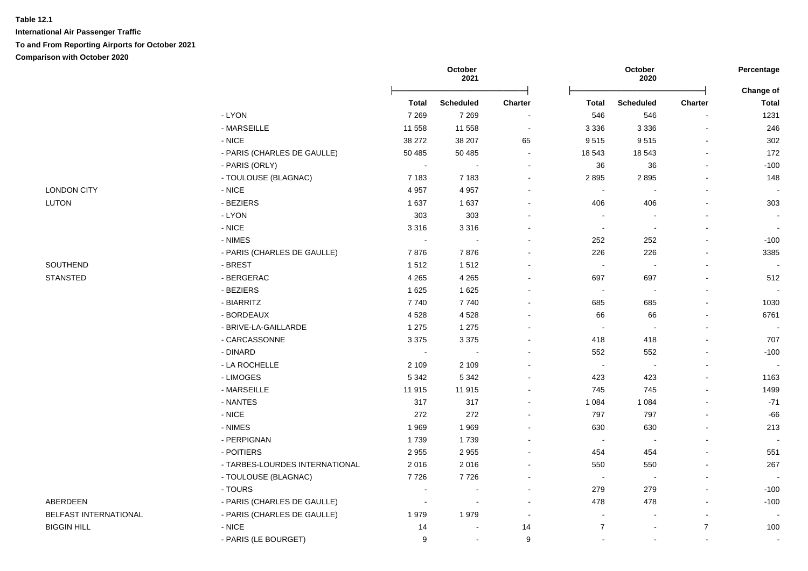|                       |                                |         | October<br>2021  |                |                          | October<br>2020          |                          | Percentage                |
|-----------------------|--------------------------------|---------|------------------|----------------|--------------------------|--------------------------|--------------------------|---------------------------|
|                       |                                | Total   | <b>Scheduled</b> | Charter        | <b>Total</b>             | <b>Scheduled</b>         | Charter                  | Change of<br><b>Total</b> |
|                       | - LYON                         | 7 2 6 9 | 7 2 6 9          |                | 546                      | 546                      |                          | 1231                      |
|                       | - MARSEILLE                    | 11 558  | 11 558           | $\blacksquare$ | 3 3 3 6                  | 3 3 3 6                  | $\overline{\phantom{a}}$ | 246                       |
|                       | $-NICE$                        | 38 27 2 | 38 207           | 65             | 9515                     | 9515                     |                          | 302                       |
|                       | - PARIS (CHARLES DE GAULLE)    | 50 485  | 50 485           | $\blacksquare$ | 18 543                   | 18 543                   |                          | 172                       |
|                       | - PARIS (ORLY)                 |         |                  | $\overline{a}$ | 36                       | 36                       |                          | $-100$                    |
|                       | - TOULOUSE (BLAGNAC)           | 7 1 8 3 | 7 1 8 3          | $\mathbf{r}$   | 2895                     | 2895                     |                          | 148                       |
| <b>LONDON CITY</b>    | $-NICE$                        | 4 9 5 7 | 4 9 5 7          |                | $\sim$                   |                          |                          |                           |
| <b>LUTON</b>          | - BEZIERS                      | 1637    | 1637             |                | 406                      | 406                      |                          | 303                       |
|                       | - LYON                         | 303     | 303              |                | $\sim$                   |                          |                          | $\blacksquare$            |
|                       | $-NICE$                        | 3 3 1 6 | 3316             |                | $\blacksquare$           | $\overline{\phantom{a}}$ |                          | $\blacksquare$            |
|                       | - NIMES                        |         |                  |                | 252                      | 252                      |                          | $-100$                    |
|                       | - PARIS (CHARLES DE GAULLE)    | 7876    | 7876             | $\blacksquare$ | 226                      | 226                      |                          | 3385                      |
| SOUTHEND              | - BREST                        | 1512    | 1512             |                | $\sim$                   | $\blacksquare$           |                          |                           |
| <b>STANSTED</b>       | - BERGERAC                     | 4 2 6 5 | 4 2 6 5          |                | 697                      | 697                      |                          | 512                       |
|                       | - BEZIERS                      | 1 6 2 5 | 1 6 2 5          |                | $\blacksquare$           |                          |                          |                           |
|                       | - BIARRITZ                     | 7740    | 7740             |                | 685                      | 685                      |                          | 1030                      |
|                       | - BORDEAUX                     | 4528    | 4528             |                | 66                       | 66                       |                          | 6761                      |
|                       | - BRIVE-LA-GAILLARDE           | 1 2 7 5 | 1 2 7 5          |                | $\sim$                   |                          |                          |                           |
|                       | - CARCASSONNE                  | 3 3 7 5 | 3 3 7 5          |                | 418                      | 418                      |                          | 707                       |
|                       | - DINARD                       |         |                  |                | 552                      | 552                      |                          | $-100$                    |
|                       | - LA ROCHELLE                  | 2 1 0 9 | 2 1 0 9          |                | $\sim$                   | $\sim$                   |                          |                           |
|                       | - LIMOGES                      | 5 3 4 2 | 5 3 4 2          |                | 423                      | 423                      |                          | 1163                      |
|                       | - MARSEILLE                    | 11 915  | 11 915           | $\blacksquare$ | 745                      | 745                      |                          | 1499                      |
|                       | - NANTES                       | 317     | 317              | $\blacksquare$ | 1 0 8 4                  | 1 0 8 4                  |                          | $-71$                     |
|                       | $-NICE$                        | 272     | 272              |                | 797                      | 797                      |                          | $-66$                     |
|                       | - NIMES                        | 1969    | 1969             |                | 630                      | 630                      |                          | 213                       |
|                       | - PERPIGNAN                    | 1739    | 1739             |                | $\sim$                   |                          |                          |                           |
|                       | - POITIERS                     | 2955    | 2955             |                | 454                      | 454                      |                          | 551                       |
|                       | - TARBES-LOURDES INTERNATIONAL | 2016    | 2016             |                | 550                      | 550                      |                          | 267                       |
|                       | - TOULOUSE (BLAGNAC)           | 7726    | 7726             |                | $\sim$                   | $\blacksquare$           |                          |                           |
|                       | - TOURS                        |         | $\blacksquare$   |                | 279                      | 279                      |                          | $-100$                    |
| ABERDEEN              | - PARIS (CHARLES DE GAULLE)    |         |                  |                | 478                      | 478                      |                          | $-100$                    |
| BELFAST INTERNATIONAL | - PARIS (CHARLES DE GAULLE)    | 1979    | 1979             | $\blacksquare$ | $\overline{\phantom{a}}$ |                          |                          |                           |
| <b>BIGGIN HILL</b>    | $-$ NICE                       | 14      | $\blacksquare$   | 14             | $\overline{7}$           |                          | $\overline{7}$           | 100                       |
|                       | - PARIS (LE BOURGET)           | 9       | $\sim$           | 9              |                          |                          |                          |                           |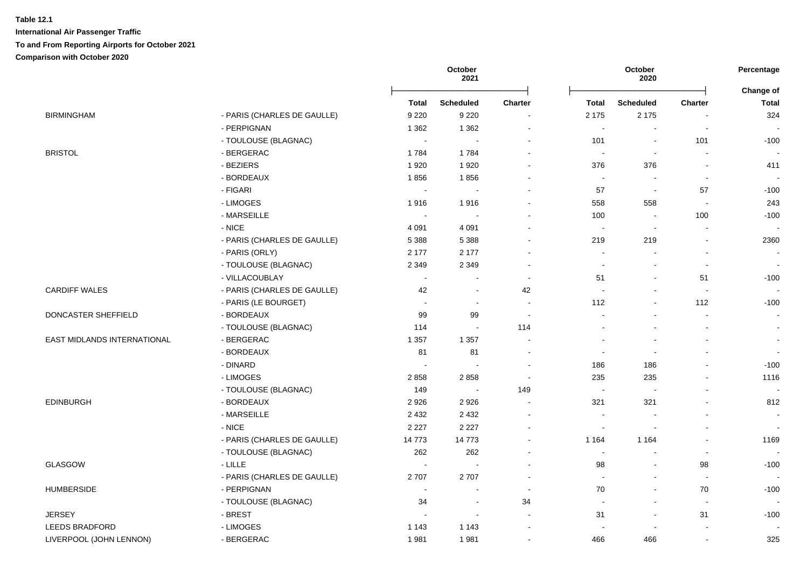|                             |                             |                          | October<br>2021          |                          |                          | October<br>2020          |                | Percentage<br>Change of  |
|-----------------------------|-----------------------------|--------------------------|--------------------------|--------------------------|--------------------------|--------------------------|----------------|--------------------------|
|                             |                             | <b>Total</b>             | Scheduled                | <b>Charter</b>           | <b>Total</b>             | <b>Scheduled</b>         | <b>Charter</b> | <b>Total</b>             |
| <b>BIRMINGHAM</b>           | - PARIS (CHARLES DE GAULLE) | 9 2 2 0                  | 9 2 2 0                  |                          | 2 1 7 5                  | 2 1 7 5                  | $\overline{a}$ | 324                      |
|                             | - PERPIGNAN                 | 1 3 6 2                  | 1 3 6 2                  | $\overline{\phantom{a}}$ | $\sim$                   | $\overline{\phantom{a}}$ | $\blacksquare$ |                          |
|                             | - TOULOUSE (BLAGNAC)        |                          |                          |                          | 101                      |                          | 101            | $-100$                   |
| <b>BRISTOL</b>              | - BERGERAC                  | 1784                     | 1784                     | $\sim$                   | $\sim$                   | $\overline{\phantom{a}}$ | $\mathbf{r}$   |                          |
|                             | - BEZIERS                   | 1920                     | 1920                     |                          | 376                      | 376                      | $\blacksquare$ | 411                      |
|                             | - BORDEAUX                  | 1856                     | 1856                     |                          | $\sim$                   | $\overline{\phantom{a}}$ | $\sim$         |                          |
|                             | - FIGARI                    | $\sim$                   | $\blacksquare$           |                          | 57                       | $\sim$                   | 57             | $-100$                   |
|                             | - LIMOGES                   | 1916                     | 1916                     |                          | 558                      | 558                      | $\blacksquare$ | 243                      |
|                             | - MARSEILLE                 |                          |                          |                          | 100                      |                          | 100            | $-100$                   |
|                             | $-$ NICE                    | 4 0 9 1                  | 4 0 9 1                  |                          | $\overline{\phantom{a}}$ |                          |                |                          |
|                             | - PARIS (CHARLES DE GAULLE) | 5 3 8 8                  | 5 3 8 8                  |                          | 219                      | 219                      | $\blacksquare$ | 2360                     |
|                             | - PARIS (ORLY)              | 2 177                    | 2 1 7 7                  |                          | $\blacksquare$           |                          | $\blacksquare$ | $\overline{\phantom{a}}$ |
|                             | - TOULOUSE (BLAGNAC)        | 2 3 4 9                  | 2 3 4 9                  | $\sim$                   | $\sim$                   |                          | L.             | $\sim$                   |
|                             | - VILLACOUBLAY              | $\sim$                   |                          | $\overline{\phantom{a}}$ | 51                       | $\sim$                   | 51             | $-100$                   |
| <b>CARDIFF WALES</b>        | - PARIS (CHARLES DE GAULLE) | 42                       |                          | 42                       | $\sim$                   |                          | $\sim$         |                          |
|                             | - PARIS (LE BOURGET)        | $\sim$                   | $\sim$                   | $\sim$                   | 112                      | $\sim$                   | 112            | $-100$                   |
| DONCASTER SHEFFIELD         | - BORDEAUX                  | 99                       | 99                       | $\sim$                   |                          |                          | $\sim$         | $\sim$                   |
|                             | - TOULOUSE (BLAGNAC)        | 114                      | $\sim$                   | 114                      |                          |                          | $\blacksquare$ | $\sim$                   |
| EAST MIDLANDS INTERNATIONAL | - BERGERAC                  | 1 3 5 7                  | 1 3 5 7                  | $\overline{\phantom{a}}$ |                          |                          |                | $\blacksquare$           |
|                             | - BORDEAUX                  | 81                       | 81                       |                          | $\blacksquare$           |                          | $\blacksquare$ | $\sim$                   |
|                             | - DINARD                    |                          | $\overline{\phantom{a}}$ | $\sim$                   | 186                      | 186                      | $\blacksquare$ | $-100$                   |
|                             | - LIMOGES                   | 2858                     | 2858                     |                          | 235                      | 235                      | $\blacksquare$ | 1116                     |
|                             | - TOULOUSE (BLAGNAC)        | 149                      | $\blacksquare$           | 149                      | $\sim$                   |                          | L,             |                          |
| <b>EDINBURGH</b>            | - BORDEAUX                  | 2 9 2 6                  | 2926                     |                          | 321                      | 321                      | $\blacksquare$ | 812                      |
|                             | - MARSEILLE                 | 2 4 3 2                  | 2 4 3 2                  |                          | $\overline{\phantom{a}}$ |                          | $\blacksquare$ | $\overline{\phantom{a}}$ |
|                             | $-$ NICE                    | 2 2 2 7                  | 2 2 2 7                  |                          | $\sim$                   |                          |                |                          |
|                             | - PARIS (CHARLES DE GAULLE) | 14773                    | 14773                    |                          | 1 1 6 4                  | 1 1 6 4                  |                | 1169                     |
|                             | - TOULOUSE (BLAGNAC)        | 262                      | 262                      |                          | $\sim$                   |                          | $\mathbf{r}$   |                          |
| GLASGOW                     | $-LILLE$                    |                          | ÷.                       |                          | 98                       | $\sim$                   | 98             | $-100$                   |
|                             | - PARIS (CHARLES DE GAULLE) | 2707                     | 2707                     | $\sim$                   | $\sim$                   | $\sim$                   | $\sim$         | $\overline{\phantom{a}}$ |
| <b>HUMBERSIDE</b>           | - PERPIGNAN                 | $\overline{\phantom{a}}$ | ÷,                       | $\overline{\phantom{a}}$ | 70                       | $\blacksquare$           | 70             | $-100$                   |
|                             | - TOULOUSE (BLAGNAC)        | 34                       | $\blacksquare$           | 34                       | $\sim$                   | $\sim$                   | $\sim$         |                          |
| <b>JERSEY</b>               | - BREST                     |                          | $\sim$                   | $\sim$                   | 31                       | $\sim$                   | 31             | $-100$                   |
| <b>LEEDS BRADFORD</b>       | - LIMOGES                   | 1 1 4 3                  | 1 1 4 3                  |                          |                          |                          | $\blacksquare$ |                          |
| LIVERPOOL (JOHN LENNON)     | - BERGERAC                  | 1981                     | 1981                     | $\blacksquare$           | 466                      | 466                      | $\blacksquare$ | 325                      |
|                             |                             |                          |                          |                          |                          |                          |                |                          |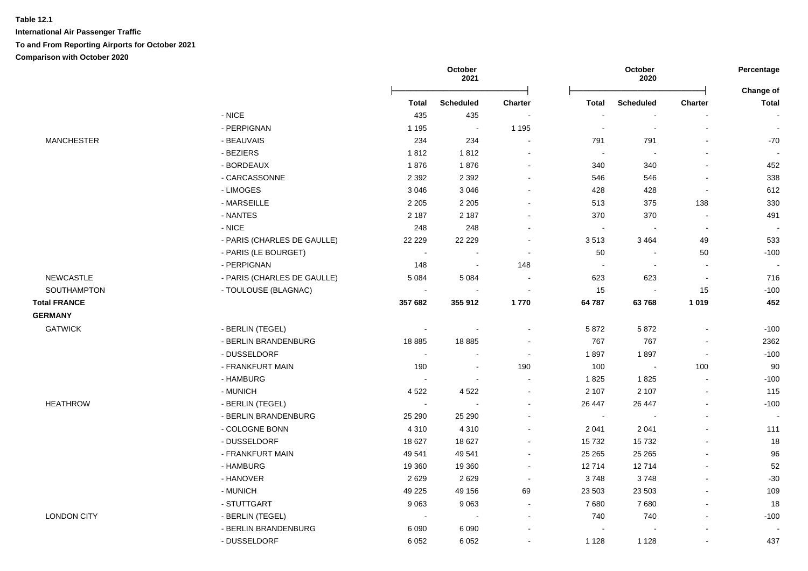|                     |                             |                       | October<br>2021          |         |                | October<br>2020  |                          | Percentage               |
|---------------------|-----------------------------|-----------------------|--------------------------|---------|----------------|------------------|--------------------------|--------------------------|
|                     |                             | <b>Total</b>          | <b>Scheduled</b>         | Charter | <b>Total</b>   | <b>Scheduled</b> | <b>Charter</b>           | Change of<br>Total       |
|                     | $-$ NICE                    | 435                   | 435                      |         |                |                  |                          | $\overline{\phantom{a}}$ |
|                     | - PERPIGNAN                 | 1 1 9 5               | $\sim$                   | 1 1 9 5 | $\sim$         | $\sim$           | $\sim$                   | $\sim$                   |
| <b>MANCHESTER</b>   | - BEAUVAIS                  | 234                   | 234                      |         | 791            | 791              |                          | -70                      |
|                     | - BEZIERS                   | 1812                  | 1812                     |         | $\sim$         |                  | $\overline{a}$           |                          |
|                     | - BORDEAUX                  | 1876                  | 1876                     | $\sim$  | 340            | 340              | $\sim$                   | 452                      |
|                     | - CARCASSONNE               | 2 3 9 2               | 2 3 9 2                  | $\sim$  | 546            | 546              | $\overline{\phantom{a}}$ | 338                      |
|                     | - LIMOGES                   | 3 0 4 6               | 3 0 4 6                  |         | 428            | 428              | $\sim$                   | 612                      |
|                     | - MARSEILLE                 | 2 2 0 5               | 2 2 0 5                  |         | 513            | 375              | 138                      | 330                      |
|                     | - NANTES                    | 2 1 8 7               | 2 1 8 7                  |         | 370            | 370              | $\blacksquare$           | 491                      |
|                     | $-$ NICE                    | 248                   | 248                      |         | $\sim$         |                  | $\sim$                   | $\sim$                   |
|                     | - PARIS (CHARLES DE GAULLE) | 22 2 2 9              | 22 2 2 9                 |         | 3513           | 3 4 6 4          | 49                       | 533                      |
|                     | - PARIS (LE BOURGET)        |                       |                          |         | 50             |                  | 50                       | $-100$                   |
|                     | - PERPIGNAN                 | 148                   | $\sim$                   | 148     | $\blacksquare$ | $\sim$           | $\sim$                   |                          |
| <b>NEWCASTLE</b>    | - PARIS (CHARLES DE GAULLE) | 5 0 8 4               | 5 0 8 4                  | $\sim$  | 623            | 623              | $\sim$                   | 716                      |
| SOUTHAMPTON         | - TOULOUSE (BLAGNAC)        | $\blacksquare$        | $\sim$                   | $\sim$  | 15             |                  | 15                       | $-100$                   |
| <b>Total FRANCE</b> |                             | 357 682               | 355 912                  | 1770    | 64 787         | 63768            | 1 0 1 9                  | 452                      |
| <b>GERMANY</b>      |                             |                       |                          |         |                |                  |                          |                          |
| <b>GATWICK</b>      | - BERLIN (TEGEL)            | $\sim$                | $\overline{\phantom{a}}$ |         | 5 8 7 2        | 5872             |                          | $-100$                   |
|                     | - BERLIN BRANDENBURG        | 18885                 | 18885                    | $\sim$  | 767            | 767              | $\sim$                   | 2362                     |
|                     | - DUSSELDORF                | $\sim$                | $\blacksquare$           | $\sim$  | 1897           | 1897             | $\sim$                   | $-100$                   |
|                     | - FRANKFURT MAIN            | 190                   | $\sim$                   | 190     | 100            | $\blacksquare$   | 100                      | 90                       |
|                     | - HAMBURG                   | $\sim$                | $\sim$                   | $\sim$  | 1825           | 1825             | $\sim$                   | $-100$                   |
|                     | - MUNICH                    | 4 5 22                | 4522                     |         | 2 107          | 2 1 0 7          | $\blacksquare$           | 115                      |
| <b>HEATHROW</b>     | - BERLIN (TEGEL)            | $\tilde{\phantom{a}}$ |                          |         | 26 447         | 26 447           |                          | $-100$                   |
|                     | - BERLIN BRANDENBURG        | 25 290                | 25 290                   |         | $\sim$         |                  | ä,                       | $\sim$                   |
|                     | - COLOGNE BONN              | 4 3 1 0               | 4 3 1 0                  |         | 2 0 4 1        | 2 0 4 1          | $\blacksquare$           | 111                      |
|                     | - DUSSELDORF                | 18 627                | 18 627                   |         | 15732          | 15732            | $\overline{\phantom{a}}$ | 18                       |
|                     | - FRANKFURT MAIN            | 49 541                | 49 541                   | $\sim$  | 25 26 5        | 25 26 5          | $\blacksquare$           | 96                       |
|                     | - HAMBURG                   | 19 360                | 19 360                   |         | 12714          | 12714            | $\blacksquare$           | 52                       |
|                     | - HANOVER                   | 2629                  | 2629                     | $\sim$  | 3748           | 3748             | $\blacksquare$           | $-30$                    |
|                     | - MUNICH                    | 49 225                | 49 156                   | 69      | 23 503         | 23 503           |                          | 109                      |
|                     | - STUTTGART                 | 9 0 6 3               | 9063                     |         | 7680           | 7680             | $\blacksquare$           | 18                       |
| <b>LONDON CITY</b>  | - BERLIN (TEGEL)            | $\sim$                |                          |         | 740            | 740              |                          | $-100$                   |
|                     | - BERLIN BRANDENBURG        | 6 0 9 0               | 6 0 9 0                  |         |                |                  |                          |                          |
|                     | - DUSSELDORF                | 6 0 5 2               | 6 0 5 2                  |         | 1 1 2 8        | 1 1 2 8          | $\sim$                   | 437                      |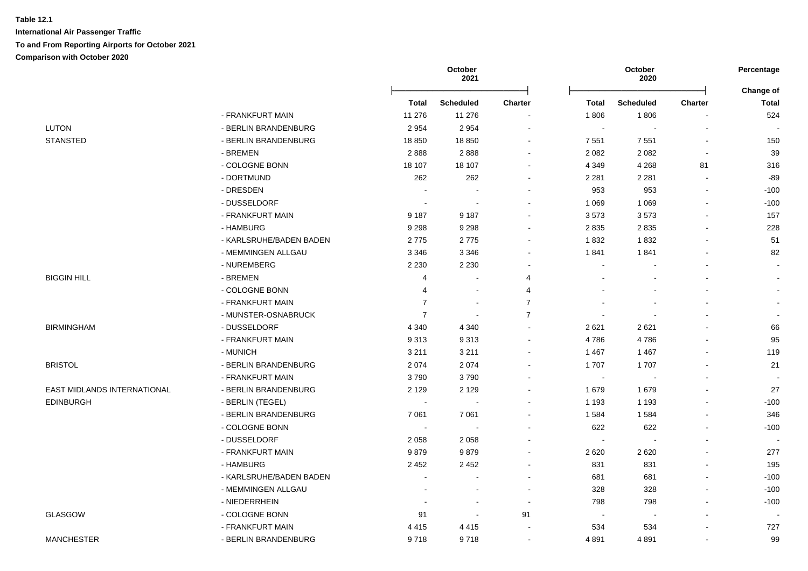|                                    |                         |                | October<br>2021  |                |                          | October<br>2020  |                | Percentage<br>Change of |
|------------------------------------|-------------------------|----------------|------------------|----------------|--------------------------|------------------|----------------|-------------------------|
|                                    |                         | Total          | <b>Scheduled</b> | <b>Charter</b> | <b>Total</b>             | <b>Scheduled</b> | Charter        | <b>Total</b>            |
|                                    | - FRANKFURT MAIN        | 11 276         | 11 276           |                | 1806                     | 1806             |                | 524                     |
| <b>LUTON</b>                       | - BERLIN BRANDENBURG    | 2 9 5 4        | 2 9 5 4          | $\blacksquare$ | $\sim$                   | $\blacksquare$   |                |                         |
| <b>STANSTED</b>                    | - BERLIN BRANDENBURG    | 18850          | 18 8 50          | $\blacksquare$ | 7 5 5 1                  | 7 5 5 1          |                | 150                     |
|                                    | - BREMEN                | 2888           | 2888             | $\mathbf{r}$   | 2 0 8 2                  | 2 0 8 2          | $\blacksquare$ | 39                      |
|                                    | - COLOGNE BONN          | 18 107         | 18 107           | $\mathbf{r}$   | 4 3 4 9                  | 4 2 6 8          | 81             | 316                     |
|                                    | - DORTMUND              | 262            | 262              | $\blacksquare$ | 2 2 8 1                  | 2 2 8 1          | $\blacksquare$ | $-89$                   |
|                                    | - DRESDEN               |                |                  | $\blacksquare$ | 953                      | 953              |                | $-100$                  |
|                                    | - DUSSELDORF            |                |                  |                | 1 0 6 9                  | 1 0 6 9          |                | $-100$                  |
|                                    | - FRANKFURT MAIN        | 9 1 8 7        | 9 1 8 7          |                | 3573                     | 3573             |                | 157                     |
|                                    | - HAMBURG               | 9 2 9 8        | 9 2 9 8          |                | 2 8 3 5                  | 2835             |                | 228                     |
|                                    | - KARLSRUHE/BADEN BADEN | 2775           | 2775             |                | 1832                     | 1832             |                | 51                      |
|                                    | - MEMMINGEN ALLGAU      | 3 3 4 6        | 3 3 4 6          |                | 1841                     | 1841             |                | 82                      |
|                                    | - NUREMBERG             | 2 2 3 0        | 2 2 3 0          |                | $\blacksquare$           |                  |                | $\sim$                  |
| <b>BIGGIN HILL</b>                 | - BREMEN                | 4              | $\blacksquare$   | 4              |                          |                  |                | $\sim$                  |
|                                    | - COLOGNE BONN          | 4              | $\blacksquare$   | 4              |                          |                  |                |                         |
|                                    | - FRANKFURT MAIN        | $\overline{7}$ | $\sim$           | $\overline{7}$ |                          |                  |                |                         |
|                                    | - MUNSTER-OSNABRUCK     | $\overline{7}$ | $\sim$           | $\overline{7}$ |                          |                  |                | $\blacksquare$          |
| <b>BIRMINGHAM</b>                  | - DUSSELDORF            | 4 3 4 0        | 4 3 4 0          | $\mathbf{r}$   | 2621                     | 2621             |                | 66                      |
|                                    | - FRANKFURT MAIN        | 9313           | 9313             | $\blacksquare$ | 4786                     | 4786             |                | 95                      |
|                                    | - MUNICH                | 3 2 1 1        | 3 2 1 1          |                | 1 4 6 7                  | 1 4 6 7          |                | 119                     |
| <b>BRISTOL</b>                     | - BERLIN BRANDENBURG    | 2 0 7 4        | 2074             |                | 1707                     | 1707             |                | 21                      |
|                                    | - FRANKFURT MAIN        | 3790           | 3790             |                | $\blacksquare$           |                  |                |                         |
| <b>EAST MIDLANDS INTERNATIONAL</b> | - BERLIN BRANDENBURG    | 2 1 2 9        | 2 1 2 9          |                | 1679                     | 1679             |                | 27                      |
| <b>EDINBURGH</b>                   | - BERLIN (TEGEL)        |                |                  |                | 1 1 9 3                  | 1 1 9 3          |                | $-100$                  |
|                                    | - BERLIN BRANDENBURG    | 7 0 61         | 7 0 61           |                | 1 5 8 4                  | 1584             |                | 346                     |
|                                    | - COLOGNE BONN          | $\sim$         | $\sim$           |                | 622                      | 622              |                | $-100$                  |
|                                    | - DUSSELDORF            | 2058           | 2058             |                | $\sim$                   | $\blacksquare$   |                |                         |
|                                    | - FRANKFURT MAIN        | 9879           | 9879             |                | 2 6 2 0                  | 2 6 2 0          |                | 277                     |
|                                    | - HAMBURG               | 2 4 5 2        | 2452             | $\sim$         | 831                      | 831              |                | 195                     |
|                                    | - KARLSRUHE/BADEN BADEN |                | $\blacksquare$   | $\sim$         | 681                      | 681              |                | $-100$                  |
|                                    | - MEMMINGEN ALLGAU      |                | $\blacksquare$   | $\blacksquare$ | 328                      | 328              |                | $-100$                  |
|                                    | - NIEDERRHEIN           |                | $\blacksquare$   | $\blacksquare$ | 798                      | 798              |                | $-100$                  |
| <b>GLASGOW</b>                     | - COLOGNE BONN          | 91             | $\blacksquare$   | 91             | $\overline{\phantom{a}}$ |                  |                |                         |
|                                    |                         |                |                  |                |                          |                  |                |                         |
|                                    | - FRANKFURT MAIN        | 4415           | 4415             |                | 534                      | 534              |                | 727                     |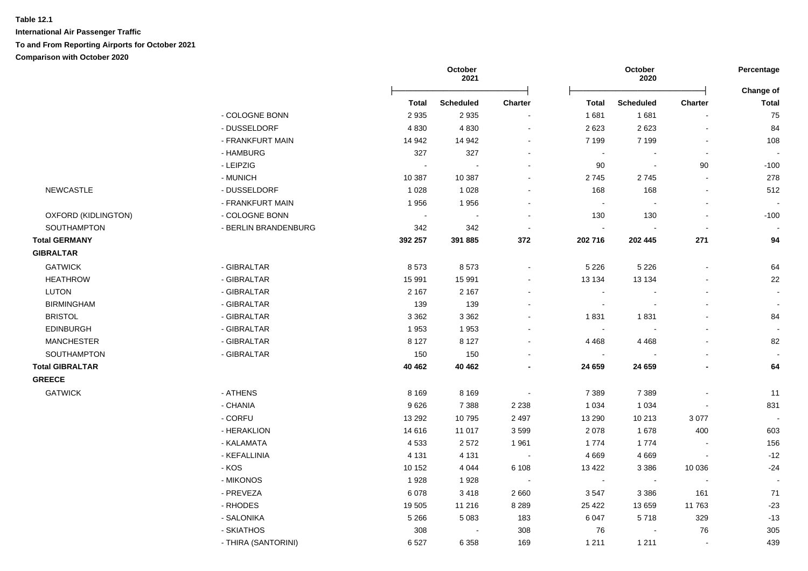|                        |                      |                | October<br>2021  |                |                | October<br>2020          |                | Percentage                |
|------------------------|----------------------|----------------|------------------|----------------|----------------|--------------------------|----------------|---------------------------|
|                        |                      | <b>Total</b>   | <b>Scheduled</b> | <b>Charter</b> | <b>Total</b>   | <b>Scheduled</b>         | Charter        | Change of<br><b>Total</b> |
|                        | - COLOGNE BONN       | 2935           | 2935             |                | 1681           | 1681                     |                | 75                        |
|                        | - DUSSELDORF         | 4 8 3 0        | 4830             |                | 2 6 2 3        | 2623                     |                | 84                        |
|                        | - FRANKFURT MAIN     | 14 942         | 14 942           |                | 7 1 9 9        | 7 1 9 9                  | $\sim$         | 108                       |
|                        | - HAMBURG            | 327            | 327              |                | $\sim$         |                          | $\blacksquare$ | $\sim$                    |
|                        | - LEIPZIG            | $\blacksquare$ |                  |                | 90             | $\sim$                   | 90             | $-100$                    |
|                        | - MUNICH             | 10 387         | 10 387           |                | 2745           | 2745                     | $\sim$         | 278                       |
| <b>NEWCASTLE</b>       | - DUSSELDORF         | 1 0 2 8        | 1 0 2 8          |                | 168            | 168                      | $\blacksquare$ | 512                       |
|                        | - FRANKFURT MAIN     | 1956           | 1956             |                | $\sim$         |                          |                | $\sim$                    |
| OXFORD (KIDLINGTON)    | - COLOGNE BONN       | $\blacksquare$ |                  |                | 130            | 130                      | $\blacksquare$ | $-100$                    |
| SOUTHAMPTON            | - BERLIN BRANDENBURG | 342            | 342              | $\sim$         |                |                          |                |                           |
| <b>Total GERMANY</b>   |                      | 392 257        | 391 885          | 372            | 202 716        | 202 445                  | 271            | 94                        |
| <b>GIBRALTAR</b>       |                      |                |                  |                |                |                          |                |                           |
| <b>GATWICK</b>         | - GIBRALTAR          | 8573           | 8573             | $\sim$         | 5 2 2 6        | 5 2 2 6                  |                | 64                        |
| <b>HEATHROW</b>        | - GIBRALTAR          | 15 991         | 15 991           |                | 13 134         | 13 134                   |                | 22                        |
| <b>LUTON</b>           | - GIBRALTAR          | 2 1 6 7        | 2 1 6 7          |                |                |                          |                |                           |
| <b>BIRMINGHAM</b>      | - GIBRALTAR          | 139            | 139              |                | $\sim$         | $\overline{\phantom{a}}$ |                | $\overline{\phantom{a}}$  |
| <b>BRISTOL</b>         | - GIBRALTAR          | 3 3 6 2        | 3 3 6 2          |                | 1831           | 1831                     |                | 84                        |
| <b>EDINBURGH</b>       | - GIBRALTAR          | 1953           | 1953             |                | $\sim$         |                          |                | $\sim$                    |
| <b>MANCHESTER</b>      | - GIBRALTAR          | 8 1 2 7        | 8 1 2 7          |                | 4 4 6 8        | 4 4 6 8                  |                | 82                        |
| SOUTHAMPTON            | - GIBRALTAR          | 150            | 150              |                | $\sim$         |                          |                |                           |
| <b>Total GIBRALTAR</b> |                      | 40 462         | 40 4 62          |                | 24 659         | 24 659                   |                | 64                        |
| <b>GREECE</b>          |                      |                |                  |                |                |                          |                |                           |
| <b>GATWICK</b>         | - ATHENS             | 8 1 6 9        | 8 1 6 9          | $\sim$         | 7 3 8 9        | 7 3 8 9                  |                | 11                        |
|                        | - CHANIA             | 9626           | 7 3 8 8          | 2 2 3 8        | 1 0 3 4        | 1 0 3 4                  |                | 831                       |
|                        | - CORFU              | 13 29 2        | 10795            | 2 4 9 7        | 13 290         | 10 213                   | 3 0 7 7        | $\sim$                    |
|                        | - HERAKLION          | 14 616         | 11 017           | 3599           | 2 0 7 8        | 1678                     | 400            | 603                       |
|                        | - KALAMATA           | 4533           | 2572             | 1 9 6 1        | 1774           | 1774                     |                | 156                       |
|                        | - KEFALLINIA         | 4 1 3 1        | 4 1 3 1          | $\sim$         | 4 6 6 9        | 4 6 6 9                  |                | $-12$                     |
|                        | - KOS                | 10 152         | 4 0 4 4          | 6 1 0 8        | 13 4 22        | 3 3 8 6                  | 10 0 36        | $-24$                     |
|                        | - MIKONOS            | 1928           | 1928             | $\blacksquare$ | $\blacksquare$ | $\sim$                   | $\sim$         | $\sim$                    |
|                        | - PREVEZA            | 6 0 78         | 3418             | 2660           | 3547           | 3 3 8 6                  | 161            | 71                        |
|                        | - RHODES             | 19 505         | 11 216           | 8 2 8 9        | 25 4 22        | 13 659                   | 11763          | $-23$                     |
|                        | - SALONIKA           | 5 2 6 6        | 5 0 8 3          | 183            | 6 0 4 7        | 5718                     | 329            | $-13$                     |
|                        | - SKIATHOS           | 308            |                  | 308            | 76             |                          | 76             | 305                       |
|                        | - THIRA (SANTORINI)  | 6527           | 6 3 5 8          | 169            | 1 2 1 1        | 1 2 1 1                  |                | 439                       |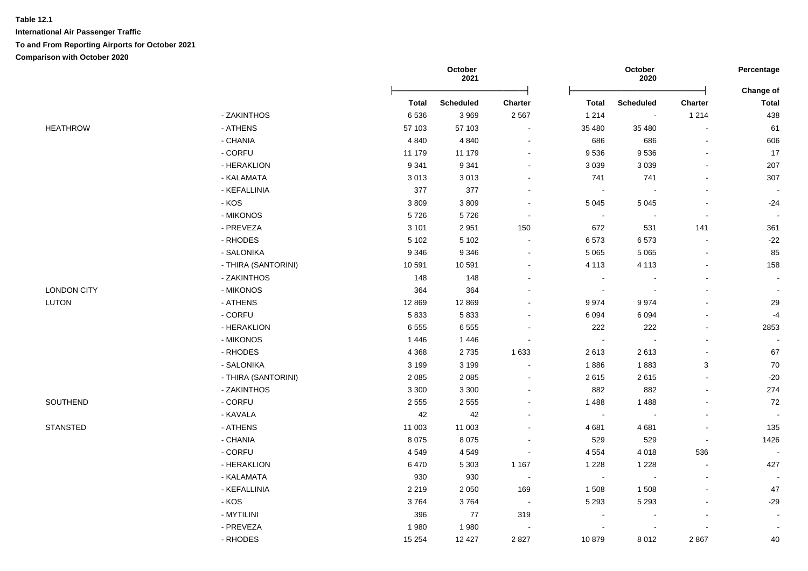|                    |                     |              | October<br>2021  |                          |                | October<br>2020          |                          | Percentage<br>Change of |
|--------------------|---------------------|--------------|------------------|--------------------------|----------------|--------------------------|--------------------------|-------------------------|
|                    |                     | <b>Total</b> | <b>Scheduled</b> | Charter                  | <b>Total</b>   | <b>Scheduled</b>         | Charter                  | <b>Total</b>            |
|                    | - ZAKINTHOS         | 6536         | 3 9 6 9          | 2 5 6 7                  | 1 2 1 4        | $\sim$                   | 1 2 1 4                  | 438                     |
| <b>HEATHROW</b>    | - ATHENS            | 57 103       | 57 103           | $\blacksquare$           | 35 480         | 35 480                   | $\blacksquare$           | 61                      |
|                    | - CHANIA            | 4 8 4 0      | 4 8 4 0          | $\blacksquare$           | 686            | 686                      | $\sim$                   | 606                     |
|                    | - CORFU             | 11 179       | 11 179           | $\blacksquare$           | 9536           | 9536                     | $\blacksquare$           | 17                      |
|                    | - HERAKLION         | 9 3 4 1      | 9 3 4 1          | $\blacksquare$           | 3 0 3 9        | 3 0 3 9                  |                          | 207                     |
|                    | - KALAMATA          | 3013         | 3013             | $\blacksquare$           | 741            | 741                      | $\blacksquare$           | 307                     |
|                    | - KEFALLINIA        | 377          | 377              | $\blacksquare$           | $\sim$         |                          |                          | $\sim$                  |
|                    | $-KOS$              | 3809         | 3809             | $\sim$                   | 5 0 4 5        | 5 0 4 5                  |                          | $-24$                   |
|                    | - MIKONOS           | 5726         | 5726             | $\blacksquare$           | $\sim$         | $\overline{\phantom{a}}$ | $\overline{\phantom{a}}$ | $\sim$                  |
|                    | - PREVEZA           | 3 1 0 1      | 2951             | 150                      | 672            | 531                      | 141                      | 361                     |
|                    | - RHODES            | 5 1 0 2      | 5 1 0 2          | $\sim$                   | 6573           | 6573                     | $\blacksquare$           | $-22$                   |
|                    | - SALONIKA          | 9 3 4 6      | 9 3 4 6          | $\sim$                   | 5 0 6 5        | 5 0 6 5                  | $\mathbf{r}$             | 85                      |
|                    | - THIRA (SANTORINI) | 10 591       | 10 591           | $\blacksquare$           | 4 1 1 3        | 4 1 1 3                  | $\blacksquare$           | 158                     |
|                    | - ZAKINTHOS         | 148          | 148              | $\sim$                   | $\sim$         |                          | $\overline{a}$           | $\sim$                  |
| <b>LONDON CITY</b> | - MIKONOS           | 364          | 364              | $\blacksquare$           | $\blacksquare$ | ÷,                       |                          |                         |
| LUTON              | - ATHENS            | 12 8 69      | 12 8 69          | $\blacksquare$           | 9974           | 9974                     |                          | 29                      |
|                    | - CORFU             | 5833         | 5833             | $\blacksquare$           | 6 0 9 4        | 6 0 9 4                  |                          | $-4$                    |
|                    | - HERAKLION         | 6555         | 6555             |                          | 222            | 222                      |                          | 2853                    |
|                    | - MIKONOS           | 1446         | 1446             | $\blacksquare$           | $\blacksquare$ | $\overline{\phantom{a}}$ | $\overline{a}$           | $\sim$                  |
|                    | - RHODES            | 4 3 6 8      | 2735             | 1 6 3 3                  | 2613           | 2613                     | $\overline{a}$           | 67                      |
|                    | - SALONIKA          | 3 1 9 9      | 3 1 9 9          | $\tilde{\phantom{a}}$    | 1886           | 1883                     | $\mathbf{3}$             | $70\,$                  |
|                    | - THIRA (SANTORINI) | 2 0 8 5      | 2 0 8 5          | $\blacksquare$           | 2615           | 2615                     | $\blacksquare$           | $-20$                   |
|                    | - ZAKINTHOS         | 3 3 0 0      | 3 3 0 0          | $\blacksquare$           | 882            | 882                      | $\blacksquare$           | 274                     |
| SOUTHEND           | - CORFU             | 2 5 5 5      | 2 5 5 5          |                          | 1 4 8 8        | 1 4 8 8                  |                          | 72                      |
|                    | - KAVALA            | 42           | $42\,$           | $\blacksquare$           | $\sim$         |                          | $\blacksquare$           | $\sim$                  |
| <b>STANSTED</b>    | - ATHENS            | 11 003       | 11 003           | $\blacksquare$           | 4 6 8 1        | 4681                     | $\blacksquare$           | 135                     |
|                    | - CHANIA            | 8075         | 8 0 7 5          | $\blacksquare$           | 529            | 529                      | $\blacksquare$           | 1426                    |
|                    | - CORFU             | 4549         | 4549             | $\blacksquare$           | 4 5 5 4        | 4018                     | 536                      | $\sim$                  |
|                    | - HERAKLION         | 6470         | 5 3 0 3          | 1 1 6 7                  | 1 2 2 8        | 1 2 2 8                  | $\sim$                   | 427                     |
|                    | - KALAMATA          | 930          | 930              | $\sim$                   | $\sim$         | $\overline{\phantom{a}}$ | $\blacksquare$           | $\blacksquare$          |
|                    | - KEFALLINIA        | 2 2 1 9      | 2 0 5 0          | 169                      | 1 508          | 1508                     | $\overline{a}$           | 47                      |
|                    | - KOS               | 3764         | 3764             | $\sim$                   | 5 2 9 3        | 5 2 9 3                  |                          | $-29$                   |
|                    | - MYTILINI          | 396          | $77$             | 319                      | $\sim$         |                          | $\blacksquare$           | $\mathbf{r}$            |
|                    | - PREVEZA           | 1980         | 1980             | $\overline{\phantom{a}}$ |                |                          |                          |                         |
|                    | - RHODES            | 15 2 54      | 12 4 27          | 2 8 2 7                  | 10879          | 8 0 1 2                  | 2867                     | 40                      |
|                    |                     |              |                  |                          |                |                          |                          |                         |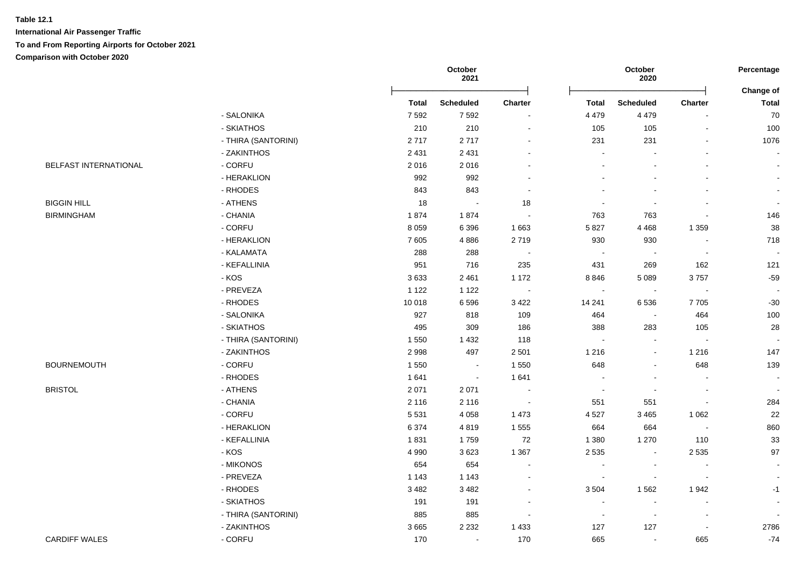|                       |                     |              | October<br>2021  |                |                          | October<br>2020          |                          | Percentage<br>Change of |
|-----------------------|---------------------|--------------|------------------|----------------|--------------------------|--------------------------|--------------------------|-------------------------|
|                       |                     | <b>Total</b> | <b>Scheduled</b> | Charter        | <b>Total</b>             | <b>Scheduled</b>         | <b>Charter</b>           | <b>Total</b>            |
|                       | - SALONIKA          | 7592         | 7 5 9 2          | $\sim$         | 4 4 7 9                  | 4 4 7 9                  |                          | 70                      |
|                       | - SKIATHOS          | 210          | 210              | $\blacksquare$ | 105                      | 105                      | $\blacksquare$           | 100                     |
|                       | - THIRA (SANTORINI) | 2717         | 2717             | $\sim$         | 231                      | 231                      | $\blacksquare$           | 1076                    |
|                       | - ZAKINTHOS         | 2 4 3 1      | 2 4 3 1          | $\sim$         | $\sim$                   |                          | $\blacksquare$           |                         |
| BELFAST INTERNATIONAL | - CORFU             | 2016         | 2016             | $\sim$         |                          |                          |                          |                         |
|                       | - HERAKLION         | 992          | 992              |                |                          |                          |                          |                         |
|                       | - RHODES            | 843          | 843              | $\sim$         |                          |                          |                          |                         |
| <b>BIGGIN HILL</b>    | - ATHENS            | 18           | $\sim$           | 18             |                          |                          |                          |                         |
| <b>BIRMINGHAM</b>     | - CHANIA            | 1874         | 1874             | $\sim$         | 763                      | 763                      |                          | 146                     |
|                       | - CORFU             | 8 0 5 9      | 6 3 9 6          | 1 6 6 3        | 5 8 2 7                  | 4 4 6 8                  | 1 3 5 9                  | 38                      |
|                       | - HERAKLION         | 7605         | 4886             | 2719           | 930                      | 930                      | $\sim$                   | 718                     |
|                       | - KALAMATA          | 288          | 288              | $\blacksquare$ | $\sim$                   | $\overline{\phantom{a}}$ | $\blacksquare$           | $\sim$                  |
|                       | - KEFALLINIA        | 951          | 716              | 235            | 431                      | 269                      | 162                      | 121                     |
|                       | - KOS               | 3633         | 2 4 6 1          | 1 172          | 8846                     | 5 0 8 9                  | 3757                     | $-59$                   |
|                       | - PREVEZA           | 1 1 2 2      | 1 1 2 2          | $\sim$         | $\blacksquare$           | $\sim$                   | $\blacksquare$           | $\sim$                  |
|                       | - RHODES            | 10 018       | 6596             | 3 4 2 2        | 14 241                   | 6536                     | 7705                     | $-30$                   |
|                       | - SALONIKA          | 927          | 818              | 109            | 464                      | $\sim$                   | 464                      | 100                     |
|                       | - SKIATHOS          | 495          | 309              | 186            | 388                      | 283                      | 105                      | 28                      |
|                       | - THIRA (SANTORINI) | 1 5 5 0      | 1 4 3 2          | 118            | $\sim$                   | $\sim$                   | $\sim$                   | $\sim$                  |
|                       | - ZAKINTHOS         | 2998         | 497              | 2 5 0 1        | 1 2 1 6                  | $\sim$                   | 1 2 1 6                  | 147                     |
| <b>BOURNEMOUTH</b>    | - CORFU             | 1 5 5 0      | $\sim$           | 1 5 5 0        | 648                      | $\blacksquare$           | 648                      | 139                     |
|                       | - RHODES            | 1641         | $\bullet$        | 1641           |                          |                          | $\blacksquare$           |                         |
| <b>BRISTOL</b>        | - ATHENS            | 2 0 7 1      | 2071             | $\sim$         |                          |                          | $\sim$                   | $\sim$                  |
|                       | - CHANIA            | 2 1 1 6      | 2 1 1 6          | $\sim$         | 551                      | 551                      |                          | 284                     |
|                       | - CORFU             | 5 5 3 1      | 4 0 5 8          | 1 4 7 3        | 4 5 27                   | 3 4 6 5                  | 1 0 6 2                  | 22                      |
|                       | - HERAKLION         | 6 3 7 4      | 4819             | 1 5 5 5        | 664                      | 664                      | $\sim$                   | 860                     |
|                       | - KEFALLINIA        | 1831         | 1759             | 72             | 1 3 8 0                  | 1 2 7 0                  | 110                      | 33                      |
|                       | - KOS               | 4 9 9 0      | 3623             | 1 3 6 7        | 2 5 3 5                  | $\sim$                   | 2 5 3 5                  | $97\,$                  |
|                       | - MIKONOS           | 654          | 654              | $\sim$         |                          | $\blacksquare$           | $\blacksquare$           | $\blacksquare$          |
|                       | - PREVEZA           | 1 1 4 3      | 1 1 4 3          | $\sim$         | $\overline{\phantom{a}}$ |                          | $\overline{\phantom{a}}$ |                         |
|                       | - RHODES            | 3482         | 3 4 8 2          | $\sim$         | 3 5 0 4                  | 1562                     | 1942                     | $-1$                    |
|                       | - SKIATHOS          | 191          | 191              | $\sim$         | $\sim$                   | $\sim$                   | $\blacksquare$           | $\Delta$                |
|                       | - THIRA (SANTORINI) | 885          | 885              | $\sim$         |                          |                          | $\blacksquare$           |                         |
|                       | - ZAKINTHOS         | 3665         | 2 2 3 2          | 1 4 3 3        | 127                      | 127                      | $\blacksquare$           | 2786                    |
| <b>CARDIFF WALES</b>  | - CORFU             | 170          | $\blacksquare$   | 170            | 665                      | $\sim$                   | 665                      | $-74$                   |
|                       |                     |              |                  |                |                          |                          |                          |                         |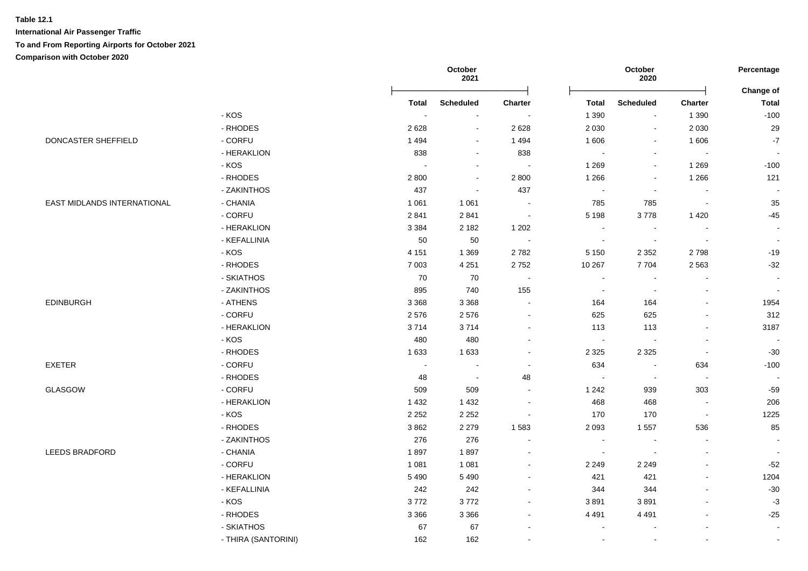|                             |              |              | October<br>2021          |                          |                             | October<br>2020          |                          | Percentage<br>Change of |
|-----------------------------|--------------|--------------|--------------------------|--------------------------|-----------------------------|--------------------------|--------------------------|-------------------------|
|                             |              | <b>Total</b> | <b>Scheduled</b>         | <b>Charter</b>           | <b>Total</b>                | <b>Scheduled</b>         | Charter                  | <b>Total</b>            |
|                             | $-KOS$       | $\sim$       | $\overline{\phantom{a}}$ | $\sim$                   | 1 3 9 0                     | $\sim$                   | 1 3 9 0                  | $-100$                  |
|                             | - RHODES     | 2628         | $\blacksquare$           | 2628                     | 2 0 3 0                     | $\sim$                   | 2 0 3 0                  | 29                      |
| DONCASTER SHEFFIELD         | - CORFU      | 1494         | $\sim$                   | 1 4 9 4                  | 1 60 6                      | $\sim$                   | 1 60 6                   | $-7$                    |
|                             | - HERAKLION  | 838          | $\blacksquare$           | 838                      | $\sim$                      | $\blacksquare$           | $\overline{\phantom{a}}$ | $\sim$                  |
|                             | - KOS        | $\sim$       | $\blacksquare$           | $\overline{\phantom{a}}$ | 1 2 6 9                     | $\blacksquare$           | 1 2 6 9                  | $-100$                  |
|                             | - RHODES     | 2800         | $\blacksquare$           | 2 8 0 0                  | 1 2 6 6                     | $\blacksquare$           | 1 2 6 6                  | 121                     |
|                             | - ZAKINTHOS  | 437          | $\blacksquare$           | 437                      | $\sim$                      | $\overline{\phantom{a}}$ | $\overline{\phantom{a}}$ | $\blacksquare$          |
| EAST MIDLANDS INTERNATIONAL | - CHANIA     | 1 0 6 1      | 1 0 6 1                  | $\blacksquare$           | 785                         | 785                      | $\sim$                   | 35                      |
|                             | - CORFU      | 2 8 4 1      | 2841                     | $\blacksquare$           | 5 1 9 8                     | 3778                     | 1 4 2 0                  | $-45$                   |
|                             | - HERAKLION  | 3 3 8 4      | 2 1 8 2                  | 1 202                    | $\blacksquare$              | $\blacksquare$           | $\blacksquare$           | $\blacksquare$          |
|                             | - KEFALLINIA | 50           | 50                       | $\sim$                   | $\sim$                      | $\sim$                   | $\sim$                   | $\sim$                  |
|                             | $-KOS$       | 4 1 5 1      | 1 3 6 9                  | 2782                     | 5 1 5 0                     | 2 3 5 2                  | 2798                     | $-19$                   |
|                             | - RHODES     | 7 0 0 3      | 4 2 5 1                  | 2752                     | 10 267                      | 7704                     | 2 5 6 3                  | $-32$                   |
|                             | - SKIATHOS   | 70           | 70                       | $\sim$                   | $\blacksquare$              | $\overline{\phantom{a}}$ | $\blacksquare$           | $\sim$                  |
|                             | - ZAKINTHOS  | 895          | 740                      | 155                      | $\sim$                      | $\sim$                   | L.                       | $\sim$                  |
| <b>EDINBURGH</b>            | - ATHENS     | 3 3 6 8      | 3 3 6 8                  | $\sim$                   | 164                         | 164                      | $\blacksquare$           | 1954                    |
|                             | - CORFU      | 2576         | 2576                     | $\blacksquare$           | 625                         | 625                      | $\overline{\phantom{a}}$ | 312                     |
|                             | - HERAKLION  | 3714         | 3714                     | $\overline{\phantom{a}}$ | 113                         | 113                      | $\blacksquare$           | 3187                    |
|                             | - KOS        | 480          | 480                      | $\sim$                   | $\blacksquare$              | $\blacksquare$           | $\blacksquare$           | $\sim$                  |
|                             | - RHODES     | 1 6 3 3      | 1633                     | $\overline{a}$           | 2 3 2 5                     | 2 3 2 5                  | $\blacksquare$           | $-30$                   |
| EXETER                      | - CORFU      | $\sim$       | $\blacksquare$           | $\ddot{\phantom{a}}$     | 634                         | $\overline{\phantom{a}}$ | 634                      | $-100$                  |
|                             | - RHODES     | 48           | $\sim$                   | 48                       | $\blacksquare$              | $\blacksquare$           | $\blacksquare$           | $\sim$                  |
| GLASGOW                     | - CORFU      | 509          | 509                      |                          | 1 2 4 2                     | 939                      | 303                      | $-59$                   |
|                             | - HERAKLION  | 1 4 3 2      | 1 4 3 2                  | $\blacksquare$           | 468                         | 468                      | $\sim$                   | 206                     |
|                             | - KOS        | 2 2 5 2      | 2 2 5 2                  | $\blacksquare$           | 170                         | 170                      | $\overline{\phantom{a}}$ | 1225                    |
|                             | - RHODES     | 3862         | 2 2 7 9                  | 1583                     | 2 0 9 3                     | 1 5 5 7                  | 536                      | 85                      |
|                             | - ZAKINTHOS  | 276          | 276                      | $\sim$                   | $\sim$                      | $\overline{\phantom{a}}$ | $\blacksquare$           | $\blacksquare$          |
| LEEDS BRADFORD              | - CHANIA     | 1897         | 1897                     | $\overline{\phantom{a}}$ | $\mathcal{L}_{\mathcal{A}}$ | $\overline{\phantom{a}}$ | $\sim$                   | $\sim$                  |
|                             | - CORFU      | 1 0 8 1      | 1 0 8 1                  | $\blacksquare$           | 2 2 4 9                     | 2 2 4 9                  | $\blacksquare$           | $-52$                   |
|                             | - HERAKLION  | 5 4 9 0      | 5 4 9 0                  | $\blacksquare$           | 421                         | 421                      | $\blacksquare$           | 1204                    |
|                             | - KEFALLINIA | 242          | 242                      | $\sim$                   | 344                         | 344                      | $\mathbf{r}$             | $-30$                   |
|                             | $-KOS$       | 3772         | 3772                     | $\blacksquare$           | 3891                        | 3891                     | $\blacksquare$           | $-3$                    |
|                             | - RHODES     | 3 3 6 6      | 3 3 6 6                  | $\blacksquare$           | 4 4 9 1                     | 4 4 9 1                  | $\blacksquare$           | $-25$                   |
|                             | - SKIATHOS   | 67           | 67                       |                          | $\sim$                      |                          | $\overline{a}$           | $\sim$                  |
|                             |              |              |                          |                          |                             |                          |                          |                         |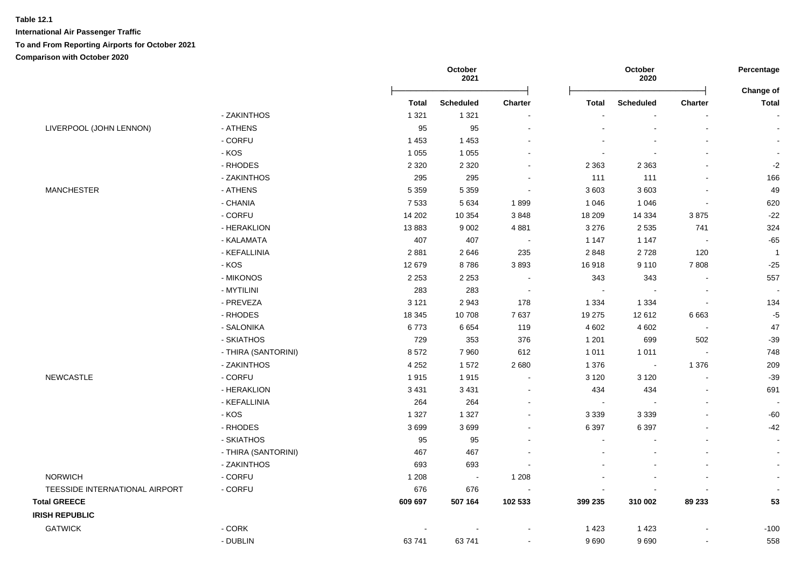| <b>Total</b><br>1 3 2 1<br>95<br>1 4 5 3<br>1 0 5 5<br>2 3 2 0<br>295<br>5 3 5 9<br>7 5 3 3<br>14 202 | <b>Scheduled</b><br>1 3 2 1<br>95<br>1 4 5 3<br>1 0 5 5<br>2 3 2 0<br>295<br>5 3 5 9 | Charter<br>$\sim$ | <b>Total</b><br>2 3 6 3<br>111 | <b>Scheduled</b><br>$\blacksquare$<br>2 3 6 3 | <b>Charter</b><br>$\mathbf{r}$ | Change of<br><b>Total</b><br>$\blacksquare$ |
|-------------------------------------------------------------------------------------------------------|--------------------------------------------------------------------------------------|-------------------|--------------------------------|-----------------------------------------------|--------------------------------|---------------------------------------------|
|                                                                                                       |                                                                                      |                   |                                |                                               |                                |                                             |
|                                                                                                       |                                                                                      |                   |                                |                                               |                                |                                             |
|                                                                                                       |                                                                                      |                   |                                |                                               |                                |                                             |
|                                                                                                       |                                                                                      |                   |                                |                                               |                                |                                             |
|                                                                                                       |                                                                                      |                   |                                |                                               |                                |                                             |
|                                                                                                       |                                                                                      |                   |                                |                                               |                                | $-2$                                        |
|                                                                                                       |                                                                                      |                   |                                | 111                                           |                                | 166                                         |
|                                                                                                       |                                                                                      |                   | 3 603                          | 3603                                          |                                | 49                                          |
|                                                                                                       | 5 6 3 4                                                                              | 1899              | 1 0 4 6                        | 1 0 4 6                                       | $\blacksquare$                 | 620                                         |
|                                                                                                       | 10 354                                                                               | 3848              | 18 209                         | 14 3 34                                       | 3875                           | $-22$                                       |
| 13883                                                                                                 | 9 0 0 2                                                                              | 4 8 8 1           | 3 2 7 6                        | 2 5 3 5                                       | 741                            | 324                                         |
| 407                                                                                                   | 407                                                                                  | $\sim$            | 1 1 4 7                        | 1 1 4 7                                       | $\sim$                         | $-65$                                       |
| 2881                                                                                                  | 2646                                                                                 | 235               | 2848                           | 2728                                          | 120                            | $\mathbf{1}$                                |
| 12 679                                                                                                | 8786                                                                                 | 3893              | 16918                          | 9 1 1 0                                       | 7808                           | $-25$                                       |
| 2 2 5 3                                                                                               | 2 2 5 3                                                                              |                   | 343                            | 343                                           |                                | 557                                         |
| 283                                                                                                   | 283                                                                                  | $\sim$            | $\sim$                         |                                               |                                |                                             |
| 3 1 2 1                                                                                               | 2943                                                                                 | 178               | 1 3 3 4                        | 1 3 3 4                                       | $\blacksquare$                 | 134                                         |
| 18 3 45                                                                                               | 10708                                                                                | 7637              | 19 275                         | 12 612                                        | 6663                           | $-5$                                        |
| 6773                                                                                                  | 6654                                                                                 | 119               | 4 6 0 2                        | 4 6 0 2                                       | $\sim$                         | 47                                          |
| 729                                                                                                   | 353                                                                                  | 376               | 1 2 0 1                        | 699                                           | 502                            | $-39$                                       |
| 8572                                                                                                  | 7960                                                                                 | 612               | 1 0 1 1                        | 1 0 1 1                                       |                                | 748                                         |
| 4 2 5 2                                                                                               | 1572                                                                                 | 2680              | 1 3 7 6                        | $\overline{\phantom{a}}$                      | 1 3 7 6                        | 209                                         |
| 1915                                                                                                  | 1915                                                                                 |                   | 3 1 2 0                        | 3 1 2 0                                       | $\overline{a}$                 | $-39$                                       |
| 3 4 3 1                                                                                               | 3 4 3 1                                                                              |                   | 434                            | 434                                           | $\overline{a}$                 | 691                                         |
| 264                                                                                                   | 264                                                                                  |                   | $\sim$                         | $\overline{\phantom{a}}$                      |                                |                                             |
| 1 3 2 7                                                                                               | 1 3 2 7                                                                              |                   | 3 3 3 9                        | 3 3 3 9                                       |                                | $-60$                                       |
| 3699                                                                                                  | 3699                                                                                 |                   | 6 3 9 7                        | 6 3 9 7                                       |                                | $-42$                                       |
| 95                                                                                                    | 95                                                                                   |                   |                                |                                               |                                | $\sim$                                      |
| 467                                                                                                   | 467                                                                                  |                   |                                |                                               |                                |                                             |
| 693                                                                                                   | 693                                                                                  |                   |                                |                                               |                                |                                             |
| 1 2 0 8                                                                                               | $\sim$                                                                               | 1 2 0 8           |                                |                                               |                                | $\blacksquare$                              |
| 676                                                                                                   | 676                                                                                  |                   |                                |                                               |                                |                                             |
| 609 697                                                                                               | 507 164                                                                              | 102 533           | 399 235                        | 310 002                                       | 89 233                         | 53                                          |
|                                                                                                       |                                                                                      |                   |                                |                                               |                                |                                             |
|                                                                                                       |                                                                                      |                   | 1 4 2 3                        | 1 4 2 3                                       |                                | $-100$                                      |
| 63741                                                                                                 |                                                                                      |                   | 9690                           | 9690                                          |                                | 558                                         |
|                                                                                                       |                                                                                      | 63741             |                                |                                               |                                |                                             |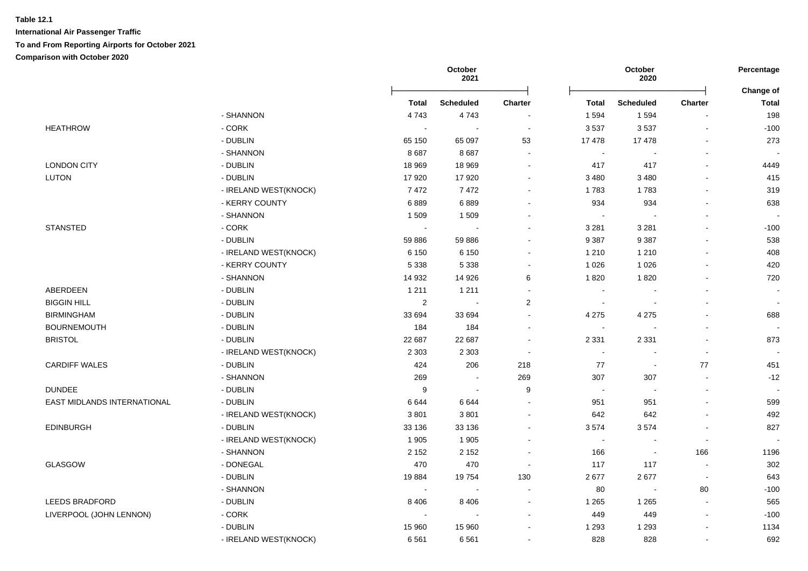|                                    |                         |                | October<br>2021  |                          | October<br>2020          |                          |                | Percentage<br>Change of  |  |
|------------------------------------|-------------------------|----------------|------------------|--------------------------|--------------------------|--------------------------|----------------|--------------------------|--|
|                                    |                         | Total          | <b>Scheduled</b> | <b>Charter</b>           | Total                    | <b>Scheduled</b>         | <b>Charter</b> | <b>Total</b>             |  |
|                                    | - SHANNON               | 4743           | 4743             |                          | 1 5 9 4                  | 1 5 9 4                  |                | 198                      |  |
| <b>HEATHROW</b>                    | - CORK                  |                | $\sim$           | $\sim$                   | 3537                     | 3537                     | $\blacksquare$ | $-100$                   |  |
|                                    | - DUBLIN                | 65 150         | 65 097           | 53                       | 17478                    | 17478                    |                | 273                      |  |
|                                    | - SHANNON               | 8687           | 8687             | $\overline{\phantom{a}}$ | $\sim$                   |                          | $\sim$         |                          |  |
| <b>LONDON CITY</b>                 | - DUBLIN                | 18 969         | 18 969           | $\overline{\phantom{a}}$ | 417                      | 417                      | $\blacksquare$ | 4449                     |  |
| <b>LUTON</b>                       | - DUBLIN                | 17920          | 17920            | $\sim$                   | 3 4 8 0                  | 3 4 8 0                  | $\sim$         | 415                      |  |
|                                    | - IRELAND WEST(KNOCK)   | 7472           | 7472             |                          | 1783                     | 1783                     |                | 319                      |  |
|                                    | - KERRY COUNTY          | 6889           | 6889             | $\blacksquare$           | 934                      | 934                      |                | 638                      |  |
|                                    | - SHANNON               | 1 509          | 1509             |                          | $\overline{\phantom{a}}$ |                          |                |                          |  |
| <b>STANSTED</b>                    | $-CORK$                 |                |                  |                          | 3 2 8 1                  | 3 2 8 1                  |                | $-100$                   |  |
|                                    | - DUBLIN                | 59 886         | 59 886           |                          | 9 3 8 7                  | 9 3 8 7                  |                | 538                      |  |
|                                    | - IRELAND WEST(KNOCK)   | 6 1 5 0        | 6 1 5 0          | $\blacksquare$           | 1 2 1 0                  | 1 2 1 0                  | $\sim$         | 408                      |  |
|                                    | - KERRY COUNTY          | 5 3 3 8        | 5 3 3 8          | ÷                        | 1 0 2 6                  | 1 0 2 6                  | $\sim$         | 420                      |  |
|                                    | - SHANNON               | 14 932         | 14 926           | 6                        | 1820                     | 1820                     |                | 720                      |  |
| ABERDEEN                           | - DUBLIN                | 1 2 1 1        | 1 2 1 1          | $\blacksquare$           | $\sim$                   |                          |                | $\sim$                   |  |
| <b>BIGGIN HILL</b>                 | - DUBLIN                | $\overline{2}$ | $\sim$           | $\overline{c}$           | $\sim$                   | $\sim$                   | ÷,             | $\overline{\phantom{a}}$ |  |
| <b>BIRMINGHAM</b>                  | - DUBLIN                | 33 694         | 33 694           | $\sim$                   | 4 2 7 5                  | 4 2 7 5                  |                | 688                      |  |
| <b>BOURNEMOUTH</b>                 | - DUBLIN                | 184            | 184              | $\blacksquare$           | $\sim$                   |                          |                | $\sim$                   |  |
| <b>BRISTOL</b>                     | - DUBLIN                | 22 687         | 22 687           | $\sim$                   | 2 3 3 1                  | 2 3 3 1                  |                | 873                      |  |
|                                    | - IRELAND WEST(KNOCK)   | 2 3 0 3        | 2 3 0 3          | $\sim$                   | $\blacksquare$           | $\overline{\phantom{a}}$ | $\blacksquare$ | $\overline{\phantom{a}}$ |  |
| <b>CARDIFF WALES</b>               | - DUBLIN                | 424            | 206              | 218                      | 77                       | $\overline{\phantom{a}}$ | 77             | 451                      |  |
|                                    | - SHANNON               | 269            | $\sim$           | 269                      | 307                      | 307                      | $\blacksquare$ | $-12$                    |  |
| <b>DUNDEE</b>                      | - DUBLIN                | 9              | $\sim$           | 9                        | $\sim$                   |                          |                | $\overline{\phantom{a}}$ |  |
| <b>EAST MIDLANDS INTERNATIONAL</b> | - DUBLIN                | 6644           | 6644             | ÷,                       | 951                      | 951                      |                | 599                      |  |
|                                    | - IRELAND WEST(KNOCK)   | 3801           | 3801             | $\blacksquare$           | 642                      | 642                      |                | 492                      |  |
| <b>EDINBURGH</b>                   | - DUBLIN                | 33 136         | 33 136           |                          | 3574                     | 3574                     |                | 827                      |  |
|                                    | - IRELAND WEST(KNOCK)   | 1 9 0 5        | 1 9 0 5          |                          | $\sim$                   |                          | ÷,             |                          |  |
|                                    | - SHANNON               | 2 1 5 2        | 2 1 5 2          | $\blacksquare$           | 166                      | $\overline{\phantom{a}}$ | 166            | 1196                     |  |
| GLASGOW                            | - DONEGAL               | 470            | 470              | $\overline{\phantom{a}}$ | 117                      | 117                      | $\sim$         | 302                      |  |
|                                    | - DUBLIN                | 19884          | 19754            | 130                      | 2677                     | 2677                     | $\sim$         | 643                      |  |
|                                    | - SHANNON               | $\sim$         | $\sim$           | $\blacksquare$           | 80                       | $\blacksquare$           | 80             | $-100$                   |  |
| LEEDS BRADFORD                     | - DUBLIN                | 8 4 0 6        | 8 4 0 6          | $\sim$                   | 1 2 6 5                  | 1 2 6 5                  | $\sim$         | 565                      |  |
| LIVERPOOL (JOHN LENNON)            | $\text{-}\mathsf{CORK}$ |                | $\sim$           | $\blacksquare$           | 449                      | 449                      | $\blacksquare$ | $-100$                   |  |
|                                    | - DUBLIN                | 15 960         | 15 960           |                          | 1 2 9 3                  | 1 2 9 3                  |                | 1134                     |  |
|                                    | - IRELAND WEST(KNOCK)   | 6561           | 6561             |                          | 828                      | 828                      | $\blacksquare$ | 692                      |  |
|                                    |                         |                |                  |                          |                          |                          |                |                          |  |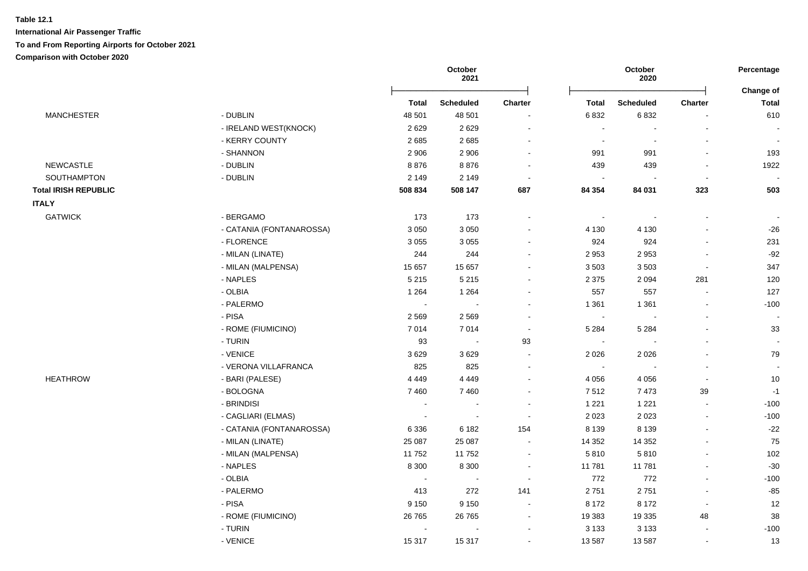|                             |                          | October<br>2021 |                  |                | October<br>2020 |                  |                |                           |
|-----------------------------|--------------------------|-----------------|------------------|----------------|-----------------|------------------|----------------|---------------------------|
|                             |                          | <b>Total</b>    | <b>Scheduled</b> | <b>Charter</b> | <b>Total</b>    | <b>Scheduled</b> | <b>Charter</b> | Change of<br><b>Total</b> |
| <b>MANCHESTER</b>           | - DUBLIN                 | 48 501          | 48 501           | $\blacksquare$ | 6832            | 6832             |                | 610                       |
|                             | - IRELAND WEST(KNOCK)    | 2629            | 2629             | $\sim$         | $\blacksquare$  | $\blacksquare$   | $\blacksquare$ |                           |
|                             | - KERRY COUNTY           | 2685            | 2685             | $\sim$         | $\blacksquare$  | $\sim$           | $\sim$         | $\overline{\phantom{a}}$  |
|                             | - SHANNON                | 2 9 0 6         | 2 9 0 6          | $\sim$         | 991             | 991              | $\blacksquare$ | 193                       |
| <b>NEWCASTLE</b>            | - DUBLIN                 | 8876            | 8876             | $\blacksquare$ | 439             | 439              |                | 1922                      |
| SOUTHAMPTON                 | - DUBLIN                 | 2 1 4 9         | 2 1 4 9          | $\sim$         | $\sim$          |                  | $\blacksquare$ |                           |
| <b>Total IRISH REPUBLIC</b> |                          | 508 834         | 508 147          | 687            | 84 354          | 84 031           | 323            | 503                       |
| <b>ITALY</b>                |                          |                 |                  |                |                 |                  |                |                           |
| <b>GATWICK</b>              | - BERGAMO                | 173             | 173              | $\sim$         | $\sim$          | $\sim$           | $\sim$         |                           |
|                             | - CATANIA (FONTANAROSSA) | 3 0 5 0         | 3 0 5 0          |                | 4 1 3 0         | 4 1 3 0          |                | $-26$                     |
|                             | - FLORENCE               | 3 0 5 5         | 3 0 5 5          | $\blacksquare$ | 924             | 924              |                | 231                       |
|                             | - MILAN (LINATE)         | 244             | 244              | $\blacksquare$ | 2 9 5 3         | 2953             |                | $-92$                     |
|                             | - MILAN (MALPENSA)       | 15 657          | 15 657           | $\sim$         | 3503            | 3503             | $\sim$         | 347                       |
|                             | - NAPLES                 | 5 2 1 5         | 5 2 1 5          | $\blacksquare$ | 2 3 7 5         | 2 0 9 4          | 281            | 120                       |
|                             | - OLBIA                  | 1 2 6 4         | 1 2 6 4          | $\blacksquare$ | 557             | 557              | $\blacksquare$ | 127                       |
|                             | - PALERMO                | $\blacksquare$  | $\sim$           | $\blacksquare$ | 1 3 6 1         | 1 3 6 1          | $\blacksquare$ | $-100$                    |
|                             | - PISA                   | 2569            | 2569             | $\blacksquare$ | $\sim$          | $\blacksquare$   | $\blacksquare$ | $\sim$                    |
|                             | - ROME (FIUMICINO)       | 7014            | 7014             | $\sim$         | 5 2 8 4         | 5 2 8 4          |                | 33                        |
|                             | - TURIN                  | 93              | $\sim$           | 93             | $\sim$          |                  |                | $\sim$                    |
|                             | - VENICE                 | 3629            | 3629             | $\sim$         | 2 0 2 6         | 2 0 2 6          |                | 79                        |
|                             | - VERONA VILLAFRANCA     | 825             | 825              | $\mathbf{r}$   | $\sim$          |                  |                | $\sim$                    |
| <b>HEATHROW</b>             | - BARI (PALESE)          | 4 4 4 9         | 4 4 4 9          | $\sim$         | 4 0 5 6         | 4 0 5 6          | $\sim$         | $10$                      |
|                             | - BOLOGNA                | 7460            | 7460             | $\blacksquare$ | 7512            | 7473             | 39             | $-1$                      |
|                             | - BRINDISI               | $\sim$          | $\sim$           | $\blacksquare$ | 1 2 2 1         | 1 2 2 1          | $\blacksquare$ | $-100$                    |
|                             | - CAGLIARI (ELMAS)       | $\sim$          | $\sim$           | $\sim$         | 2 0 2 3         | 2 0 2 3          | $\blacksquare$ | $-100$                    |
|                             | - CATANIA (FONTANAROSSA) | 6 3 3 6         | 6 1 8 2          | 154            | 8 1 3 9         | 8 1 3 9          | $\sim$         | $-22$                     |
|                             | - MILAN (LINATE)         | 25 087          | 25 087           | $\sim$         | 14 3 52         | 14 3 52          | $\blacksquare$ | 75                        |
|                             | - MILAN (MALPENSA)       | 11752           | 11752            | $\sim$         | 5810            | 5810             | $\blacksquare$ | 102                       |
|                             | - NAPLES                 | 8 3 0 0         | 8 3 0 0          | $\blacksquare$ | 11781           | 11781            | $\blacksquare$ | $-30$                     |
|                             | - OLBIA                  | $\blacksquare$  | $\blacksquare$   | $\blacksquare$ | 772             | 772              | $\blacksquare$ | $-100$                    |
|                             | - PALERMO                | 413             | 272              | 141            | 2751            | 2751             | $\sim$         | $-85$                     |
|                             | - PISA                   | 9 1 5 0         | 9 1 5 0          | $\blacksquare$ | 8 172           | 8 1 7 2          | $\blacksquare$ | 12                        |
|                             | - ROME (FIUMICINO)       | 26 7 65         | 26 7 65          | $\blacksquare$ | 19 3 83         | 19 3 35          | 48             | 38                        |
|                             | - TURIN                  | $\blacksquare$  |                  | $\sim$         | 3 1 3 3         | 3 1 3 3          | $\sim$         | $-100$                    |
|                             | - VENICE                 | 15 317          | 15 317           | $\sim$         | 13 5 87         | 13587            | $\blacksquare$ | 13                        |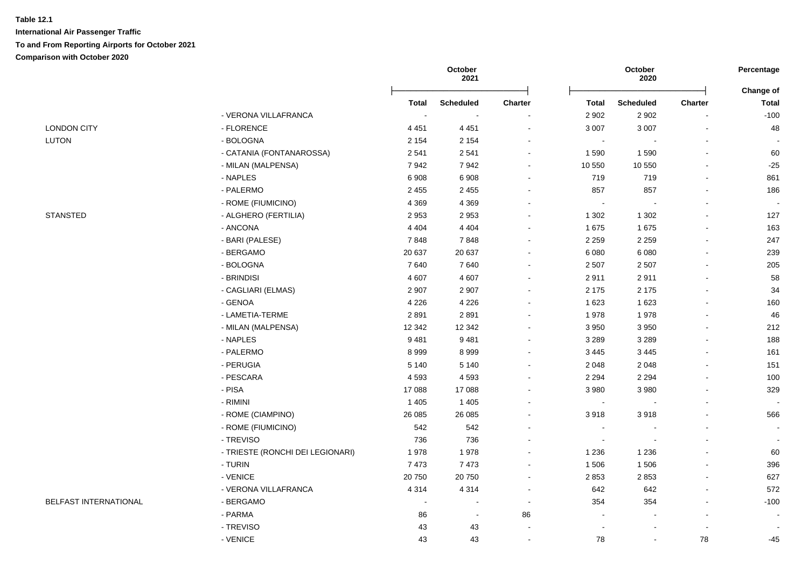|                       |                                  |              | October<br>2021  |                          |                | October<br>2020  |                | Percentage                |
|-----------------------|----------------------------------|--------------|------------------|--------------------------|----------------|------------------|----------------|---------------------------|
|                       |                                  | <b>Total</b> | <b>Scheduled</b> | <b>Charter</b>           | <b>Total</b>   | <b>Scheduled</b> | Charter        | Change of<br><b>Total</b> |
|                       | - VERONA VILLAFRANCA             | $\sim$       |                  |                          | 2 9 0 2        | 2 9 0 2          |                | $-100$                    |
| <b>LONDON CITY</b>    | - FLORENCE                       | 4 4 5 1      | 4 4 5 1          | $\overline{\phantom{a}}$ | 3 0 0 7        | 3 0 0 7          | $\blacksquare$ | 48                        |
| LUTON                 | - BOLOGNA                        | 2 1 5 4      | 2 1 5 4          |                          | $\sim$         |                  |                |                           |
|                       | - CATANIA (FONTANAROSSA)         | 2 5 4 1      | 2541             | $\sim$                   | 1590           | 1590             | $\sim$         | 60                        |
|                       | - MILAN (MALPENSA)               | 7942         | 7942             | $\sim$                   | 10 550         | 10 550           |                | $-25$                     |
|                       | - NAPLES                         | 6908         | 6908             | $\overline{a}$           | 719            | 719              |                | 861                       |
|                       | - PALERMO                        | 2 4 5 5      | 2 4 5 5          | $\overline{\phantom{a}}$ | 857            | 857              | $\blacksquare$ | 186                       |
|                       | - ROME (FIUMICINO)               | 4 3 6 9      | 4 3 6 9          | $\sim$                   | $\sim$         |                  |                |                           |
| <b>STANSTED</b>       | - ALGHERO (FERTILIA)             | 2953         | 2953             | $\overline{\phantom{a}}$ | 1 3 0 2        | 1 3 0 2          |                | 127                       |
|                       | - ANCONA                         | 4 4 0 4      | 4 4 0 4          |                          | 1675           | 1675             |                | 163                       |
|                       | - BARI (PALESE)                  | 7848         | 7848             |                          | 2 2 5 9        | 2 2 5 9          |                | 247                       |
|                       | - BERGAMO                        | 20 637       | 20 637           |                          | 6 0 8 0        | 6 0 8 0          | $\sim$         | 239                       |
|                       | - BOLOGNA                        | 7640         | 7640             |                          | 2 5 0 7        | 2 5 0 7          |                | 205                       |
|                       | - BRINDISI                       | 4 607        | 4 607            |                          | 2911           | 2911             |                | 58                        |
|                       | - CAGLIARI (ELMAS)               | 2 9 0 7      | 2 9 0 7          |                          | 2 1 7 5        | 2 1 7 5          |                | 34                        |
|                       | - GENOA                          | 4 2 2 6      | 4 2 2 6          |                          | 1 6 2 3        | 1 6 2 3          |                | 160                       |
|                       | - LAMETIA-TERME                  | 2891         | 2891             |                          | 1978           | 1978             |                | 46                        |
|                       | - MILAN (MALPENSA)               | 12 3 42      | 12 3 42          | ÷                        | 3 9 5 0        | 3 9 5 0          |                | 212                       |
|                       | - NAPLES                         | 9481         | 9481             | $\sim$                   | 3 2 8 9        | 3 2 8 9          |                | 188                       |
|                       | - PALERMO                        | 8999         | 8999             | $\blacksquare$           | 3 4 4 5        | 3 4 4 5          |                | 161                       |
|                       | - PERUGIA                        | 5 1 4 0      | 5 1 4 0          | $\overline{\phantom{a}}$ | 2 0 4 8        | 2 0 4 8          |                | 151                       |
|                       | - PESCARA                        | 4593         | 4593             | $\blacksquare$           | 2 2 9 4        | 2 2 9 4          | $\blacksquare$ | 100                       |
|                       | $-$ PISA                         | 17 088       | 17 088           |                          | 3 9 8 0        | 3 9 8 0          |                | 329                       |
|                       | - RIMINI                         | 1 4 0 5      | 1 4 0 5          |                          | $\blacksquare$ |                  |                |                           |
|                       | - ROME (CIAMPINO)                | 26 085       | 26 085           |                          | 3918           | 3918             |                | 566                       |
|                       | - ROME (FIUMICINO)               | 542          | 542              |                          | $\sim$         |                  |                | $\sim$                    |
|                       | - TREVISO                        | 736          | 736              |                          | ä,             |                  |                | $\blacksquare$            |
|                       | - TRIESTE (RONCHI DEI LEGIONARI) | 1978         | 1978             | $\overline{a}$           | 1 2 3 6        | 1 2 3 6          |                | 60                        |
|                       | - TURIN                          | 7 4 7 3      | 7473             | $\sim$                   | 1 506          | 1506             |                | 396                       |
|                       | - VENICE                         | 20750        | 20750            | $\blacksquare$           | 2853           | 2853             | $\sim$         | 627                       |
|                       | - VERONA VILLAFRANCA             | 4 3 1 4      | 4 3 1 4          |                          | 642            | 642              |                | 572                       |
| BELFAST INTERNATIONAL | - BERGAMO                        | $\sim$       | $\blacksquare$   | $\overline{\phantom{a}}$ | 354            | 354              |                | $-100$                    |
|                       | - PARMA                          | 86           | $\sim$           | 86                       | $\sim$         |                  |                | $\sim$                    |
|                       | - TREVISO                        | 43           | 43               |                          |                |                  |                |                           |
|                       | - VENICE                         | 43           | 43               |                          | 78             |                  | 78             | $-45$                     |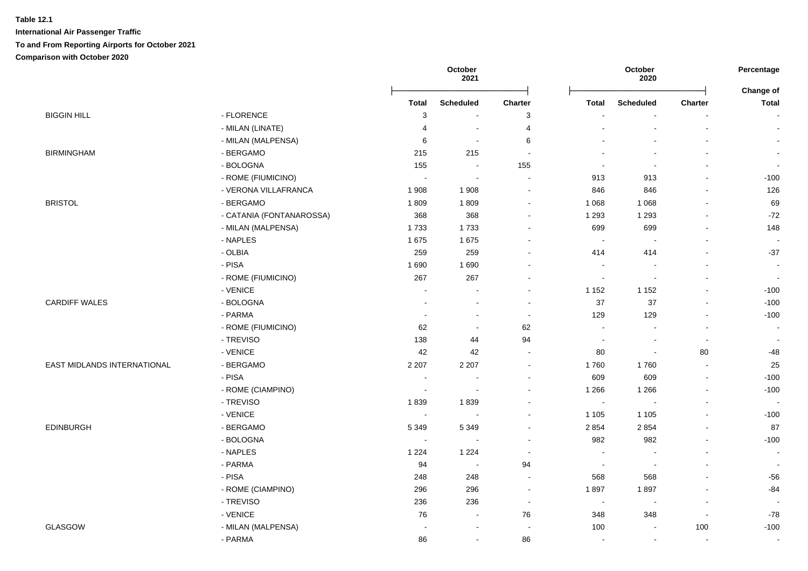|                             |                          | October<br>October<br>2021<br>2020 |                  |                          | Percentage     |           |                          |                           |
|-----------------------------|--------------------------|------------------------------------|------------------|--------------------------|----------------|-----------|--------------------------|---------------------------|
|                             |                          | <b>Total</b>                       | <b>Scheduled</b> | Charter                  | Total          | Scheduled | <b>Charter</b>           | Change of<br><b>Total</b> |
| <b>BIGGIN HILL</b>          | - FLORENCE               | 3                                  | $\sim$           | 3                        |                |           | $\blacksquare$           |                           |
|                             | - MILAN (LINATE)         | $\overline{4}$                     | $\sim$           | 4                        |                |           | $\overline{a}$           |                           |
|                             | - MILAN (MALPENSA)       | 6                                  | $\sim$           | 6                        |                |           |                          |                           |
| <b>BIRMINGHAM</b>           | - BERGAMO                | 215                                | 215              | $\sim$                   |                |           |                          | $\sim$                    |
|                             | - BOLOGNA                | 155                                | $\sim$           | 155                      |                |           | $\overline{\phantom{a}}$ | $\overline{\phantom{a}}$  |
|                             | - ROME (FIUMICINO)       | $\sim$                             | $\sim$           | $\sim$                   | 913            | 913       | $\blacksquare$           | $-100$                    |
|                             | - VERONA VILLAFRANCA     | 1 9 0 8                            | 1 9 0 8          | $\sim$                   | 846            | 846       |                          | 126                       |
| <b>BRISTOL</b>              | - BERGAMO                | 1809                               | 1809             | $\blacksquare$           | 1 0 6 8        | 1 0 6 8   | $\overline{a}$           | 69                        |
|                             | - CATANIA (FONTANAROSSA) | 368                                | 368              | $\sim$                   | 1 2 9 3        | 1 2 9 3   | $\blacksquare$           | $-72$                     |
|                             | - MILAN (MALPENSA)       | 1733                               | 1733             | $\sim$                   | 699            | 699       |                          | 148                       |
|                             | - NAPLES                 | 1675                               | 1675             | $\blacksquare$           | $\sim$         |           |                          | $\sim$                    |
|                             | - OLBIA                  | 259                                | 259              | $\overline{a}$           | 414            | 414       | $\overline{a}$           | $-37$                     |
|                             | - PISA                   | 1690                               | 1690             | $\overline{\phantom{a}}$ | $\sim$         |           |                          | $\overline{\phantom{a}}$  |
|                             | - ROME (FIUMICINO)       | 267                                | 267              | $\blacksquare$           | $\sim$         | $\sim$    | $\blacksquare$           | $\sim$                    |
|                             | - VENICE                 |                                    | $\sim$           | $\sim$                   | 1 1 5 2        | 1 1 5 2   |                          | $-100$                    |
| <b>CARDIFF WALES</b>        | - BOLOGNA                |                                    | $\sim$           | $\blacksquare$           | 37             | 37        | ä,                       | $-100$                    |
|                             | - PARMA                  |                                    | $\sim$           | $\sim$                   | 129            | 129       | $\blacksquare$           | $-100$                    |
|                             | - ROME (FIUMICINO)       | 62                                 | $\sim$           | 62                       | $\sim$         |           | $\sim$                   |                           |
|                             | - TREVISO                | 138                                | 44               | 94                       |                |           | $\sim$                   |                           |
|                             | - VENICE                 | 42                                 | 42               | $\sim$                   | 80             | $\sim$    | 80                       | $-48$                     |
| EAST MIDLANDS INTERNATIONAL | - BERGAMO                | 2 2 0 7                            | 2 2 0 7          | $\sim$                   | 1760           | 1760      | $\overline{a}$           | 25                        |
|                             | - PISA                   | $\sim$                             | $\sim$           | $\sim$                   | 609            | 609       | $\mathbf{r}$             | $-100$                    |
|                             | - ROME (CIAMPINO)        | $\sim$                             | $\sim$           | $\blacksquare$           | 1 2 6 6        | 1 2 6 6   | ä,                       | $-100$                    |
|                             | - TREVISO                | 1839                               | 1839             | $\blacksquare$           | $\sim$         |           | ä,                       | $\sim$                    |
|                             | - VENICE                 | $\sim$                             | $\sim$           | $\sim$                   | 1 1 0 5        | 1 1 0 5   | $\blacksquare$           | $-100$                    |
| <b>EDINBURGH</b>            | - BERGAMO                | 5 3 4 9                            | 5 3 4 9          | $\blacksquare$           | 2 8 5 4        | 2854      | $\blacksquare$           | 87                        |
|                             | - BOLOGNA                | $\sim$                             |                  | $\sim$                   | 982            | 982       |                          | $-100$                    |
|                             | - NAPLES                 | 1 2 2 4                            | 1 2 2 4          | $\sim$                   |                |           |                          | $\sim$                    |
|                             | - PARMA                  | 94                                 | $\sim$           | 94                       | $\sim$         |           | $\blacksquare$           | $\sim$                    |
|                             | - PISA                   | 248                                | 248              | $\sim$                   | 568            | 568       |                          | $-56$                     |
|                             | - ROME (CIAMPINO)        | 296                                | 296              | $\sim$                   | 1897           | 1897      | $\blacksquare$           | $-84$                     |
|                             | - TREVISO                | 236                                | 236              | $\sim$                   | $\blacksquare$ |           | $\blacksquare$           | $\overline{\phantom{a}}$  |
|                             | - VENICE                 | 76                                 | $\blacksquare$   | 76                       | 348            | 348       | $\overline{\phantom{a}}$ | -78                       |
| GLASGOW                     | - MILAN (MALPENSA)       |                                    | $\sim$           | $\sim$                   | 100            |           | 100                      | $-100$                    |
|                             |                          |                                    |                  |                          |                |           |                          |                           |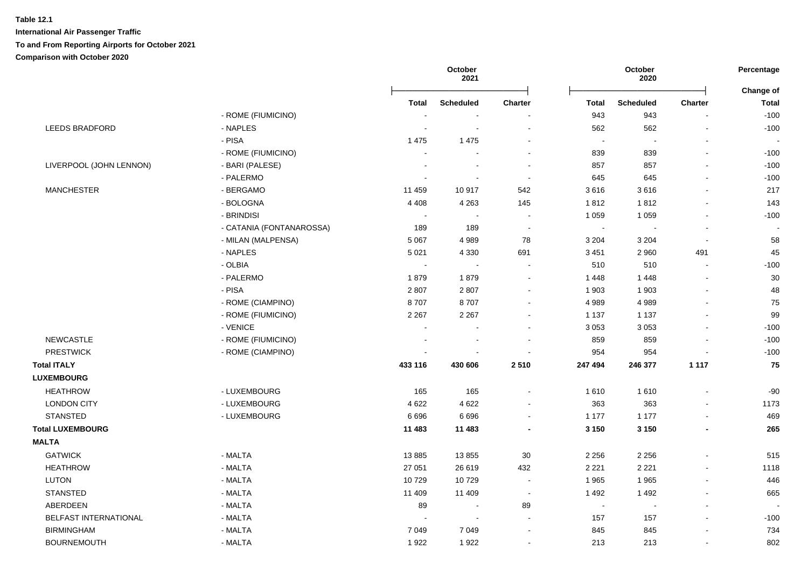|                         |                          |                          | October<br>2021  |                          |                          | October<br>2020          |                | Percentage<br>Change of |
|-------------------------|--------------------------|--------------------------|------------------|--------------------------|--------------------------|--------------------------|----------------|-------------------------|
|                         |                          | Total                    | <b>Scheduled</b> | <b>Charter</b>           | <b>Total</b>             | <b>Scheduled</b>         | <b>Charter</b> | <b>Total</b>            |
|                         | - ROME (FIUMICINO)       |                          |                  |                          | 943                      | 943                      |                | $-100$                  |
| <b>LEEDS BRADFORD</b>   | - NAPLES                 | $\overline{\phantom{a}}$ |                  | $\overline{\phantom{a}}$ | 562                      | 562                      |                | $-100$                  |
|                         | - PISA                   | 1 4 7 5                  | 1 4 7 5          |                          | $\overline{\phantom{a}}$ | $\blacksquare$           |                |                         |
|                         | - ROME (FIUMICINO)       |                          |                  | $\overline{\phantom{a}}$ | 839                      | 839                      |                | $-100$                  |
| LIVERPOOL (JOHN LENNON) | - BARI (PALESE)          |                          |                  | $\sim$                   | 857                      | 857                      |                | $-100$                  |
|                         | - PALERMO                |                          |                  | $\sim$                   | 645                      | 645                      |                | $-100$                  |
| <b>MANCHESTER</b>       | - BERGAMO                | 11 459                   | 10917            | 542                      | 3616                     | 3616                     |                | 217                     |
|                         | - BOLOGNA                | 4 4 0 8                  | 4 2 6 3          | 145                      | 1812                     | 1812                     |                | 143                     |
|                         | - BRINDISI               |                          |                  |                          | 1 0 5 9                  | 1 0 5 9                  |                | $-100$                  |
|                         | - CATANIA (FONTANAROSSA) | 189                      | 189              |                          | $\sim$                   |                          |                |                         |
|                         | - MILAN (MALPENSA)       | 5 0 6 7                  | 4989             | 78                       | 3 2 0 4                  | 3 2 0 4                  | $\sim$         | 58                      |
|                         | - NAPLES                 | 5 0 21                   | 4 3 3 0          | 691                      | 3 4 5 1                  | 2 9 6 0                  | 491            | 45                      |
|                         | - OLBIA                  | $\sim$                   | $\sim$           | $\sim$                   | 510                      | 510                      | $\sim$         | $-100$                  |
|                         | - PALERMO                | 1879                     | 1879             | $\blacksquare$           | 1 4 4 8                  | 1 4 4 8                  |                | 30                      |
|                         | - PISA                   | 2807                     | 2807             | $\blacksquare$           | 1 9 0 3                  | 1 9 0 3                  |                | 48                      |
|                         | - ROME (CIAMPINO)        | 8707                     | 8707             | $\blacksquare$           | 4 9 8 9                  | 4989                     |                | 75                      |
|                         | - ROME (FIUMICINO)       | 2 2 6 7                  | 2 2 6 7          | $\blacksquare$           | 1 1 3 7                  | 1 1 3 7                  |                | 99                      |
|                         | - VENICE                 |                          |                  |                          | 3 0 5 3                  | 3 0 5 3                  |                | $-100$                  |
| <b>NEWCASTLE</b>        | - ROME (FIUMICINO)       |                          |                  |                          | 859                      | 859                      |                | $-100$                  |
| <b>PRESTWICK</b>        | - ROME (CIAMPINO)        |                          |                  | $\sim$                   | 954                      | 954                      |                | $-100$                  |
| <b>Total ITALY</b>      |                          | 433 116                  | 430 606          | 2510                     | 247 494                  | 246 377                  | 1 1 1 7        | 75                      |
| <b>LUXEMBOURG</b>       |                          |                          |                  |                          |                          |                          |                |                         |
| <b>HEATHROW</b>         | - LUXEMBOURG             | 165                      | 165              | $\blacksquare$           | 1610                     | 1610                     |                | $-90$                   |
| <b>LONDON CITY</b>      | - LUXEMBOURG             | 4 6 22                   | 4 6 22           | $\overline{a}$           | 363                      | 363                      |                | 1173                    |
| <b>STANSTED</b>         | - LUXEMBOURG             | 6696                     | 6 6 9 6          | $\blacksquare$           | 1 1 7 7                  | 1 1 7 7                  |                | 469                     |
| <b>Total LUXEMBOURG</b> |                          | 11 483                   | 11 483           | $\blacksquare$           | 3 1 5 0                  | 3 1 5 0                  |                | 265                     |
| <b>MALTA</b>            |                          |                          |                  |                          |                          |                          |                |                         |
| <b>GATWICK</b>          | - MALTA                  | 13885                    | 13855            | 30                       | 2 2 5 6                  | 2 2 5 6                  |                | 515                     |
| <b>HEATHROW</b>         | - MALTA                  | 27 051                   | 26 619           | 432                      | 2 2 2 1                  | 2 2 2 1                  |                | 1118                    |
| LUTON                   | - MALTA                  | 10729                    | 10729            | $\sim$                   | 1965                     | 1965                     | $\sim$         | 446                     |
| <b>STANSTED</b>         | - MALTA                  | 11 409                   | 11 409           | $\sim$                   | 1 4 9 2                  | 1 4 9 2                  |                | 665                     |
| ABERDEEN                | - MALTA                  | 89                       |                  | 89                       | $\sim$                   | $\overline{\phantom{a}}$ |                |                         |
| BELFAST INTERNATIONAL   | - MALTA                  |                          |                  |                          | 157                      | 157                      |                | $-100$                  |
| <b>BIRMINGHAM</b>       | - MALTA                  | 7 0 4 9                  | 7 0 4 9          |                          | 845                      | 845                      |                | 734                     |
| <b>BOURNEMOUTH</b>      | - MALTA                  | 1922                     | 1922             |                          | 213                      | 213                      |                | 802                     |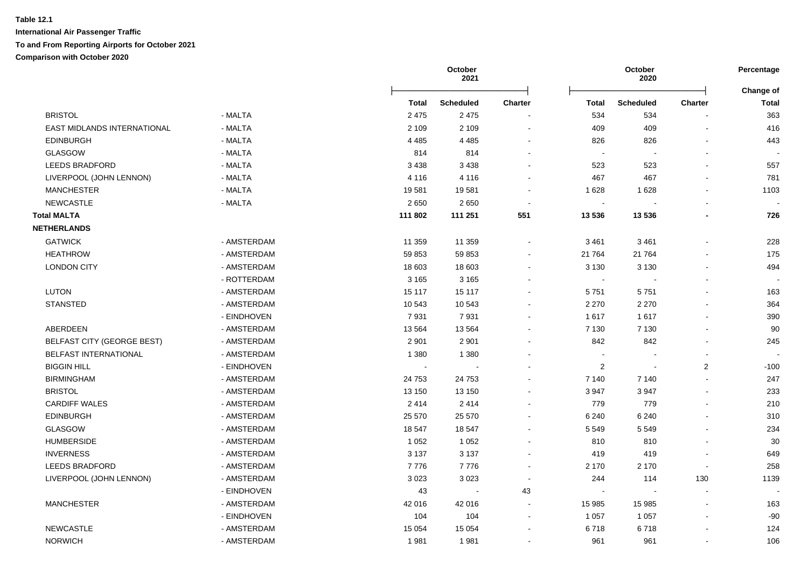|                                    |             |              | October<br>2021  |                      | October<br>2020 |                  |                          | Percentage<br>Change of |
|------------------------------------|-------------|--------------|------------------|----------------------|-----------------|------------------|--------------------------|-------------------------|
|                                    |             | <b>Total</b> | <b>Scheduled</b> | <b>Charter</b>       | <b>Total</b>    | <b>Scheduled</b> | <b>Charter</b>           | <b>Total</b>            |
| <b>BRISTOL</b>                     | - MALTA     | 2 4 7 5      | 2 4 7 5          |                      | 534             | 534              |                          | 363                     |
| <b>EAST MIDLANDS INTERNATIONAL</b> | - MALTA     | 2 1 0 9      | 2 1 0 9          | $\blacksquare$       | 409             | 409              |                          | 416                     |
| <b>EDINBURGH</b>                   | - MALTA     | 4 4 8 5      | 4 4 8 5          |                      | 826             | 826              |                          | 443                     |
| <b>GLASGOW</b>                     | - MALTA     | 814          | 814              |                      | $\sim$          |                  |                          |                         |
| <b>LEEDS BRADFORD</b>              | - MALTA     | 3 4 3 8      | 3 4 3 8          |                      | 523             | 523              |                          | 557                     |
| LIVERPOOL (JOHN LENNON)            | - MALTA     | 4 1 1 6      | 4 1 1 6          |                      | 467             | 467              |                          | 781                     |
| <b>MANCHESTER</b>                  | - MALTA     | 19581        | 19581            |                      | 1 6 2 8         | 1628             |                          | 1103                    |
| <b>NEWCASTLE</b>                   | - MALTA     | 2650         | 2650             |                      |                 |                  |                          |                         |
| <b>Total MALTA</b>                 |             | 111 802      | 111 251          | 551                  | 13 536          | 13 536           |                          | 726                     |
| <b>NETHERLANDS</b>                 |             |              |                  |                      |                 |                  |                          |                         |
| <b>GATWICK</b>                     | - AMSTERDAM | 11 359       | 11 359           |                      | 3 4 6 1         | 3 4 6 1          |                          | 228                     |
| <b>HEATHROW</b>                    | - AMSTERDAM | 59 853       | 59 853           |                      | 21 764          | 21 7 64          |                          | 175                     |
| <b>LONDON CITY</b>                 | - AMSTERDAM | 18 603       | 18 603           |                      | 3 1 3 0         | 3 1 3 0          |                          | 494                     |
|                                    | - ROTTERDAM | 3 1 6 5      | 3 1 6 5          |                      | $\sim$          |                  |                          |                         |
| LUTON                              | - AMSTERDAM | 15 117       | 15 117           |                      | 5751            | 5751             |                          | 163                     |
| <b>STANSTED</b>                    | - AMSTERDAM | 10 543       | 10 543           |                      | 2 2 7 0         | 2 2 7 0          |                          | 364                     |
|                                    | - EINDHOVEN | 7931         | 7931             |                      | 1617            | 1617             |                          | 390                     |
| ABERDEEN                           | - AMSTERDAM | 13 5 64      | 13 5 64          |                      | 7 1 3 0         | 7 1 3 0          |                          | 90                      |
| BELFAST CITY (GEORGE BEST)         | - AMSTERDAM | 2 9 0 1      | 2 9 0 1          |                      | 842             | 842              |                          | 245                     |
| <b>BELFAST INTERNATIONAL</b>       | - AMSTERDAM | 1 3 8 0      | 1 3 8 0          |                      | ÷,              |                  |                          |                         |
| <b>BIGGIN HILL</b>                 | - EINDHOVEN |              |                  |                      | 2               | $\sim$           | $\overline{2}$           | $-100$                  |
| <b>BIRMINGHAM</b>                  | - AMSTERDAM | 24 7 53      | 24 7 53          |                      | 7 140           | 7 140            |                          | 247                     |
| <b>BRISTOL</b>                     | - AMSTERDAM | 13 150       | 13 150           |                      | 3 9 4 7         | 3947             |                          | 233                     |
| <b>CARDIFF WALES</b>               | - AMSTERDAM | 2414         | 2414             |                      | 779             | 779              |                          | 210                     |
| <b>EDINBURGH</b>                   | - AMSTERDAM | 25 570       | 25 570           |                      | 6 2 4 0         | 6 2 4 0          |                          | 310                     |
| GLASGOW                            | - AMSTERDAM | 18 547       | 18 547           |                      | 5 5 4 9         | 5 5 4 9          |                          | 234                     |
| <b>HUMBERSIDE</b>                  | - AMSTERDAM | 1 0 5 2      | 1 0 5 2          |                      | 810             | 810              |                          | 30                      |
| <b>INVERNESS</b>                   | - AMSTERDAM | 3 1 3 7      | 3 1 3 7          |                      | 419             | 419              |                          | 649                     |
| <b>LEEDS BRADFORD</b>              | - AMSTERDAM | 7776         | 7776             |                      | 2 1 7 0         | 2 1 7 0          | $\overline{\phantom{a}}$ | 258                     |
| LIVERPOOL (JOHN LENNON)            | - AMSTERDAM | 3023         | 3023             | $\ddot{\phantom{a}}$ | 244             | 114              | 130                      | 1139                    |
|                                    | - EINDHOVEN | 43           | $\sim$           | 43                   | $\sim$          | $\sim$           | $\sim$                   |                         |
| <b>MANCHESTER</b>                  | - AMSTERDAM | 42 016       | 42 016           | $\blacksquare$       | 15 985          | 15 985           |                          | 163                     |
|                                    | - EINDHOVEN | 104          | 104              | $\blacksquare$       | 1 0 5 7         | 1 0 5 7          |                          | $-90$                   |
| <b>NEWCASTLE</b>                   | - AMSTERDAM | 15 0 54      | 15 0 54          |                      | 6718            | 6718             |                          | 124                     |
| <b>NORWICH</b>                     | - AMSTERDAM | 1981         | 1981             |                      | 961             | 961              |                          | 106                     |
|                                    |             |              |                  |                      |                 |                  |                          |                         |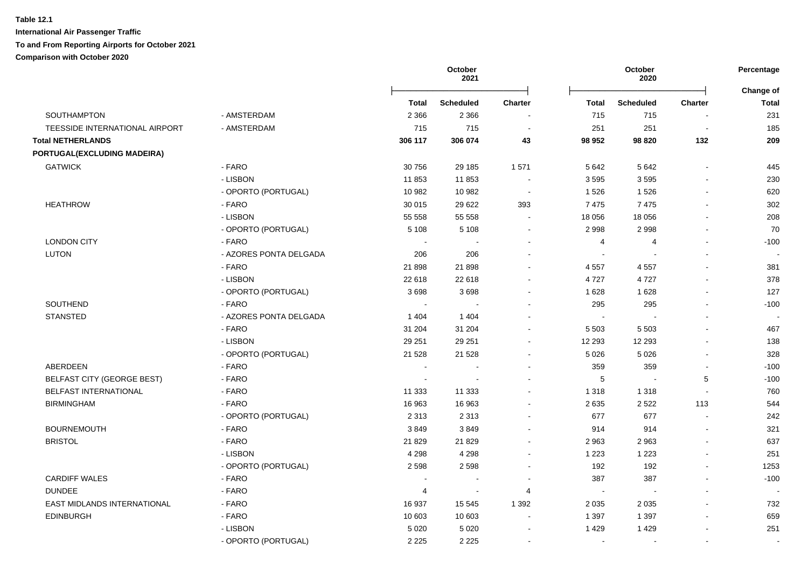|                                |                        |         | October<br>2021  | October<br>2020          |              | Percentage       |                          |                           |
|--------------------------------|------------------------|---------|------------------|--------------------------|--------------|------------------|--------------------------|---------------------------|
|                                |                        | Total   | <b>Scheduled</b> | <b>Charter</b>           | <b>Total</b> | <b>Scheduled</b> | Charter                  | Change of<br><b>Total</b> |
| SOUTHAMPTON                    | - AMSTERDAM            | 2 3 6 6 | 2 3 6 6          |                          | 715          | 715              |                          | 231                       |
| TEESSIDE INTERNATIONAL AIRPORT | - AMSTERDAM            | 715     | 715              |                          | 251          | 251              | $\overline{\phantom{a}}$ | 185                       |
| <b>Total NETHERLANDS</b>       |                        | 306 117 | 306 074          | 43                       | 98 952       | 98 820           | 132                      | 209                       |
| PORTUGAL(EXCLUDING MADEIRA)    |                        |         |                  |                          |              |                  |                          |                           |
| <b>GATWICK</b>                 | - FARO                 | 30 756  | 29 185           | 1571                     | 5 6 4 2      | 5 6 4 2          |                          | 445                       |
|                                | - LISBON               | 11853   | 11853            |                          | 3595         | 3595             |                          | 230                       |
|                                | - OPORTO (PORTUGAL)    | 10 982  | 10 982           | $\sim$                   | 1 5 2 6      | 1526             | $\sim$                   | 620                       |
| <b>HEATHROW</b>                | - FARO                 | 30 015  | 29 6 22          | 393                      | 7475         | 7475             | $\blacksquare$           | 302                       |
|                                | - LISBON               | 55 558  | 55 558           | $\sim$                   | 18 056       | 18 0 56          | $\blacksquare$           | 208                       |
|                                | - OPORTO (PORTUGAL)    | 5 1 0 8 | 5 1 0 8          | $\sim$                   | 2 9 9 8      | 2998             | $\overline{a}$           | 70                        |
| <b>LONDON CITY</b>             | - FARO                 |         |                  |                          | 4            | 4                |                          | $-100$                    |
| <b>LUTON</b>                   | - AZORES PONTA DELGADA | 206     | 206              |                          |              |                  |                          |                           |
|                                | - FARO                 | 21898   | 21 898           | $\blacksquare$           | 4557         | 4557             | $\blacksquare$           | 381                       |
|                                | - LISBON               | 22 618  | 22 618           | $\sim$                   | 4727         | 4727             | $\overline{a}$           | 378                       |
|                                | - OPORTO (PORTUGAL)    | 3698    | 3698             | $\overline{\phantom{a}}$ | 1628         | 1628             | $\sim$                   | 127                       |
| SOUTHEND                       | - FARO                 |         |                  |                          | 295          | 295              |                          | $-100$                    |
| <b>STANSTED</b>                | - AZORES PONTA DELGADA | 1 4 0 4 | 1 4 0 4          |                          | $\sim$       |                  |                          |                           |
|                                | - FARO                 | 31 204  | 31 204           |                          | 5 5 0 3      | 5 5 0 3          |                          | 467                       |
|                                | - LISBON               | 29 251  | 29 251           |                          | 12 293       | 12 293           |                          | 138                       |
|                                | - OPORTO (PORTUGAL)    | 21 5 28 | 21 5 28          |                          | 5 0 26       | 5 0 26           |                          | 328                       |
| <b>ABERDEEN</b>                | - FARO                 |         |                  |                          | 359          | 359              | $\sim$                   | $-100$                    |
| BELFAST CITY (GEORGE BEST)     | - FARO                 |         |                  | $\overline{a}$           | $\,$ 5 $\,$  | $\sim$           | 5                        | $-100$                    |
| BELFAST INTERNATIONAL          | - FARO                 | 11 333  | 11 333           |                          | 1 3 1 8      | 1 3 1 8          |                          | 760                       |
| <b>BIRMINGHAM</b>              | - FARO                 | 16 963  | 16 963           |                          | 2635         | 2 5 2 2          | 113                      | 544                       |
|                                | - OPORTO (PORTUGAL)    | 2 3 1 3 | 2 3 1 3          |                          | 677          | 677              | $\blacksquare$           | 242                       |
| <b>BOURNEMOUTH</b>             | - FARO                 | 3849    | 3849             |                          | 914          | 914              |                          | 321                       |
| <b>BRISTOL</b>                 | - FARO                 | 21 8 29 | 21 8 29          |                          | 2 9 6 3      | 2963             |                          | 637                       |
|                                | - LISBON               | 4 2 9 8 | 4 2 9 8          | $\overline{a}$           | 1 2 2 3      | 1 2 2 3          | $\overline{a}$           | 251                       |
|                                | - OPORTO (PORTUGAL)    | 2 5 9 8 | 2598             | $\blacksquare$           | 192          | 192              | $\blacksquare$           | 1253                      |
| <b>CARDIFF WALES</b>           | - FARO                 |         |                  |                          | 387          | 387              | $\blacksquare$           | $-100$                    |
| <b>DUNDEE</b>                  | - FARO                 | 4       | $\sim$           | 4                        | $\sim$       | $\sim$           |                          |                           |
| EAST MIDLANDS INTERNATIONAL    | - FARO                 | 16 937  | 15 545           | 1 3 9 2                  | 2 0 3 5      | 2 0 3 5          |                          | 732                       |
| <b>EDINBURGH</b>               | - FARO                 | 10 603  | 10 603           |                          | 1 3 9 7      | 1 3 9 7          |                          | 659                       |
|                                | - LISBON               | 5 0 20  | 5 0 2 0          |                          | 1 4 2 9      | 1 4 2 9          |                          | 251                       |
|                                | - OPORTO (PORTUGAL)    | 2 2 2 5 | 2 2 2 5          |                          | $\sim$       |                  | $\overline{a}$           |                           |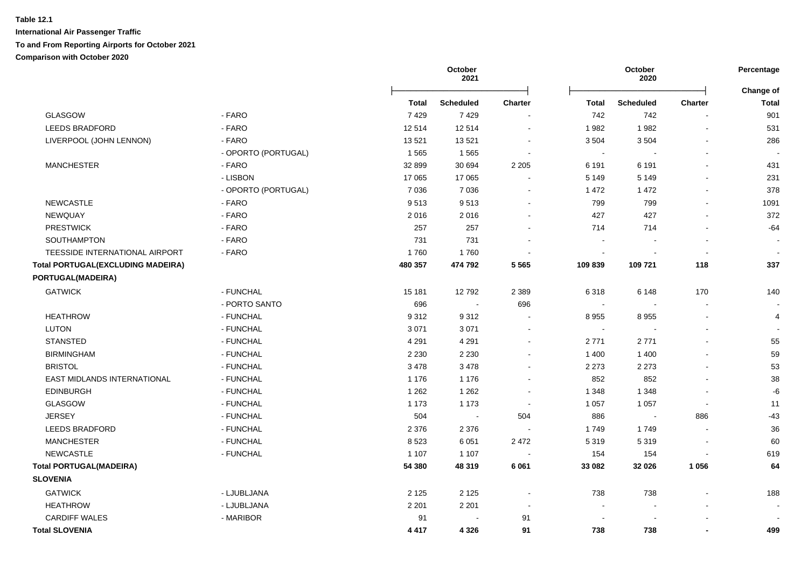|                                          |                     |         | October<br>October<br>2021<br>2020 |                | Percentage<br>Change of |                  |                          |              |
|------------------------------------------|---------------------|---------|------------------------------------|----------------|-------------------------|------------------|--------------------------|--------------|
|                                          |                     | Total   | <b>Scheduled</b>                   | <b>Charter</b> | <b>Total</b>            | <b>Scheduled</b> | <b>Charter</b>           | <b>Total</b> |
| GLASGOW                                  | - FARO              | 7429    | 7429                               |                | 742                     | 742              |                          | 901          |
| <b>LEEDS BRADFORD</b>                    | - FARO              | 12514   | 12514                              |                | 1982                    | 1982             |                          | 531          |
| LIVERPOOL (JOHN LENNON)                  | - FARO              | 13521   | 13521                              |                | 3 5 0 4                 | 3504             |                          | 286          |
|                                          | - OPORTO (PORTUGAL) | 1 5 6 5 | 1565                               |                | $\sim$                  |                  |                          |              |
| <b>MANCHESTER</b>                        | - FARO              | 32 899  | 30 694                             | 2 2 0 5        | 6 1 9 1                 | 6 1 9 1          | $\overline{a}$           | 431          |
|                                          | - LISBON            | 17 065  | 17 065                             |                | 5 1 4 9                 | 5 1 4 9          | $\overline{a}$           | 231          |
|                                          | - OPORTO (PORTUGAL) | 7 0 3 6 | 7 0 36                             |                | 1 472                   | 1 4 7 2          | $\blacksquare$           | 378          |
| <b>NEWCASTLE</b>                         | - FARO              | 9513    | 9513                               |                | 799                     | 799              | $\blacksquare$           | 1091         |
| NEWQUAY                                  | - FARO              | 2016    | 2016                               |                | 427                     | 427              | $\blacksquare$           | 372          |
| <b>PRESTWICK</b>                         | - FARO              | 257     | 257                                |                | 714                     | 714              |                          | $-64$        |
| SOUTHAMPTON                              | - FARO              | 731     | 731                                |                |                         |                  |                          |              |
| TEESSIDE INTERNATIONAL AIRPORT           | - FARO              | 1760    | 1760                               |                |                         |                  | $\overline{\phantom{a}}$ |              |
| <b>Total PORTUGAL(EXCLUDING MADEIRA)</b> |                     | 480 357 | 474 792                            | 5 5 6 5        | 109 839                 | 109 721          | 118                      | 337          |
| PORTUGAL(MADEIRA)                        |                     |         |                                    |                |                         |                  |                          |              |
| <b>GATWICK</b>                           | - FUNCHAL           | 15 181  | 12792                              | 2 3 8 9        | 6318                    | 6 1 4 8          | 170                      | 140          |
|                                          | - PORTO SANTO       | 696     | $\blacksquare$                     | 696            | $\sim$                  | $\overline{a}$   | $\blacksquare$           |              |
| <b>HEATHROW</b>                          | - FUNCHAL           | 9312    | 9312                               |                | 8 9 5 5                 | 8955             | $\blacksquare$           | 4            |
| <b>LUTON</b>                             | - FUNCHAL           | 3 0 7 1 | 3 0 7 1                            |                | $\sim$                  | $\blacksquare$   | $\overline{a}$           |              |
| <b>STANSTED</b>                          | - FUNCHAL           | 4 2 9 1 | 4 2 9 1                            | $\sim$         | 2771                    | 2771             | $\blacksquare$           | 55           |
| <b>BIRMINGHAM</b>                        | - FUNCHAL           | 2 2 3 0 | 2 2 3 0                            |                | 1 400                   | 1 4 0 0          |                          | 59           |
| <b>BRISTOL</b>                           | - FUNCHAL           | 3478    | 3478                               |                | 2 2 7 3                 | 2 2 7 3          |                          | 53           |
| EAST MIDLANDS INTERNATIONAL              | - FUNCHAL           | 1 1 7 6 | 1 1 7 6                            |                | 852                     | 852              |                          | 38           |
| <b>EDINBURGH</b>                         | - FUNCHAL           | 1 2 6 2 | 1 2 6 2                            | $\sim$         | 1 3 4 8                 | 1 3 4 8          |                          | -6           |
| GLASGOW                                  | - FUNCHAL           | 1 1 7 3 | 1 1 7 3                            |                | 1 0 5 7                 | 1 0 5 7          | $\overline{\phantom{a}}$ | 11           |
| <b>JERSEY</b>                            | - FUNCHAL           | 504     | $\sim$                             | 504            | 886                     | $\sim$           | 886                      | $-43$        |
| <b>LEEDS BRADFORD</b>                    | - FUNCHAL           | 2 3 7 6 | 2 3 7 6                            |                | 1749                    | 1749             |                          | 36           |
| <b>MANCHESTER</b>                        | - FUNCHAL           | 8523    | 6 0 5 1                            | 2 4 7 2        | 5 3 1 9                 | 5319             |                          | 60           |
| <b>NEWCASTLE</b>                         | - FUNCHAL           | 1 1 0 7 | 1 1 0 7                            |                | 154                     | 154              |                          | 619          |
| <b>Total PORTUGAL(MADEIRA)</b>           |                     | 54 380  | 48 319                             | 6 0 61         | 33 082                  | 32 0 26          | 1 0 5 6                  | 64           |
| <b>SLOVENIA</b>                          |                     |         |                                    |                |                         |                  |                          |              |
| <b>GATWICK</b>                           | - LJUBLJANA         | 2 1 2 5 | 2 1 2 5                            |                | 738                     | 738              |                          | 188          |
| <b>HEATHROW</b>                          | - LJUBLJANA         | 2 2 0 1 | 2 2 0 1                            |                |                         |                  |                          |              |
| <b>CARDIFF WALES</b>                     | - MARIBOR           | 91      | $\blacksquare$                     | 91             |                         |                  |                          |              |
| <b>Total SLOVENIA</b>                    |                     | 4 4 1 7 | 4 3 2 6                            | 91             | 738                     | 738              |                          | 499          |
|                                          |                     |         |                                    |                |                         |                  |                          |              |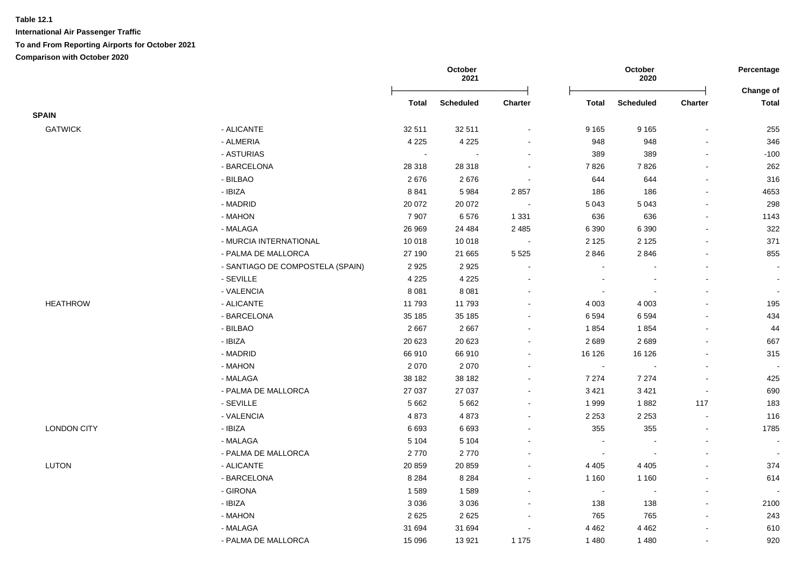|                    |                                  |                | October<br>2021  |                          |                | October<br>2020  |                          | Percentage<br>Change of  |
|--------------------|----------------------------------|----------------|------------------|--------------------------|----------------|------------------|--------------------------|--------------------------|
|                    |                                  | <b>Total</b>   | <b>Scheduled</b> | Charter                  | <b>Total</b>   | <b>Scheduled</b> | <b>Charter</b>           | <b>Total</b>             |
| <b>SPAIN</b>       |                                  |                |                  |                          |                |                  |                          |                          |
| <b>GATWICK</b>     | - ALICANTE                       | 32 511         | 32 511           | $\blacksquare$           | 9 1 6 5        | 9 1 6 5          |                          | 255                      |
|                    | - ALMERIA                        | 4 2 2 5        | 4 2 2 5          | ä,                       | 948            | 948              |                          | 346                      |
|                    | - ASTURIAS                       | $\blacksquare$ |                  | $\blacksquare$           | 389            | 389              | $\blacksquare$           | $-100$                   |
|                    | - BARCELONA                      | 28 318         | 28 318           | $\blacksquare$           | 7826           | 7826             | $\overline{\phantom{a}}$ | 262                      |
|                    | - BILBAO                         | 2676           | 2676             | $\overline{\phantom{a}}$ | 644            | 644              | $\sim$                   | 316                      |
|                    | - IBIZA                          | 8841           | 5984             | 2857                     | 186            | 186              |                          | 4653                     |
|                    | - MADRID                         | 20 072         | 20 072           | $\overline{\phantom{a}}$ | 5 0 4 3        | 5 0 4 3          |                          | 298                      |
|                    | - MAHON                          | 7 9 0 7        | 6576             | 1 3 3 1                  | 636            | 636              |                          | 1143                     |
|                    | - MALAGA                         | 26 969         | 24 4 84          | 2 4 8 5                  | 6 3 9 0        | 6 3 9 0          |                          | 322                      |
|                    | - MURCIA INTERNATIONAL           | 10 018         | 10 018           | $\overline{\phantom{a}}$ | 2 1 2 5        | 2 1 2 5          | $\sim$                   | 371                      |
|                    | - PALMA DE MALLORCA              | 27 190         | 21 665           | 5 5 2 5                  | 2 8 4 6        | 2846             | $\sim$                   | 855                      |
|                    | - SANTIAGO DE COMPOSTELA (SPAIN) | 2925           | 2925             | $\blacksquare$           |                |                  |                          |                          |
|                    | - SEVILLE                        | 4 2 2 5        | 4 2 2 5          | $\overline{\phantom{0}}$ |                |                  |                          |                          |
|                    | - VALENCIA                       | 8 0 8 1        | 8 0 8 1          | $\sim$                   |                | $\overline{a}$   |                          | $\sim$                   |
| <b>HEATHROW</b>    | - ALICANTE                       | 11793          | 11793            | $\blacksquare$           | 4 0 0 3        | 4 0 0 3          |                          | 195                      |
|                    | - BARCELONA                      | 35 185         | 35 185           | ä,                       | 6 5 9 4        | 6594             |                          | 434                      |
|                    | - BILBAO                         | 2667           | 2667             | ۰                        | 1854           | 1854             |                          | 44                       |
|                    | - IBIZA                          | 20 623         | 20 6 23          | $\overline{a}$           | 2689           | 2689             |                          | 667                      |
|                    | - MADRID                         | 66910          | 66910            | ä,                       | 16 126         | 16 126           |                          | 315                      |
|                    | - MAHON                          | 2070           | 2070             | $\blacksquare$           | $\sim$         |                  |                          | $\overline{\phantom{a}}$ |
|                    | - MALAGA                         | 38 182         | 38 182           | ä,                       | 7 2 7 4        | 7 2 7 4          |                          | 425                      |
|                    | - PALMA DE MALLORCA              | 27 037         | 27 037           | $\overline{\phantom{0}}$ | 3 4 21         | 3 4 21           |                          | 690                      |
|                    | - SEVILLE                        | 5 6 6 2        | 5 6 6 2          |                          | 1999           | 1882             | 117                      | 183                      |
|                    | - VALENCIA                       | 4873           | 4873             | ÷,                       | 2 2 5 3        | 2 2 5 3          | $\overline{\phantom{a}}$ | 116                      |
| <b>LONDON CITY</b> | - IBIZA                          | 6693           | 6693             | ä,                       | 355            | 355              | $\sim$                   | 1785                     |
|                    | - MALAGA                         | 5 1 0 4        | 5 1 0 4          | $\blacksquare$           | $\sim$         |                  | $\sim$                   |                          |
|                    | - PALMA DE MALLORCA              | 2770           | 2770             | ۰                        | $\sim$         | $\sim$           | $\sim$                   |                          |
| <b>LUTON</b>       | - ALICANTE                       | 20 859         | 20 859           | $\sim$                   | 4 4 0 5        | 4 4 0 5          | $\sim$                   | 374                      |
|                    | - BARCELONA                      | 8 2 8 4        | 8 2 8 4          | $\blacksquare$           | 1 1 6 0        | 1 1 6 0          | $\sim$                   | 614                      |
|                    | - GIRONA                         | 1589           | 1589             | $\blacksquare$           | $\blacksquare$ |                  |                          |                          |
|                    | - IBIZA                          | 3 0 3 6        | 3 0 3 6          | ÷,                       | 138            | 138              |                          | 2100                     |
|                    | - MAHON                          | 2625           | 2625             | ÷                        | 765            | 765              | $\sim$                   | 243                      |
|                    | - MALAGA                         | 31 694         | 31 694           |                          | 4 4 6 2        | 4 4 6 2          |                          | 610                      |
|                    | - PALMA DE MALLORCA              | 15 0 96        | 13 9 21          | 1 1 7 5                  | 1 4 8 0        | 1 4 8 0          | $\mathbf{r}$             | 920                      |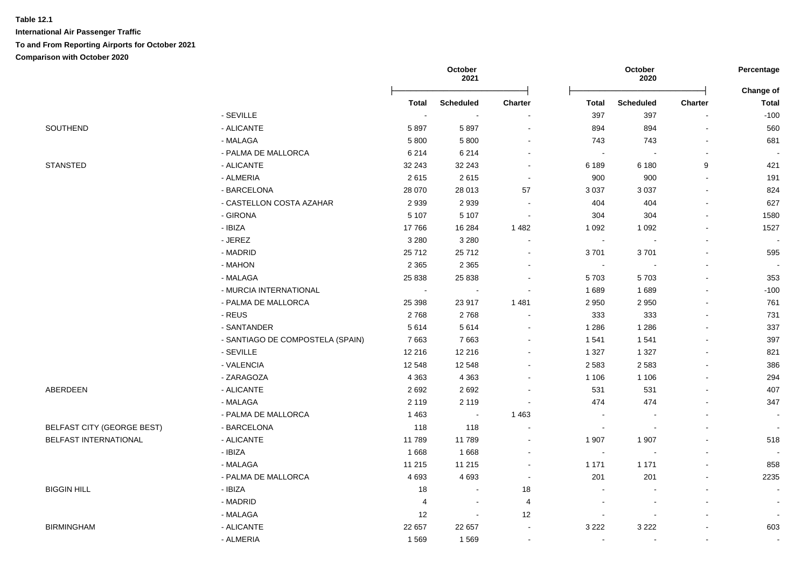|                                   |                                  |                | October<br>2021             |                          |                | October<br>2020          |                          | Percentage<br>Change of  |
|-----------------------------------|----------------------------------|----------------|-----------------------------|--------------------------|----------------|--------------------------|--------------------------|--------------------------|
|                                   |                                  | Total          | <b>Scheduled</b>            | <b>Charter</b>           | <b>Total</b>   | <b>Scheduled</b>         | <b>Charter</b>           | <b>Total</b>             |
|                                   | - SEVILLE                        |                | $\sim$                      |                          | 397            | 397                      |                          | $-100$                   |
| SOUTHEND                          | - ALICANTE                       | 5897           | 5897                        | $\blacksquare$           | 894            | 894                      | $\blacksquare$           | 560                      |
|                                   | - MALAGA                         | 5800           | 5 8 0 0                     | $\blacksquare$           | 743            | 743                      |                          | 681                      |
|                                   | - PALMA DE MALLORCA              | 6 2 1 4        | 6 2 1 4                     | $\sim$                   | $\sim$         |                          | $\sim$                   |                          |
| <b>STANSTED</b>                   | - ALICANTE                       | 32 243         | 32 243                      | $\sim$                   | 6 189          | 6 180                    | 9                        | 421                      |
|                                   | - ALMERIA                        | 2615           | 2615                        | $\blacksquare$           | 900            | 900                      | $\blacksquare$           | 191                      |
|                                   | - BARCELONA                      | 28 070         | 28 013                      | 57                       | 3 0 3 7        | 3 0 3 7                  |                          | 824                      |
|                                   | - CASTELLON COSTA AZAHAR         | 2939           | 2939                        |                          | 404            | 404                      |                          | 627                      |
|                                   | - GIRONA                         | 5 1 0 7        | 5 1 0 7                     | $\blacksquare$           | 304            | 304                      |                          | 1580                     |
|                                   | - IBIZA                          | 17766          | 16 284                      | 1482                     | 1 0 9 2        | 1 0 9 2                  |                          | 1527                     |
|                                   | - JEREZ                          | 3 2 8 0        | 3 2 8 0                     |                          | $\sim$         |                          |                          |                          |
|                                   | - MADRID                         | 25712          | 25712                       | $\overline{a}$           | 3701           | 3701                     |                          | 595                      |
|                                   | - MAHON                          | 2 3 6 5        | 2 3 6 5                     |                          | $\sim$         |                          |                          | $\overline{\phantom{a}}$ |
|                                   | - MALAGA                         | 25 8 38        | 25 8 38                     | $\blacksquare$           | 5703           | 5703                     |                          | 353                      |
|                                   | - MURCIA INTERNATIONAL           | $\blacksquare$ | $\mathcal{L}_{\mathcal{A}}$ |                          | 1689           | 1689                     |                          | $-100$                   |
|                                   | - PALMA DE MALLORCA              | 25 3 98        | 23 917                      | 1 4 8 1                  | 2 9 5 0        | 2 9 5 0                  |                          | 761                      |
|                                   | - REUS                           | 2768           | 2768                        | $\blacksquare$           | 333            | 333                      |                          | 731                      |
|                                   | - SANTANDER                      | 5614           | 5614                        | $\blacksquare$           | 1 2 8 6        | 1 2 8 6                  |                          | 337                      |
|                                   | - SANTIAGO DE COMPOSTELA (SPAIN) | 7663           | 7663                        | $\blacksquare$           | 1 5 4 1        | 1541                     |                          | 397                      |
|                                   | - SEVILLE                        | 12 216         | 12 216                      | $\blacksquare$           | 1 3 2 7        | 1 3 2 7                  |                          | 821                      |
|                                   | - VALENCIA                       | 12 548         | 12 548                      | $\mathbf{r}$             | 2 5 8 3        | 2 5 8 3                  |                          | 386                      |
|                                   | - ZARAGOZA                       | 4 3 6 3        | 4 3 6 3                     | $\sim$                   | 1 1 0 6        | 1 1 0 6                  | $\overline{\phantom{a}}$ | 294                      |
| ABERDEEN                          | - ALICANTE                       | 2692           | 2692                        |                          | 531            | 531                      | $\sim$                   | 407                      |
|                                   | - MALAGA                         | 2 1 1 9        | 2 1 1 9                     | $\blacksquare$           | 474            | 474                      |                          | 347                      |
|                                   | - PALMA DE MALLORCA              | 1 4 6 3        | $\sim$                      | 1 4 6 3                  | $\sim$         |                          |                          | $\blacksquare$           |
| <b>BELFAST CITY (GEORGE BEST)</b> | - BARCELONA                      | 118            | 118                         | $\overline{\phantom{a}}$ | $\blacksquare$ |                          |                          |                          |
| BELFAST INTERNATIONAL             | - ALICANTE                       | 11789          | 11789                       | $\blacksquare$           | 1 907          | 1 907                    |                          | 518                      |
|                                   | - IBIZA                          | 1668           | 1668                        |                          | $\sim$         |                          |                          |                          |
|                                   | - MALAGA                         | 11 215         | 11 215                      | $\blacksquare$           | 1 1 7 1        | 1 1 7 1                  |                          | 858                      |
|                                   | - PALMA DE MALLORCA              | 4 6 9 3        | 4693                        | $\blacksquare$           | 201            | 201                      | $\overline{\phantom{a}}$ | 2235                     |
| <b>BIGGIN HILL</b>                | - IBIZA                          | 18             | $\sim$                      | 18                       | $\sim$         |                          |                          | $\mathbf{r}$             |
|                                   | - MADRID                         | $\overline{4}$ | $\sim$                      | 4                        | $\sim$         |                          |                          | $\sim$                   |
|                                   | - MALAGA                         | 12             | $\blacksquare$              | 12                       | $\blacksquare$ | $\blacksquare$           |                          | $\blacksquare$           |
| <b>BIRMINGHAM</b>                 | - ALICANTE                       | 22 657         | 22 657                      | $\blacksquare$           | 3 2 2 2        | 3 2 2 2                  |                          | 603                      |
|                                   | - ALMERIA                        | 1569           | 1569                        | $\blacksquare$           | $\sim$         | $\overline{\phantom{a}}$ | $\overline{\phantom{a}}$ | $\blacksquare$           |
|                                   |                                  |                |                             |                          |                |                          |                          |                          |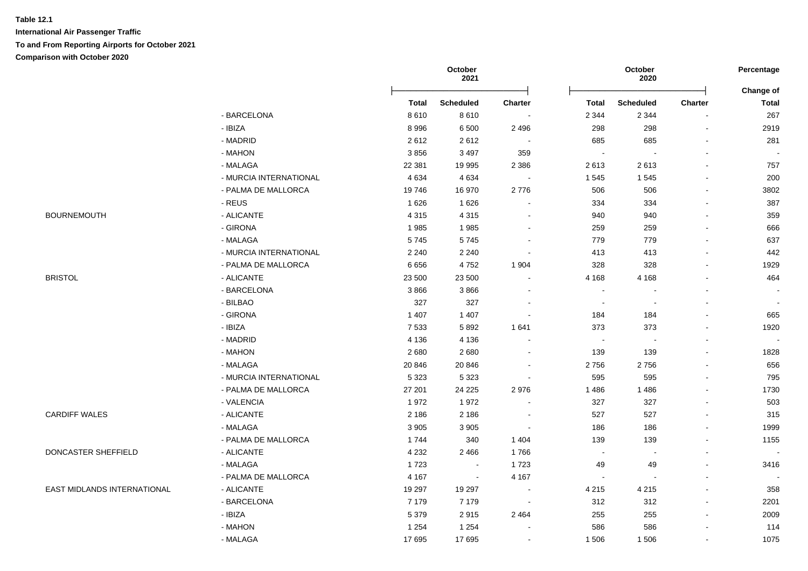|                             |                        | October<br>2021 |                  |                          | October<br>2020 |                  |                |                           |
|-----------------------------|------------------------|-----------------|------------------|--------------------------|-----------------|------------------|----------------|---------------------------|
|                             |                        | <b>Total</b>    | <b>Scheduled</b> | Charter                  | <b>Total</b>    | <b>Scheduled</b> | Charter        | Change of<br><b>Total</b> |
|                             | - BARCELONA            | 8610            | 8610             | $\sim$                   | 2 3 4 4         | 2 3 4 4          | $\blacksquare$ | 267                       |
|                             | - IBIZA                | 8996            | 6500             | 2 4 9 6                  | 298             | 298              | $\blacksquare$ | 2919                      |
|                             | - MADRID               | 2612            | 2612             | $\sim$                   | 685             | 685              | $\blacksquare$ | 281                       |
|                             | - MAHON                | 3856            | 3 4 9 7          | 359                      | $\sim$          |                  | ä,             |                           |
|                             | - MALAGA               | 22 381          | 19 995           | 2 3 8 6                  | 2613            | 2613             | $\mathbf{r}$   | 757                       |
|                             | - MURCIA INTERNATIONAL | 4 6 3 4         | 4634             | $\sim$                   | 1 5 4 5         | 1545             | $\overline{a}$ | 200                       |
|                             | - PALMA DE MALLORCA    | 19746           | 16970            | 2776                     | 506             | 506              | $\blacksquare$ | 3802                      |
|                             | - REUS                 | 1626            | 1626             | $\sim$                   | 334             | 334              |                | 387                       |
| <b>BOURNEMOUTH</b>          | - ALICANTE             | 4 3 1 5         | 4 3 1 5          | $\sim$                   | 940             | 940              | ä,             | 359                       |
|                             | - GIRONA               | 1985            | 1985             | $\sim$                   | 259             | 259              | $\mathbf{r}$   | 666                       |
|                             | - MALAGA               | 5745            | 5745             | $\sim$                   | 779             | 779              |                | 637                       |
|                             | - MURCIA INTERNATIONAL | 2 2 4 0         | 2 2 4 0          | $\sim$                   | 413             | 413              |                | 442                       |
|                             | - PALMA DE MALLORCA    | 6656            | 4752             | 1 904                    | 328             | 328              | $\overline{a}$ | 1929                      |
| <b>BRISTOL</b>              | - ALICANTE             | 23 500          | 23 500           | $\sim$                   | 4 1 6 8         | 4 1 6 8          |                | 464                       |
|                             | - BARCELONA            | 3866            | 3866             | $\sim$                   | $\sim$          |                  | $\blacksquare$ |                           |
|                             | - BILBAO               | 327             | 327              | $\sim$                   | $\blacksquare$  | $\sim$           | $\overline{a}$ |                           |
|                             | - GIRONA               | 1 4 0 7         | 1 4 0 7          | $\sim$                   | 184             | 184              | ä,             | 665                       |
|                             | - IBIZA                | 7 5 3 3         | 5892             | 1641                     | 373             | 373              | $\mathbf{r}$   | 1920                      |
|                             | - MADRID               | 4 1 3 6         | 4 1 3 6          | $\blacksquare$           | $\blacksquare$  |                  | $\blacksquare$ |                           |
|                             | - MAHON                | 2680            | 2680             | $\blacksquare$           | 139             | 139              | ä,             | 1828                      |
|                             | - MALAGA               | 20 846          | 20 846           | $\blacksquare$           | 2756            | 2756             | $\mathbf{r}$   | 656                       |
|                             | - MURCIA INTERNATIONAL | 5 3 2 3         | 5 3 2 3          | $\overline{\phantom{a}}$ | 595             | 595              | $\blacksquare$ | 795                       |
|                             | - PALMA DE MALLORCA    | 27 201          | 24 2 25          | 2976                     | 1 4 8 6         | 1 4 8 6          | $\blacksquare$ | 1730                      |
|                             | - VALENCIA             | 1972            | 1972             | $\sim$                   | 327             | 327              | ä,             | 503                       |
| <b>CARDIFF WALES</b>        | - ALICANTE             | 2 1 8 6         | 2 1 8 6          | $\sim$                   | 527             | 527              | $\blacksquare$ | 315                       |
|                             | - MALAGA               | 3 9 0 5         | 3 9 0 5          | $\sim$                   | 186             | 186              | $\blacksquare$ | 1999                      |
|                             | - PALMA DE MALLORCA    | 1744            | 340              | 1 4 0 4                  | 139             | 139              |                | 1155                      |
| DONCASTER SHEFFIELD         | - ALICANTE             | 4 2 3 2         | 2 4 6 6          | 1766                     | $\sim$          |                  |                | $\sim$                    |
|                             | - MALAGA               | 1723            | $\sim$           | 1723                     | 49              | 49               | $\overline{a}$ | 3416                      |
|                             | - PALMA DE MALLORCA    | 4 1 6 7         | $\sim$           | 4 1 6 7                  | $\sim$          |                  | $\overline{a}$ | $\sim$                    |
| EAST MIDLANDS INTERNATIONAL | - ALICANTE             | 19 297          | 19 297           | $\sim$                   | 4 2 1 5         | 4 2 1 5          | $\blacksquare$ | 358                       |
|                             | - BARCELONA            | 7 1 7 9         | 7 1 7 9          | $\sim$                   | 312             | 312              | $\blacksquare$ | 2201                      |
|                             | - IBIZA                | 5 3 7 9         | 2915             | 2 4 6 4                  | 255             | 255              | $\blacksquare$ | 2009                      |
|                             | - MAHON                | 1 2 5 4         | 1 2 5 4          |                          | 586             | 586              | $\blacksquare$ | 114                       |
|                             | - MALAGA               | 17695           | 17695            | $\blacksquare$           | 1 506           | 1 506            | $\blacksquare$ | 1075                      |
|                             |                        |                 |                  |                          |                 |                  |                |                           |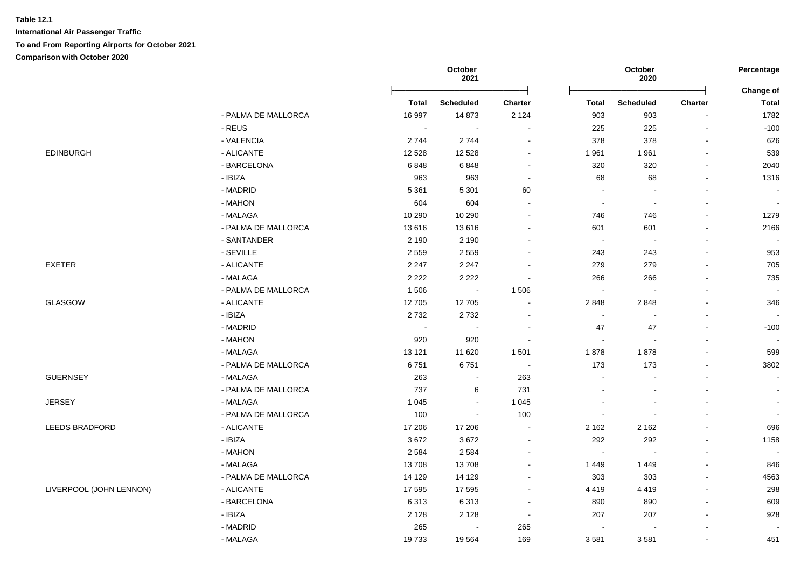# **Table 12.1 International Air Passenger Traffic**

**To and From Reporting Airports for October 2021**

**Comparison with October 2020**

|                         |                     |                | October<br>2021          |                          |                | October<br>2020  |                | Percentage                |
|-------------------------|---------------------|----------------|--------------------------|--------------------------|----------------|------------------|----------------|---------------------------|
|                         |                     | <b>Total</b>   | <b>Scheduled</b>         | <b>Charter</b>           | <b>Total</b>   | <b>Scheduled</b> | Charter        | Change of<br><b>Total</b> |
|                         | - PALMA DE MALLORCA | 16 997         | 14 873                   | 2 1 2 4                  | 903            | 903              |                | 1782                      |
|                         | - REUS              | $\blacksquare$ | $\sim$                   | $\blacksquare$           | 225            | 225              | $\blacksquare$ | $-100$                    |
|                         | - VALENCIA          | 2744           | 2744                     | $\blacksquare$           | 378            | 378              | ä,             | 626                       |
| <b>EDINBURGH</b>        | - ALICANTE          | 12 5 28        | 12 5 28                  | $\blacksquare$           | 1961           | 1961             | ä,             | 539                       |
|                         | - BARCELONA         | 6848           | 6848                     | $\sim$                   | 320            | 320              | $\blacksquare$ | 2040                      |
|                         | - IBIZA             | 963            | 963                      | $\sim$                   | 68             | 68               | ä,             | 1316                      |
|                         | - MADRID            | 5 3 6 1        | 5 3 0 1                  | 60                       | $\sim$         |                  |                | $\sim$                    |
|                         | - MAHON             | 604            | 604                      | $\sim$                   | $\sim$         | $\overline{a}$   | $\overline{a}$ | $\sim$                    |
|                         | - MALAGA            | 10 290         | 10 290                   | $\blacksquare$           | 746            | 746              | $\blacksquare$ | 1279                      |
|                         | - PALMA DE MALLORCA | 13616          | 13616                    | $\sim$                   | 601            | 601              | $\blacksquare$ | 2166                      |
|                         | - SANTANDER         | 2 1 9 0        | 2 1 9 0                  | $\blacksquare$           | $\sim$         | $\sim$           | $\blacksquare$ | $\sim$                    |
|                         | - SEVILLE           | 2 5 5 9        | 2559                     | ä,                       | 243            | 243              | ä,             | 953                       |
| EXETER                  | - ALICANTE          | 2 2 4 7        | 2 2 4 7                  |                          | 279            | 279              | $\blacksquare$ | 705                       |
|                         | - MALAGA            | 2 2 2 2        | 2 2 2 2                  | $\blacksquare$           | 266            | 266              | $\blacksquare$ | 735                       |
|                         | - PALMA DE MALLORCA | 1506           | $\sim$                   | 1 506                    | $\sim$         |                  |                | $\sim$                    |
| <b>GLASGOW</b>          | - ALICANTE          | 12705          | 12705                    | $\ddot{\phantom{0}}$     | 2848           | 2848             | $\blacksquare$ | 346                       |
|                         | - IBIZA             | 2732           | 2732                     | $\blacksquare$           | $\sim$         |                  | $\overline{a}$ | $\sim$                    |
|                         | - MADRID            | $\bullet$      | $\sim$                   | $\blacksquare$           | 47             | 47               | ä,             | $-100$                    |
|                         | - MAHON             | 920            | 920                      | $\overline{\phantom{a}}$ | $\blacksquare$ |                  | $\blacksquare$ | $\sim$                    |
|                         | - MALAGA            | 13 121         | 11 6 20                  | 1 501                    | 1878           | 1878             | ä,             | 599                       |
|                         | - PALMA DE MALLORCA | 6751           | 6751                     | $\overline{\phantom{a}}$ | 173            | 173              | $\blacksquare$ | 3802                      |
| <b>GUERNSEY</b>         | - MALAGA            | 263            | $\overline{\phantom{a}}$ | 263                      | $\overline{a}$ |                  | $\blacksquare$ | $\sim$                    |
|                         | - PALMA DE MALLORCA | 737            | 6                        | 731                      |                |                  |                | $\sim$                    |
| <b>JERSEY</b>           | - MALAGA            | 1 0 4 5        | $\sim$                   | 1 0 4 5                  |                |                  |                | $\sim$                    |
|                         | - PALMA DE MALLORCA | 100            | $\sim$                   | 100                      | $\sim$         | $\blacksquare$   | $\blacksquare$ |                           |
| <b>LEEDS BRADFORD</b>   | - ALICANTE          | 17 20 6        | 17 20 6                  | $\sim$                   | 2 1 6 2        | 2 1 6 2          | $\blacksquare$ | 696                       |
|                         | - IBIZA             | 3672           | 3672                     | $\sim$                   | 292            | 292              | ä,             | 1158                      |
|                         | - MAHON             | 2 5 8 4        | 2 5 8 4                  | $\sim$                   | $\blacksquare$ | $\blacksquare$   | L.             | $\sim$                    |
|                         | - MALAGA            | 13708          | 13708                    | $\blacksquare$           | 1449           | 1449             | ä,             | 846                       |
|                         | - PALMA DE MALLORCA | 14 129         | 14 129                   | ۰                        | 303            | 303              | $\blacksquare$ | 4563                      |
| LIVERPOOL (JOHN LENNON) | - ALICANTE          | 17 595         | 17 595                   | $\blacksquare$           | 4 4 1 9        | 4 4 1 9          | L.             | 298                       |
|                         | - BARCELONA         | 6313           | 6313                     | $\blacksquare$           | 890            | 890              | $\mathbf{r}$   | 609                       |
|                         | - IBIZA             | 2 1 2 8        | 2 1 2 8                  | $\sim$                   | 207            | 207              | $\overline{a}$ | 928                       |
|                         | - MADRID            | 265            | $\overline{\phantom{a}}$ | 265                      | $\sim$         |                  | $\blacksquare$ |                           |
|                         | - MALAGA            | 19733          | 19564                    | 169                      | 3581           | 3581             | ä,             | 451                       |
|                         |                     |                |                          |                          |                |                  |                |                           |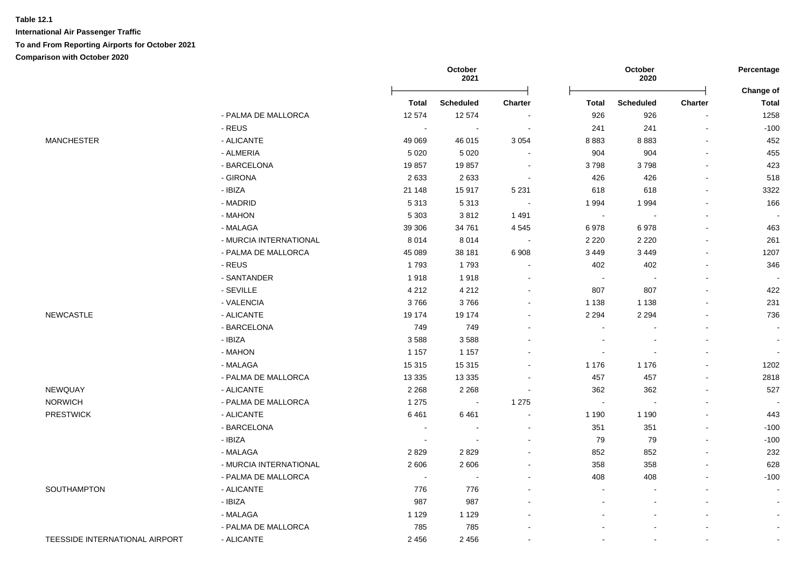|                                |                        |              | October<br>2021          |                          |              | October<br>2020 |                              | Percentage                |
|--------------------------------|------------------------|--------------|--------------------------|--------------------------|--------------|-----------------|------------------------------|---------------------------|
|                                |                        | <b>Total</b> | Scheduled                | <b>Charter</b>           | <b>Total</b> | Scheduled       | Charter                      | Change of<br><b>Total</b> |
|                                | - PALMA DE MALLORCA    | 12 574       | 12 574                   | $\sim$                   | 926          | 926             | $\blacksquare$               | 1258                      |
|                                | - REUS                 |              |                          | $\sim$                   | 241          | 241             | $\blacksquare$               | $-100$                    |
| <b>MANCHESTER</b>              | - ALICANTE             | 49 0 69      | 46 015                   | 3 0 5 4                  | 8883         | 8883            | $\overline{a}$               | 452                       |
|                                | - ALMERIA              | 5 0 2 0      | 5 0 2 0                  | $\sim$                   | 904          | 904             | $\mathbf{r}$                 | 455                       |
|                                | - BARCELONA            | 19857        | 19857                    | $\blacksquare$           | 3798         | 3798            | $\blacksquare$               | 423                       |
|                                | - GIRONA               | 2633         | 2633                     | $\sim$                   | 426          | 426             | $\blacksquare$               | 518                       |
|                                | - IBIZA                | 21 148       | 15917                    | 5 2 3 1                  | 618          | 618             | $\qquad \qquad \blacksquare$ | 3322                      |
|                                | - MADRID               | 5313         | 5313                     | $\sim$                   | 1994         | 1994            | ä,                           | 166                       |
|                                | - MAHON                | 5 3 0 3      | 3812                     | 1491                     | $\sim$       |                 | $\blacksquare$               |                           |
|                                | - MALAGA               | 39 30 6      | 34 761                   | 4 5 4 5                  | 6978         | 6978            | ä,                           | 463                       |
|                                | - MURCIA INTERNATIONAL | 8014         | 8014                     | $\sim$                   | 2 2 2 0      | 2 2 2 0         |                              | 261                       |
|                                | - PALMA DE MALLORCA    | 45 089       | 38 181                   | 6 9 0 8                  | 3 4 4 9      | 3 4 4 9         |                              | 1207                      |
|                                | - REUS                 | 1793         | 1793                     | $\sim$                   | 402          | 402             |                              | 346                       |
|                                | - SANTANDER            | 1918         | 1918                     | $\overline{\phantom{a}}$ | $\sim$       |                 | $\blacksquare$               | $\sim$                    |
|                                | - SEVILLE              | 4 2 1 2      | 4 2 1 2                  | $\sim$                   | 807          | 807             | $\blacksquare$               | 422                       |
|                                | - VALENCIA             | 3766         | 3766                     | $\blacksquare$           | 1 1 3 8      | 1 1 3 8         | $\blacksquare$               | 231                       |
| <b>NEWCASTLE</b>               | - ALICANTE             | 19 174       | 19 174                   | $\blacksquare$           | 2 2 9 4      | 2 2 9 4         | $\blacksquare$               | 736                       |
|                                | - BARCELONA            | 749          | 749                      | $\overline{\phantom{a}}$ |              |                 | $\overline{a}$               | $\blacksquare$            |
|                                | - IBIZA                | 3588         | 3588                     |                          |              |                 | $\overline{a}$               | $\sim$                    |
|                                | - MAHON                | 1 1 5 7      | 1 1 5 7                  |                          |              |                 | $\blacksquare$               | $\sim$                    |
|                                | - MALAGA               | 15 315       | 15 315                   | $\blacksquare$           | 1 1 7 6      | 1 1 7 6         | $\blacksquare$               | 1202                      |
|                                | - PALMA DE MALLORCA    | 13 3 3 5     | 13 3 35                  | $\blacksquare$           | 457          | 457             | $\blacksquare$               | 2818                      |
| <b>NEWQUAY</b>                 | - ALICANTE             | 2 2 6 8      | 2 2 6 8                  | $\sim$                   | 362          | 362             | $\blacksquare$               | 527                       |
| <b>NORWICH</b>                 | - PALMA DE MALLORCA    | 1 2 7 5      | $\sim$                   | 1 2 7 5                  | $\sim$       |                 | $\blacksquare$               | $\sim$                    |
| <b>PRESTWICK</b>               | - ALICANTE             | 6461         | 6461                     | $\sim$                   | 1 1 9 0      | 1 1 9 0         | $\blacksquare$               | 443                       |
|                                | - BARCELONA            | $\sim$       | $\sim$                   | $\sim$                   | 351          | 351             | $\mathbf{r}$                 | $-100$                    |
|                                | - IBIZA                | $\sim$       | $\overline{\phantom{a}}$ | $\blacksquare$           | 79           | 79              | ä,                           | $-100$                    |
|                                | - MALAGA               | 2829         | 2829                     | $\blacksquare$           | 852          | 852             |                              | 232                       |
|                                | - MURCIA INTERNATIONAL | 2606         | 2606                     | $\overline{a}$           | 358          | 358             |                              | 628                       |
|                                | - PALMA DE MALLORCA    | $\sim$       |                          | $\blacksquare$           | 408          | 408             |                              | $-100$                    |
| SOUTHAMPTON                    | - ALICANTE             | 776          | 776                      |                          |              |                 |                              |                           |
|                                | - IBIZA                | 987          | 987                      |                          |              |                 |                              |                           |
|                                | - MALAGA               | 1 1 2 9      | 1 1 2 9                  |                          |              |                 |                              | $\sim$                    |
|                                | - PALMA DE MALLORCA    | 785          | 785                      |                          |              |                 |                              |                           |
| TEESSIDE INTERNATIONAL AIRPORT | - ALICANTE             | 2 4 5 6      | 2 4 5 6                  | $\overline{a}$           |              |                 | $\blacksquare$               |                           |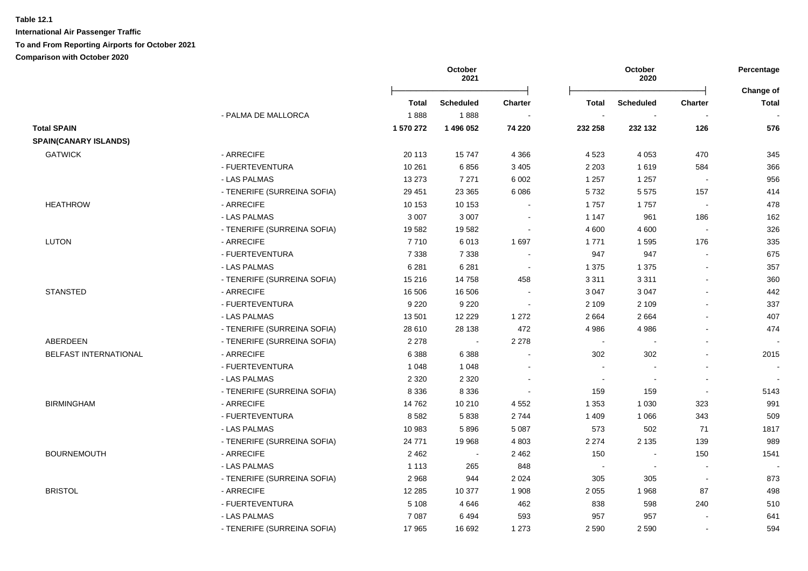**International Air Passenger Traffic To and From Reporting Airports for October 2021**

**Comparison with October 2020**

|                              |                             |           | October<br>2021  |                          |                          | Percentage<br>Change of |                          |              |
|------------------------------|-----------------------------|-----------|------------------|--------------------------|--------------------------|-------------------------|--------------------------|--------------|
|                              |                             | Total     | <b>Scheduled</b> | <b>Charter</b>           | Total                    | Scheduled               | <b>Charter</b>           | <b>Total</b> |
|                              | - PALMA DE MALLORCA         | 1888      | 1888             |                          | $\blacksquare$           |                         |                          |              |
| <b>Total SPAIN</b>           |                             | 1 570 272 | 1496052          | 74 220                   | 232 258                  | 232 132                 | 126                      | 576          |
| <b>SPAIN(CANARY ISLANDS)</b> |                             |           |                  |                          |                          |                         |                          |              |
| <b>GATWICK</b>               | - ARRECIFE                  | 20 113    | 15747            | 4 3 6 6                  | 4 5 23                   | 4 0 5 3                 | 470                      | 345          |
|                              | - FUERTEVENTURA             | 10 261    | 6856             | 3 4 0 5                  | 2 2 0 3                  | 1619                    | 584                      | 366          |
|                              | - LAS PALMAS                | 13 273    | 7 2 7 1          | 6 0 0 2                  | 1 2 5 7                  | 1 2 5 7                 | $\overline{\phantom{a}}$ | 956          |
|                              | - TENERIFE (SURREINA SOFIA) | 29 451    | 23 3 65          | 6 0 8 6                  | 5732                     | 5575                    | 157                      | 414          |
| <b>HEATHROW</b>              | - ARRECIFE                  | 10 153    | 10 153           |                          | 1757                     | 1757                    | $\sim$                   | 478          |
|                              | - LAS PALMAS                | 3 0 0 7   | 3 0 0 7          |                          | 1 1 4 7                  | 961                     | 186                      | 162          |
|                              | - TENERIFE (SURREINA SOFIA) | 19582     | 19582            | $\overline{\phantom{a}}$ | 4 600                    | 4 600                   | $\sim$                   | 326          |
| <b>LUTON</b>                 | - ARRECIFE                  | 7710      | 6013             | 1 6 9 7                  | 1 7 7 1                  | 1595                    | 176                      | 335          |
|                              | - FUERTEVENTURA             | 7 3 3 8   | 7 3 3 8          |                          | 947                      | 947                     | $\blacksquare$           | 675          |
|                              | - LAS PALMAS                | 6 2 8 1   | 6 2 8 1          | $\blacksquare$           | 1 3 7 5                  | 1 3 7 5                 | $\mathbf{r}$             | 357          |
|                              | - TENERIFE (SURREINA SOFIA) | 15 216    | 14758            | 458                      | 3 3 1 1                  | 3 3 1 1                 | $\mathbf{r}$             | 360          |
| <b>STANSTED</b>              | - ARRECIFE                  | 16 506    | 16 506           |                          | 3 0 4 7                  | 3 0 4 7                 | $\blacksquare$           | 442          |
|                              | - FUERTEVENTURA             | 9 2 2 0   | 9 2 2 0          | $\blacksquare$           | 2 1 0 9                  | 2 1 0 9                 | $\blacksquare$           | 337          |
|                              | - LAS PALMAS                | 13501     | 12 2 2 9         | 1 2 7 2                  | 2 6 6 4                  | 2664                    | $\blacksquare$           | 407          |
|                              | - TENERIFE (SURREINA SOFIA) | 28 610    | 28 138           | 472                      | 4 9 8 6                  | 4 9 8 6                 | $\sim$                   | 474          |
| ABERDEEN                     | - TENERIFE (SURREINA SOFIA) | 2 2 7 8   | $\sim$           | 2 2 7 8                  | $\sim$                   |                         |                          |              |
| BELFAST INTERNATIONAL        | - ARRECIFE                  | 6 3 8 8   | 6 3 8 8          |                          | 302                      | 302                     | $\overline{a}$           | 2015         |
|                              | - FUERTEVENTURA             | 1 0 4 8   | 1 0 4 8          |                          | $\overline{\phantom{a}}$ |                         |                          |              |
|                              | - LAS PALMAS                | 2 3 2 0   | 2 3 2 0          |                          | $\blacksquare$           |                         |                          |              |
|                              | - TENERIFE (SURREINA SOFIA) | 8 3 3 6   | 8 3 3 6          |                          | 159                      | 159                     | $\blacksquare$           | 5143         |
| <b>BIRMINGHAM</b>            | - ARRECIFE                  | 14762     | 10 210           | 4 5 5 2                  | 1 3 5 3                  | 1 0 3 0                 | 323                      | 991          |
|                              | - FUERTEVENTURA             | 8582      | 5838             | 2744                     | 1 4 0 9                  | 1 0 6 6                 | 343                      | 509          |
|                              | - LAS PALMAS                | 10 983    | 5896             | 5 0 8 7                  | 573                      | 502                     | 71                       | 1817         |
|                              | - TENERIFE (SURREINA SOFIA) | 24 771    | 19 968           | 4 8 0 3                  | 2 2 7 4                  | 2 1 3 5                 | 139                      | 989          |
| <b>BOURNEMOUTH</b>           | - ARRECIFE                  | 2 4 6 2   | $\blacksquare$   | 2 4 6 2                  | 150                      | $\blacksquare$          | 150                      | 1541         |
|                              | - LAS PALMAS                | 1 1 1 3   | 265              | 848                      | $\blacksquare$           |                         |                          |              |
|                              | - TENERIFE (SURREINA SOFIA) | 2968      | 944              | 2 0 2 4                  | 305                      | 305                     | $\overline{\phantom{a}}$ | 873          |
| <b>BRISTOL</b>               | - ARRECIFE                  | 12 2 8 5  | 10 377           | 1 908                    | 2 0 5 5                  | 1968                    | 87                       | 498          |
|                              | - FUERTEVENTURA             | 5 1 0 8   | 4 6 4 6          | 462                      | 838                      | 598                     | 240                      | 510          |
|                              | - LAS PALMAS                | 7 0 8 7   | 6494             | 593                      | 957                      | 957                     |                          | 641          |
|                              | - TENERIFE (SURREINA SOFIA) | 17 965    | 16 692           | 1 2 7 3                  | 2 5 9 0                  | 2 5 9 0                 |                          | 594          |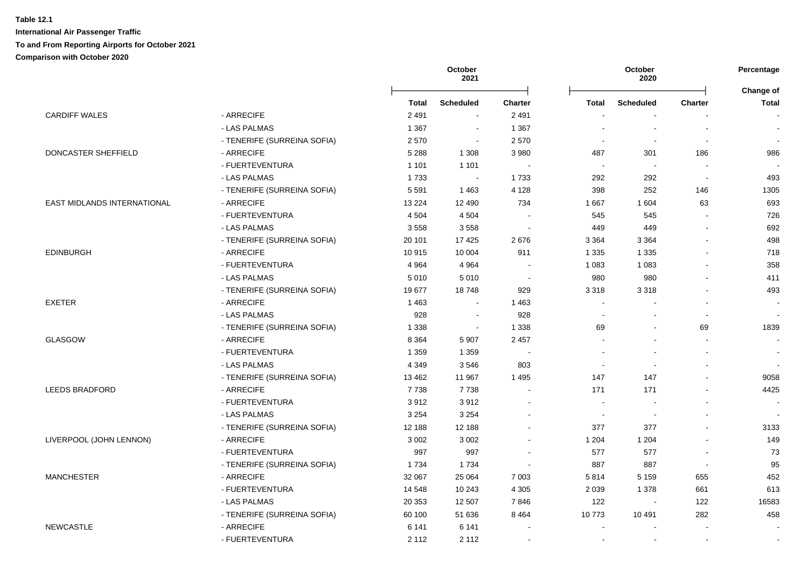|                             |                             |         | October<br>2021             |                |         | October<br>2020          |                          | Percentage<br>Change of |
|-----------------------------|-----------------------------|---------|-----------------------------|----------------|---------|--------------------------|--------------------------|-------------------------|
|                             |                             | Total   | <b>Scheduled</b>            | <b>Charter</b> | Total   | <b>Scheduled</b>         | <b>Charter</b>           | <b>Total</b>            |
| <b>CARDIFF WALES</b>        | - ARRECIFE                  | 2 4 9 1 | $\mathbf{r}$                | 2 4 9 1        |         |                          |                          |                         |
|                             | - LAS PALMAS                | 1 3 6 7 | $\sim$                      | 1 3 6 7        |         | $\blacksquare$           | $\overline{\phantom{a}}$ |                         |
|                             | - TENERIFE (SURREINA SOFIA) | 2570    | $\sim$                      | 2570           |         | $\blacksquare$           |                          |                         |
| DONCASTER SHEFFIELD         | - ARRECIFE                  | 5 2 8 8 | 1 3 0 8                     | 3 9 8 0        | 487     | 301                      | 186                      | 986                     |
|                             | - FUERTEVENTURA             | 1 1 0 1 | 1 1 0 1                     |                | $\sim$  | $\overline{\phantom{a}}$ |                          |                         |
|                             | - LAS PALMAS                | 1733    | $\mathcal{L}_{\mathcal{A}}$ | 1733           | 292     | 292                      | $\sim$                   | 493                     |
|                             | - TENERIFE (SURREINA SOFIA) | 5 5 9 1 | 1463                        | 4 1 2 8        | 398     | 252                      | 146                      | 1305                    |
| EAST MIDLANDS INTERNATIONAL | - ARRECIFE                  | 13 2 24 | 12 490                      | 734            | 1 667   | 1 604                    | 63                       | 693                     |
|                             | - FUERTEVENTURA             | 4 5 0 4 | 4 5 0 4                     |                | 545     | 545                      |                          | 726                     |
|                             | - LAS PALMAS                | 3558    | 3558                        |                | 449     | 449                      |                          | 692                     |
|                             | - TENERIFE (SURREINA SOFIA) | 20 101  | 17 4 25                     | 2676           | 3 3 6 4 | 3 3 6 4                  |                          | 498                     |
| <b>EDINBURGH</b>            | - ARRECIFE                  | 10915   | 10 004                      | 911            | 1 3 3 5 | 1 3 3 5                  |                          | 718                     |
|                             | - FUERTEVENTURA             | 4 9 64  | 4 9 64                      |                | 1 0 8 3 | 1 0 8 3                  |                          | 358                     |
|                             | - LAS PALMAS                | 5 0 1 0 | 5010                        | $\sim$         | 980     | 980                      |                          | 411                     |
|                             | - TENERIFE (SURREINA SOFIA) | 19677   | 18748                       | 929            | 3 3 1 8 | 3 3 1 8                  |                          | 493                     |
| <b>EXETER</b>               | - ARRECIFE                  | 1 4 6 3 | $\blacksquare$              | 1 4 6 3        | $\sim$  |                          |                          |                         |
|                             | - LAS PALMAS                | 928     | $\sim$                      | 928            |         | $\blacksquare$           | $\mathbf{r}$             | $\blacksquare$          |
|                             | - TENERIFE (SURREINA SOFIA) | 1 3 3 8 | $\blacksquare$              | 1 3 3 8        | 69      | $\blacksquare$           | 69                       | 1839                    |
| GLASGOW                     | - ARRECIFE                  | 8 3 6 4 | 5 9 0 7                     | 2 4 5 7        |         |                          | $\mathbf{r}$             |                         |
|                             | - FUERTEVENTURA             | 1 3 5 9 | 1 3 5 9                     |                |         |                          | $\overline{\phantom{a}}$ |                         |
|                             | - LAS PALMAS                | 4 3 4 9 | 3546                        | 803            |         | $\sim$                   | $\overline{a}$           | $\sim$                  |
|                             | - TENERIFE (SURREINA SOFIA) | 13 4 62 | 11 967                      | 1 4 9 5        | 147     | 147                      |                          | 9058                    |
| <b>LEEDS BRADFORD</b>       | - ARRECIFE                  | 7738    | 7738                        |                | 171     | 171                      |                          | 4425                    |
|                             | - FUERTEVENTURA             | 3912    | 3912                        |                | $\sim$  | $\blacksquare$           |                          |                         |
|                             | - LAS PALMAS                | 3 2 5 4 | 3 2 5 4                     |                | $\sim$  |                          |                          |                         |
|                             | - TENERIFE (SURREINA SOFIA) | 12 188  | 12 188                      |                | 377     | 377                      |                          | 3133                    |
| LIVERPOOL (JOHN LENNON)     | - ARRECIFE                  | 3 0 0 2 | 3 0 0 2                     |                | 1 204   | 1 2 0 4                  |                          | 149                     |
|                             | - FUERTEVENTURA             | 997     | 997                         |                | 577     | 577                      |                          | 73                      |
|                             | - TENERIFE (SURREINA SOFIA) | 1734    | 1734                        |                | 887     | 887                      | $\overline{\phantom{a}}$ | 95                      |
| <b>MANCHESTER</b>           | - ARRECIFE                  | 32 067  | 25 064                      | 7 0 0 3        | 5814    | 5 1 5 9                  | 655                      | 452                     |
|                             | - FUERTEVENTURA             | 14 548  | 10 243                      | 4 3 0 5        | 2 0 3 9 | 1 3 7 8                  | 661                      | 613                     |
|                             | - LAS PALMAS                | 20 353  | 12 507                      | 7846           | 122     | $\sim$                   | 122                      | 16583                   |
|                             | - TENERIFE (SURREINA SOFIA) | 60 100  | 51 636                      | 8 4 6 4        | 10773   | 10 491                   | 282                      | 458                     |
| <b>NEWCASTLE</b>            | - ARRECIFE                  | 6 1 4 1 | 6 1 4 1                     |                |         | $\overline{\phantom{a}}$ | $\overline{\phantom{a}}$ |                         |
|                             | - FUERTEVENTURA             | 2 1 1 2 | 2 1 1 2                     |                |         | $\blacksquare$           | $\blacksquare$           |                         |
|                             |                             |         |                             |                |         |                          |                          |                         |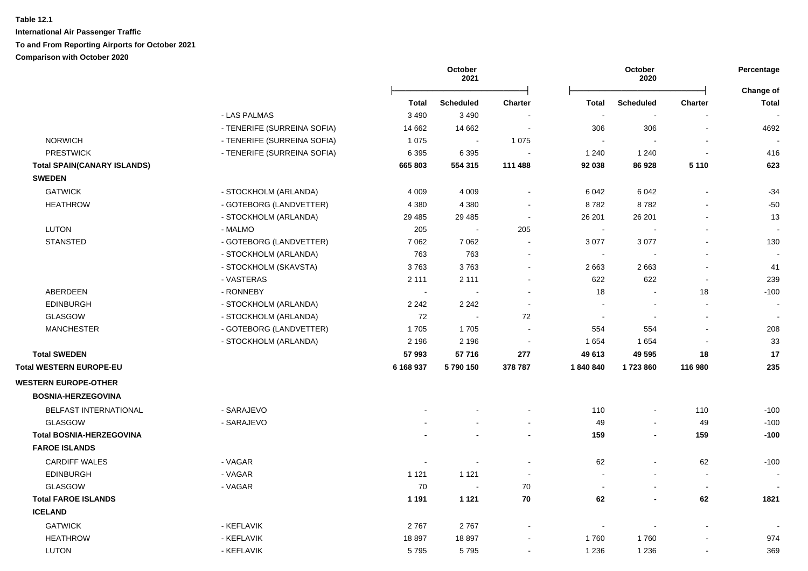|                                    |                             |              | October<br>2021       |                          |                             | October<br>2020  |                              | Percentage<br>Change of  |
|------------------------------------|-----------------------------|--------------|-----------------------|--------------------------|-----------------------------|------------------|------------------------------|--------------------------|
|                                    |                             | <b>Total</b> | <b>Scheduled</b>      | <b>Charter</b>           | <b>Total</b>                | <b>Scheduled</b> | <b>Charter</b>               | <b>Total</b>             |
|                                    | - LAS PALMAS                | 3 4 9 0      | 3 4 9 0               |                          | $\sim$                      |                  |                              |                          |
|                                    | - TENERIFE (SURREINA SOFIA) | 14 662       | 14 662                | $\blacksquare$           | 306                         | 306              | $\overline{a}$               | 4692                     |
| <b>NORWICH</b>                     | - TENERIFE (SURREINA SOFIA) | 1 0 7 5      | $\tilde{\phantom{a}}$ | 1 0 7 5                  | $\blacksquare$              |                  |                              |                          |
| <b>PRESTWICK</b>                   | - TENERIFE (SURREINA SOFIA) | 6 3 9 5      | 6 3 9 5               |                          | 1 2 4 0                     | 1 2 4 0          | $\sim$                       | 416                      |
| <b>Total SPAIN(CANARY ISLANDS)</b> |                             | 665 803      | 554 315               | 111 488                  | 92 038                      | 86 928           | 5 1 1 0                      | 623                      |
| <b>SWEDEN</b>                      |                             |              |                       |                          |                             |                  |                              |                          |
| <b>GATWICK</b>                     | - STOCKHOLM (ARLANDA)       | 4 0 0 9      | 4 0 0 9               | $\sim$                   | 6 0 4 2                     | 6 0 4 2          | $\blacksquare$               | $-34$                    |
| <b>HEATHROW</b>                    | - GOTEBORG (LANDVETTER)     | 4 3 8 0      | 4 3 8 0               |                          | 8782                        | 8782             |                              | $-50$                    |
|                                    | - STOCKHOLM (ARLANDA)       | 29 4 8 5     | 29 4 8 5              | $\sim$                   | 26 201                      | 26 201           |                              | 13                       |
| LUTON                              | - MALMO                     | 205          | $\sim$                | 205                      | $\mathcal{L}_{\mathcal{A}}$ | $\sim$           | $\blacksquare$               | $\overline{\phantom{a}}$ |
| <b>STANSTED</b>                    | - GOTEBORG (LANDVETTER)     | 7 0 6 2      | 7 0 6 2               | $\sim$                   | 3 0 7 7                     | 3 0 7 7          |                              | 130                      |
|                                    | - STOCKHOLM (ARLANDA)       | 763          | 763                   | $\sim$                   | $\blacksquare$              |                  | $\blacksquare$               |                          |
|                                    | - STOCKHOLM (SKAVSTA)       | 3763         | 3763                  | $\sim$                   | 2 6 6 3                     | 2663             | $\overline{a}$               | 41                       |
|                                    | - VASTERAS                  | 2 1 1 1      | 2 1 1 1               |                          | 622                         | 622              | $\blacksquare$               | 239                      |
| ABERDEEN                           | - RONNEBY                   | $\sim$       | $\sim$                | $\overline{\phantom{a}}$ | 18                          | $\sim$           | 18                           | $-100$                   |
| <b>EDINBURGH</b>                   | - STOCKHOLM (ARLANDA)       | 2 2 4 2      | 2 2 4 2               | $\sim$                   |                             |                  | $\overline{\phantom{a}}$     |                          |
| <b>GLASGOW</b>                     | - STOCKHOLM (ARLANDA)       | 72           | $\blacksquare$        | 72                       | $\blacksquare$              |                  | $\qquad \qquad \blacksquare$ |                          |
| <b>MANCHESTER</b>                  | - GOTEBORG (LANDVETTER)     | 1705         | 1705                  |                          | 554                         | 554              |                              | 208                      |
|                                    | - STOCKHOLM (ARLANDA)       | 2 1 9 6      | 2 1 9 6               |                          | 1 6 5 4                     | 1 6 5 4          |                              | 33                       |
| <b>Total SWEDEN</b>                |                             | 57 993       | 57716                 | 277                      | 49 613                      | 49 595           | 18                           | 17                       |
| Total WESTERN EUROPE-EU            |                             | 6 168 937    | 5790150               | 378 787                  | 1840840                     | 1723860          | 116 980                      | 235                      |
| <b>WESTERN EUROPE-OTHER</b>        |                             |              |                       |                          |                             |                  |                              |                          |
| <b>BOSNIA-HERZEGOVINA</b>          |                             |              |                       |                          |                             |                  |                              |                          |
| <b>BELFAST INTERNATIONAL</b>       | - SARAJEVO                  |              |                       |                          | 110                         |                  | 110                          | $-100$                   |
| <b>GLASGOW</b>                     | - SARAJEVO                  |              |                       |                          | 49                          | $\sim$           | 49                           | $-100$                   |
| <b>Total BOSNIA-HERZEGOVINA</b>    |                             |              |                       |                          | 159                         | $\blacksquare$   | 159                          | $-100$                   |
| <b>FAROE ISLANDS</b>               |                             |              |                       |                          |                             |                  |                              |                          |
| <b>CARDIFF WALES</b>               | - VAGAR                     | $\sim$       | $\blacksquare$        |                          | 62                          | $\sim$           | 62                           | $-100$                   |
| <b>EDINBURGH</b>                   | - VAGAR                     | 1 1 2 1      | 1 1 2 1               |                          | $\sim$                      |                  | $\sim$                       |                          |
| <b>GLASGOW</b>                     | - VAGAR                     | 70           | $\blacksquare$        | 70                       | $\sim$                      |                  | $\sim$                       |                          |
| <b>Total FAROE ISLANDS</b>         |                             | 1 1 9 1      | 1 1 2 1               | 70                       | 62                          |                  | 62                           | 1821                     |
| <b>ICELAND</b>                     |                             |              |                       |                          |                             |                  |                              |                          |
| <b>GATWICK</b>                     | - KEFLAVIK                  | 2767         | 2767                  |                          | $\overline{\phantom{a}}$    |                  |                              |                          |
| <b>HEATHROW</b>                    | - KEFLAVIK                  | 18897        | 18897                 |                          | 1760                        | 1760             |                              | 974                      |
| <b>LUTON</b>                       | - KEFLAVIK                  | 5795         | 5795                  | $\sim$                   | 1 2 3 6                     | 1 2 3 6          | $\blacksquare$               | 369                      |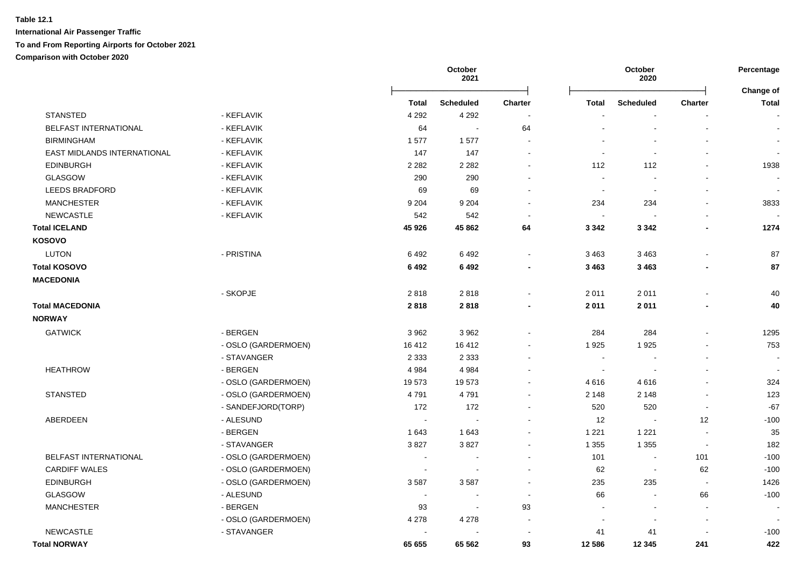|                             |                     |              | October<br>2021            |                          |                      | October<br>2020          |                          | Percentage<br>Change of  |
|-----------------------------|---------------------|--------------|----------------------------|--------------------------|----------------------|--------------------------|--------------------------|--------------------------|
|                             |                     | <b>Total</b> | <b>Scheduled</b>           | <b>Charter</b>           | <b>Total</b>         | <b>Scheduled</b>         | <b>Charter</b>           | <b>Total</b>             |
| <b>STANSTED</b>             | - KEFLAVIK          | 4 2 9 2      | 4 2 9 2                    |                          |                      |                          |                          | $\blacksquare$           |
| BELFAST INTERNATIONAL       | - KEFLAVIK          | 64           | $\mathcal{L}_{\mathbf{r}}$ | 64                       | ۰                    | $\blacksquare$           | $\overline{\phantom{a}}$ | $\sim$                   |
| <b>BIRMINGHAM</b>           | - KEFLAVIK          | 1577         | 1577                       | $\blacksquare$           |                      |                          |                          | $\blacksquare$           |
| EAST MIDLANDS INTERNATIONAL | - KEFLAVIK          | 147          | 147                        | $\overline{a}$           | $\blacksquare$       |                          |                          | $\blacksquare$           |
| <b>EDINBURGH</b>            | - KEFLAVIK          | 2 2 8 2      | 2 2 8 2                    | $\overline{a}$           | 112                  | 112                      |                          | 1938                     |
| GLASGOW                     | - KEFLAVIK          | 290          | 290                        |                          | ÷.                   |                          |                          |                          |
| <b>LEEDS BRADFORD</b>       | - KEFLAVIK          | 69           | 69                         | $\overline{a}$           | $\sim$               | $\overline{a}$           |                          | $\overline{\phantom{a}}$ |
| <b>MANCHESTER</b>           | - KEFLAVIK          | 9 2 0 4      | 9 2 0 4                    | ÷                        | 234                  | 234                      |                          | 3833                     |
| <b>NEWCASTLE</b>            | - KEFLAVIK          | 542          | 542                        | ÷,                       | $\sim$               |                          |                          |                          |
| <b>Total ICELAND</b>        |                     | 45 926       | 45 862                     | 64                       | 3 3 4 2              | 3 3 4 2                  |                          | 1274                     |
| <b>KOSOVO</b>               |                     |              |                            |                          |                      |                          |                          |                          |
| <b>LUTON</b>                | - PRISTINA          | 6492         | 6492                       | $\blacksquare$           | 3 4 6 3              | 3 4 6 3                  |                          | 87                       |
| <b>Total KOSOVO</b>         |                     | 6492         | 6 4 9 2                    |                          | 3 4 6 3              | 3 4 6 3                  |                          | 87                       |
| <b>MACEDONIA</b>            |                     |              |                            |                          |                      |                          |                          |                          |
|                             | - SKOPJE            | 2818         | 2818                       |                          | 2011                 | 2011                     |                          | 40                       |
| <b>Total MACEDONIA</b>      |                     | 2818         | 2818                       |                          | 2011                 | 2011                     |                          | 40                       |
| <b>NORWAY</b>               |                     |              |                            |                          |                      |                          |                          |                          |
| <b>GATWICK</b>              | - BERGEN            | 3 9 6 2      | 3962                       |                          | 284                  | 284                      |                          | 1295                     |
|                             | - OSLO (GARDERMOEN) | 16412        | 16 4 12                    |                          | 1925                 | 1925                     |                          | 753                      |
|                             | - STAVANGER         | 2 3 3 3      | 2 3 3 3                    | $\blacksquare$           | $\sim$               | $\overline{\phantom{a}}$ |                          | $\sim$                   |
| <b>HEATHROW</b>             | - BERGEN            | 4 9 8 4      | 4 9 8 4                    | $\blacksquare$           | $\sim$               | $\overline{\phantom{a}}$ |                          | $\overline{a}$           |
|                             | - OSLO (GARDERMOEN) | 19573        | 19573                      | $\blacksquare$           | 4616                 | 4616                     |                          | 324                      |
| <b>STANSTED</b>             | - OSLO (GARDERMOEN) | 4791         | 4791                       | $\blacksquare$           | 2 1 4 8              | 2 1 4 8                  |                          | 123                      |
|                             | - SANDEFJORD(TORP)  | 172          | 172                        | $\blacksquare$           | 520                  | 520                      | $\sim$                   | $-67$                    |
| ABERDEEN                    | - ALESUND           |              | $\sim$                     | $\blacksquare$           | 12                   | $\sim$                   | 12                       | $-100$                   |
|                             | - BERGEN            | 1643         | 1643                       | $\blacksquare$           | 1 2 2 1              | 1 2 2 1                  |                          | 35                       |
|                             | - STAVANGER         | 3827         | 3827                       | $\blacksquare$           | 1 3 5 5              | 1 3 5 5                  | $\blacksquare$           | 182                      |
| BELFAST INTERNATIONAL       | - OSLO (GARDERMOEN) |              |                            | $\blacksquare$           | 101                  | $\blacksquare$           | 101                      | $-100$                   |
| <b>CARDIFF WALES</b>        | - OSLO (GARDERMOEN) |              |                            |                          | 62                   | $\blacksquare$           | 62                       | $-100$                   |
| <b>EDINBURGH</b>            | - OSLO (GARDERMOEN) | 3587         | 3587                       | $\blacksquare$           | 235                  | 235                      | $\blacksquare$           | 1426                     |
| <b>GLASGOW</b>              | - ALESUND           |              | $\overline{\phantom{a}}$   | $\overline{\phantom{a}}$ | 66                   | $\overline{\phantom{a}}$ | 66                       | $-100$                   |
| <b>MANCHESTER</b>           | - BERGEN            | 93           | $\sim$                     | 93                       | $\ddot{\phantom{a}}$ | $\blacksquare$           | $\blacksquare$           | $\sim$                   |
|                             | - OSLO (GARDERMOEN) | 4 2 7 8      | 4 2 7 8                    | $\blacksquare$           | $\blacksquare$       | $\blacksquare$           | $\blacksquare$           |                          |
| <b>NEWCASTLE</b>            | - STAVANGER         |              | $\sim$                     | $\sim$                   | 41                   | 41                       | $\sim$                   | $-100$                   |
| <b>Total NORWAY</b>         |                     | 65 655       | 65 562                     | 93                       | 12 586               | 12 3 45                  | 241                      | 422                      |
|                             |                     |              |                            |                          |                      |                          |                          |                          |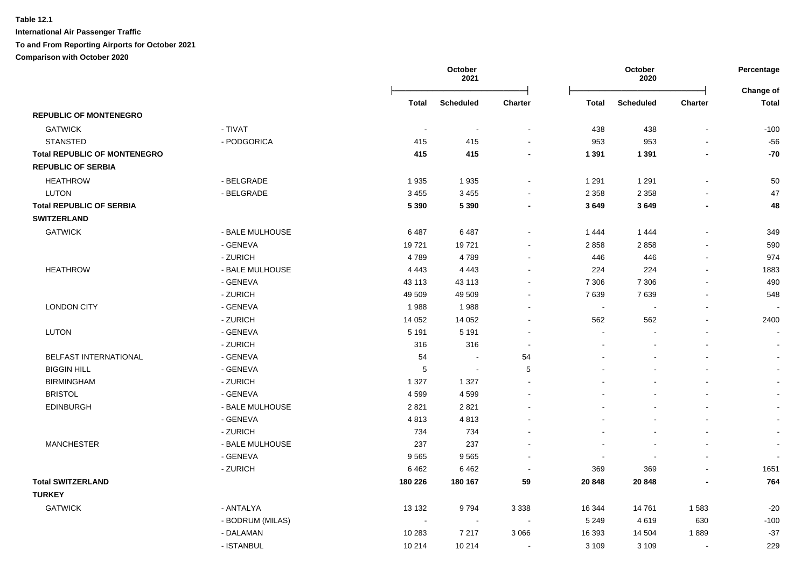|                                     |                  |              | October<br>2021  |                |              | October<br>2020  |                | Percentage                |
|-------------------------------------|------------------|--------------|------------------|----------------|--------------|------------------|----------------|---------------------------|
|                                     |                  | <b>Total</b> | <b>Scheduled</b> | Charter        | <b>Total</b> | <b>Scheduled</b> | Charter        | Change of<br><b>Total</b> |
| <b>REPUBLIC OF MONTENEGRO</b>       |                  |              |                  |                |              |                  |                |                           |
| <b>GATWICK</b>                      | - TIVAT          | $\sim$       | $\sim$           | $\blacksquare$ | 438          | 438              | $\sim$         | $-100$                    |
| <b>STANSTED</b>                     | - PODGORICA      | 415          | 415              |                | 953          | 953              |                | $-56$                     |
| <b>Total REPUBLIC OF MONTENEGRO</b> |                  | 415          | 415              | $\blacksquare$ | 1 3 9 1      | 1 3 9 1          | $\blacksquare$ | $-70$                     |
| <b>REPUBLIC OF SERBIA</b>           |                  |              |                  |                |              |                  |                |                           |
| <b>HEATHROW</b>                     | - BELGRADE       | 1935         | 1935             | $\blacksquare$ | 1 2 9 1      | 1 2 9 1          |                | 50                        |
| <b>LUTON</b>                        | - BELGRADE       | 3 4 5 5      | 3 4 5 5          | $\blacksquare$ | 2 3 5 8      | 2 3 5 8          |                | 47                        |
| <b>Total REPUBLIC OF SERBIA</b>     |                  | 5 3 9 0      | 5 3 9 0          | $\blacksquare$ | 3649         | 3649             | $\blacksquare$ | 48                        |
| <b>SWITZERLAND</b>                  |                  |              |                  |                |              |                  |                |                           |
| <b>GATWICK</b>                      | - BALE MULHOUSE  | 6487         | 6487             | $\sim$         | 1 4 4 4      | 1 4 4 4          |                | 349                       |
|                                     | - GENEVA         | 19721        | 19721            | $\sim$         | 2858         | 2858             | $\sim$         | 590                       |
|                                     | - ZURICH         | 4789         | 4789             | $\blacksquare$ | 446          | 446              | $\sim$         | 974                       |
| <b>HEATHROW</b>                     | - BALE MULHOUSE  | 4 4 4 3      | 4 4 4 3          | $\blacksquare$ | 224          | 224              | $\blacksquare$ | 1883                      |
|                                     | - GENEVA         | 43 113       | 43 113           |                | 7 3 0 6      | 7 3 0 6          |                | 490                       |
|                                     | - ZURICH         | 49 509       | 49 509           |                | 7639         | 7639             |                | 548                       |
| <b>LONDON CITY</b>                  | - GENEVA         | 1988         | 1988             |                | $\sim$       |                  |                |                           |
|                                     | - ZURICH         | 14 0 52      | 14 0 52          |                | 562          | 562              |                | 2400                      |
| <b>LUTON</b>                        | - GENEVA         | 5 1 9 1      | 5 1 9 1          |                | $\sim$       |                  |                | $\overline{\phantom{a}}$  |
|                                     | - ZURICH         | 316          | 316              | $\blacksquare$ |              |                  |                |                           |
| BELFAST INTERNATIONAL               | - GENEVA         | 54           | $\sim$           | 54             |              |                  |                |                           |
| <b>BIGGIN HILL</b>                  | - GENEVA         | 5            | $\sim$           | 5              |              |                  |                | $\sim$                    |
| <b>BIRMINGHAM</b>                   | - ZURICH         | 1 3 2 7      | 1 3 2 7          |                |              |                  |                | $\sim$                    |
| <b>BRISTOL</b>                      | - GENEVA         | 4599         | 4599             |                |              |                  |                | $\sim$                    |
| <b>EDINBURGH</b>                    | - BALE MULHOUSE  | 2821         | 2821             |                |              |                  |                | $\sim$                    |
|                                     | - GENEVA         | 4813         | 4813             |                |              |                  |                |                           |
|                                     | - ZURICH         | 734          | 734              |                |              |                  |                | $\sim$                    |
| <b>MANCHESTER</b>                   | - BALE MULHOUSE  | 237          | 237              |                |              |                  |                | $\sim$                    |
|                                     | - GENEVA         | 9565         | 9565             |                | $\sim$       |                  |                |                           |
|                                     | - ZURICH         | 6462         | 6462             |                | 369          | 369              |                | 1651                      |
| <b>Total SWITZERLAND</b>            |                  | 180 226      | 180 167          | 59             | 20 848       | 20 848           |                | 764                       |
| <b>TURKEY</b>                       |                  |              |                  |                |              |                  |                |                           |
| <b>GATWICK</b>                      | - ANTALYA        | 13 132       | 9794             | 3 3 3 8        | 16 344       | 14761            | 1583           | $-20$                     |
|                                     | - BODRUM (MILAS) | $\sim$       | $\blacksquare$   | $\sim$         | 5 2 4 9      | 4619             | 630            | $-100$                    |
|                                     | - DALAMAN        | 10 283       | 7 2 1 7          | 3 0 6 6        | 16 393       | 14 504           | 1889           | $-37$                     |
|                                     | - ISTANBUL       | 10 214       | 10 214           | $\blacksquare$ | 3 1 0 9      | 3 1 0 9          | $\blacksquare$ | 229                       |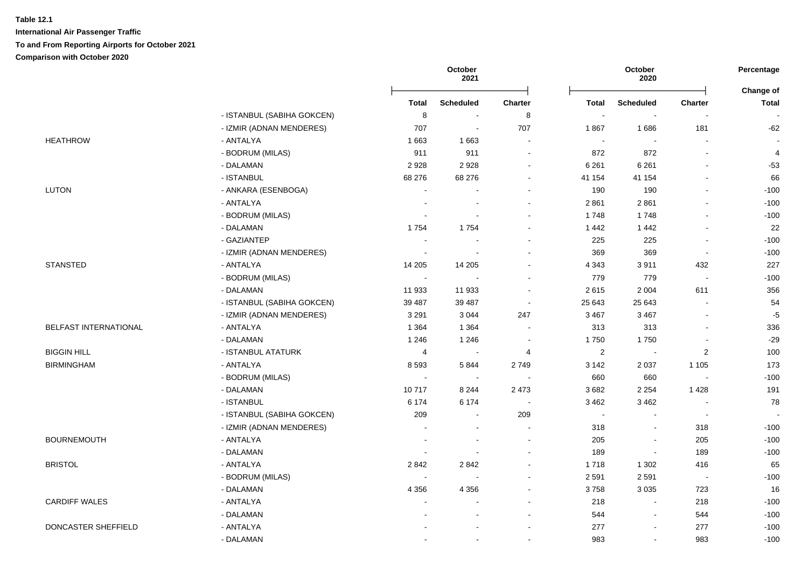|                       |                            |                          | October<br>2021          |                |                | October<br>2020          |                          | Percentage                |
|-----------------------|----------------------------|--------------------------|--------------------------|----------------|----------------|--------------------------|--------------------------|---------------------------|
|                       |                            | Total                    | <b>Scheduled</b>         | <b>Charter</b> | Total          | <b>Scheduled</b>         | <b>Charter</b>           | Change of<br><b>Total</b> |
|                       | - ISTANBUL (SABIHA GOKCEN) | 8                        | $\sim$                   | 8              | $\sim$         | $\overline{\phantom{a}}$ | $\overline{a}$           |                           |
|                       | - IZMIR (ADNAN MENDERES)   | 707                      | $\tilde{\phantom{a}}$    | 707            | 1867           | 1686                     | 181                      | $-62$                     |
| <b>HEATHROW</b>       | - ANTALYA                  | 1663                     | 1663                     | $\blacksquare$ | $\blacksquare$ | $\overline{\phantom{a}}$ | $\overline{\phantom{a}}$ |                           |
|                       | - BODRUM (MILAS)           | 911                      | 911                      | $\blacksquare$ | 872            | 872                      | $\overline{a}$           | 4                         |
|                       | - DALAMAN                  | 2928                     | 2928                     |                | 6 2 6 1        | 6 2 6 1                  |                          | $-53$                     |
|                       | - ISTANBUL                 | 68 276                   | 68 276                   |                | 41 154         | 41 154                   | $\blacksquare$           | 66                        |
| <b>LUTON</b>          | - ANKARA (ESENBOGA)        | ÷,                       |                          |                | 190            | 190                      | $\blacksquare$           | $-100$                    |
|                       | - ANTALYA                  |                          |                          |                | 2861           | 2861                     | $\blacksquare$           | $-100$                    |
|                       | - BODRUM (MILAS)           | $\overline{a}$           |                          |                | 1748           | 1748                     | $\overline{a}$           | $-100$                    |
|                       | - DALAMAN                  | 1754                     | 1754                     |                | 1442           | 1 4 4 2                  | $\blacksquare$           | 22                        |
|                       | - GAZIANTEP                |                          |                          |                | 225            | 225                      | $\overline{a}$           | $-100$                    |
|                       | - IZMIR (ADNAN MENDERES)   |                          |                          |                | 369            | 369                      | $\overline{\phantom{a}}$ | $-100$                    |
| <b>STANSTED</b>       | - ANTALYA                  | 14 205                   | 14 20 5                  |                | 4 3 4 3        | 3911                     | 432                      | 227                       |
|                       | - BODRUM (MILAS)           | $\overline{\phantom{a}}$ |                          |                | 779            | 779                      | $\sim$                   | $-100$                    |
|                       | - DALAMAN                  | 11 933                   | 11 933                   |                | 2615           | 2 0 0 4                  | 611                      | 356                       |
|                       | - ISTANBUL (SABIHA GOKCEN) | 39 487                   | 39 487                   | $\sim$         | 25 643         | 25 643                   | $\overline{a}$           | 54                        |
|                       | - IZMIR (ADNAN MENDERES)   | 3 2 9 1                  | 3 0 4 4                  | 247            | 3 4 6 7        | 3 4 6 7                  | L,                       | $-5$                      |
| BELFAST INTERNATIONAL | - ANTALYA                  | 1 3 6 4                  | 1 3 6 4                  |                | 313            | 313                      | L,                       | 336                       |
|                       | - DALAMAN                  | 1 2 4 6                  | 1 2 4 6                  | $\blacksquare$ | 1750           | 1750                     | $\overline{a}$           | $-29$                     |
| <b>BIGGIN HILL</b>    | - ISTANBUL ATATURK         | $\overline{4}$           | $\tilde{\phantom{a}}$    | 4              | $\overline{2}$ | $\sim$                   | $\overline{2}$           | 100                       |
| <b>BIRMINGHAM</b>     | - ANTALYA                  | 8593                     | 5844                     | 2749           | 3 1 4 2        | 2 0 3 7                  | 1 1 0 5                  | 173                       |
|                       | - BODRUM (MILAS)           | $\blacksquare$           | $\sim$                   |                | 660            | 660                      | $\blacksquare$           | $-100$                    |
|                       | - DALAMAN                  | 10717                    | 8 2 4 4                  | 2 4 7 3        | 3682           | 2 2 5 4                  | 1 4 2 8                  | 191                       |
|                       | - ISTANBUL                 | 6 1 7 4                  | 6 1 7 4                  | $\sim$         | 3 4 6 2        | 3 4 6 2                  | $\overline{a}$           | 78                        |
|                       | - ISTANBUL (SABIHA GOKCEN) | 209                      | ÷.                       | 209            | $\sim$         | $\sim$                   | $\sim$                   |                           |
|                       | - IZMIR (ADNAN MENDERES)   |                          |                          |                | 318            | $\sim$                   | 318                      | $-100$                    |
| <b>BOURNEMOUTH</b>    | - ANTALYA                  | $\overline{a}$           |                          | $\blacksquare$ | 205            | $\blacksquare$           | 205                      | $-100$                    |
|                       | - DALAMAN                  | $\overline{\phantom{a}}$ |                          |                | 189            | $\sim$                   | 189                      | $-100$                    |
| <b>BRISTOL</b>        | - ANTALYA                  | 2842                     | 2842                     |                | 1718           | 1 3 0 2                  | 416                      | 65                        |
|                       | - BODRUM (MILAS)           | $\overline{\phantom{a}}$ |                          |                | 2 5 9 1        | 2591                     | $\overline{\phantom{a}}$ | $-100$                    |
|                       | - DALAMAN                  | 4 3 5 6                  | 4 3 5 6                  |                | 3758           | 3 0 3 5                  | 723                      | 16                        |
| <b>CARDIFF WALES</b>  | - ANTALYA                  | $\overline{a}$           | $\overline{\phantom{a}}$ |                | 218            | $\sim$                   | 218                      | $-100$                    |
|                       | - DALAMAN                  |                          |                          |                | 544            | $\sim$                   | 544                      | $-100$                    |
| DONCASTER SHEFFIELD   | - ANTALYA                  |                          |                          |                | 277            | $\overline{\phantom{a}}$ | 277                      | $-100$                    |
|                       | - DALAMAN                  |                          |                          |                | 983            | $\sim$                   | 983                      | $-100$                    |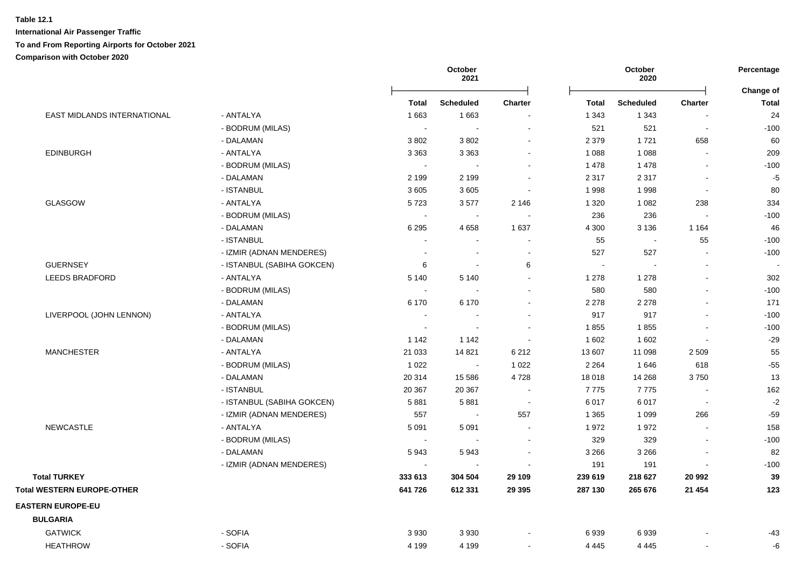|                                    |                            |         | October<br>2021          |                          |              | October<br>2020  |                          | Percentage<br>Change of |
|------------------------------------|----------------------------|---------|--------------------------|--------------------------|--------------|------------------|--------------------------|-------------------------|
|                                    |                            | Total   | <b>Scheduled</b>         | Charter                  | <b>Total</b> | <b>Scheduled</b> | <b>Charter</b>           | Total                   |
| <b>EAST MIDLANDS INTERNATIONAL</b> | - ANTALYA                  | 1663    | 1663                     | $\blacksquare$           | 1 3 4 3      | 1 3 4 3          |                          | 24                      |
|                                    | - BODRUM (MILAS)           |         | $\sim$                   | $\blacksquare$           | 521          | 521              | $\blacksquare$           | $-100$                  |
|                                    | - DALAMAN                  | 3802    | 3802                     | $\blacksquare$           | 2 3 7 9      | 1721             | 658                      | 60                      |
| <b>EDINBURGH</b>                   | - ANTALYA                  | 3 3 6 3 | 3 3 6 3                  | $\blacksquare$           | 1 0 8 8      | 1 0 8 8          | $\overline{a}$           | 209                     |
|                                    | - BODRUM (MILAS)           |         | $\sim$                   | $\sim$                   | 1 4 7 8      | 1 4 7 8          | $\sim$                   | $-100$                  |
|                                    | - DALAMAN                  | 2 1 9 9 | 2 1 9 9                  |                          | 2 3 1 7      | 2 3 1 7          | $\overline{\phantom{a}}$ | $-5$                    |
|                                    | - ISTANBUL                 | 3605    | 3605                     | $\overline{\phantom{a}}$ | 1998         | 1998             | $\blacksquare$           | 80                      |
| <b>GLASGOW</b>                     | - ANTALYA                  | 5723    | 3577                     | 2 1 4 6                  | 1 3 2 0      | 1 0 8 2          | 238                      | 334                     |
|                                    | - BODRUM (MILAS)           | $\sim$  | $\sim$                   | $\sim$                   | 236          | 236              | $\sim$                   | $-100$                  |
|                                    | - DALAMAN                  | 6 2 9 5 | 4 6 5 8                  | 1 6 3 7                  | 4 3 0 0      | 3 1 3 6          | 1 1 6 4                  | 46                      |
|                                    | - ISTANBUL                 |         | $\sim$                   | $\blacksquare$           | 55           | $\sim$           | 55                       | $-100$                  |
|                                    | - IZMIR (ADNAN MENDERES)   |         | $\overline{\phantom{a}}$ | $\overline{\phantom{a}}$ | 527          | 527              | $\blacksquare$           | $-100$                  |
| <b>GUERNSEY</b>                    | - ISTANBUL (SABIHA GOKCEN) | 6       | $\sim$                   | 6                        | $\sim$       | $\sim$           | $\blacksquare$           |                         |
| <b>LEEDS BRADFORD</b>              | - ANTALYA                  | 5 1 4 0 | 5 1 4 0                  | $\blacksquare$           | 1 2 7 8      | 1 2 7 8          | $\overline{a}$           | 302                     |
|                                    | - BODRUM (MILAS)           |         | $\overline{a}$           | $\blacksquare$           | 580          | 580              | $\sim$                   | $-100$                  |
|                                    | - DALAMAN                  | 6 1 7 0 | 6 1 7 0                  | $\blacksquare$           | 2 2 7 8      | 2 2 7 8          | $\blacksquare$           | 171                     |
| LIVERPOOL (JOHN LENNON)            | - ANTALYA                  |         | $\sim$                   | $\ddot{\phantom{0}}$     | 917          | 917              | $\blacksquare$           | $-100$                  |
|                                    | - BODRUM (MILAS)           |         | $\sim$                   | ÷                        | 1855         | 1855             |                          | $-100$                  |
|                                    | - DALAMAN                  | 1 1 4 2 | 1 142                    | $\overline{\phantom{a}}$ | 1 602        | 1 602            | $\overline{\phantom{a}}$ | $-29$                   |
| <b>MANCHESTER</b>                  | - ANTALYA                  | 21 0 33 | 14 8 21                  | 6 2 1 2                  | 13 607       | 11 098           | 2 5 0 9                  | 55                      |
|                                    | - BODRUM (MILAS)           | 1 0 2 2 | $\sim$                   | 1 0 2 2                  | 2 2 6 4      | 1646             | 618                      | $-55$                   |
|                                    | - DALAMAN                  | 20 314  | 15 5 86                  | 4728                     | 18 018       | 14 2 68          | 3750                     | 13                      |
|                                    | - ISTANBUL                 | 20 367  | 20 367                   | $\sim$                   | 7775         | 7775             | $\blacksquare$           | 162                     |
|                                    | - ISTANBUL (SABIHA GOKCEN) | 5881    | 5881                     | $\sim$                   | 6017         | 6017             | $\sim$                   | $-2$                    |
|                                    | - IZMIR (ADNAN MENDERES)   | 557     | $\sim$                   | 557                      | 1 3 6 5      | 1 0 9 9          | 266                      | $-59$                   |
| <b>NEWCASTLE</b>                   | - ANTALYA                  | 5 0 9 1 | 5 0 9 1                  | $\sim$                   | 1972         | 1972             | $\overline{a}$           | 158                     |
|                                    | - BODRUM (MILAS)           |         | $\sim$                   | $\blacksquare$           | 329          | 329              | $\sim$                   | $-100$                  |
|                                    | - DALAMAN                  | 5943    | 5943                     | $\sim$                   | 3 2 6 6      | 3 2 6 6          | $\blacksquare$           | 82                      |
|                                    | - IZMIR (ADNAN MENDERES)   |         | $\sim$                   |                          | 191          | 191              |                          | $-100$                  |
| <b>Total TURKEY</b>                |                            | 333 613 | 304 504                  | 29 109                   | 239 619      | 218 627          | 20 992                   | 39                      |
| <b>Total WESTERN EUROPE-OTHER</b>  |                            | 641 726 | 612 331                  | 29 3 95                  | 287 130      | 265 676          | 21 4 54                  | 123                     |
| <b>EASTERN EUROPE-EU</b>           |                            |         |                          |                          |              |                  |                          |                         |
| <b>BULGARIA</b>                    |                            |         |                          |                          |              |                  |                          |                         |
| <b>GATWICK</b>                     | - SOFIA                    | 3 9 3 0 | 3 9 3 0                  |                          | 6939         | 6939             |                          | $-43$                   |
| <b>HEATHROW</b>                    | - SOFIA                    | 4 1 9 9 | 4 1 9 9                  |                          | 4 4 4 5      | 4 4 4 5          |                          | -6                      |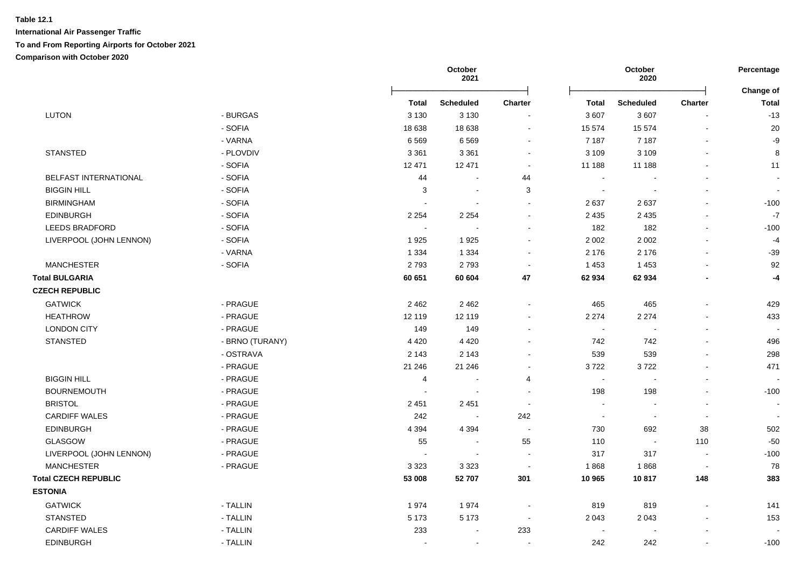|                             |                 |              | October<br>2021          |                          |              | October<br>2020  |                | Percentage                |
|-----------------------------|-----------------|--------------|--------------------------|--------------------------|--------------|------------------|----------------|---------------------------|
|                             |                 | <b>Total</b> | <b>Scheduled</b>         | <b>Charter</b>           | <b>Total</b> | <b>Scheduled</b> | <b>Charter</b> | <b>Change of</b><br>Total |
| <b>LUTON</b>                | - BURGAS        | 3 1 3 0      | 3 1 3 0                  |                          | 3 607        | 3607             |                | $-13$                     |
|                             | - SOFIA         | 18 638       | 18 638                   | $\blacksquare$           | 15 574       | 15 574           |                | 20                        |
|                             | - VARNA         | 6569         | 6569                     |                          | 7 187        | 7 1 8 7          |                | $-9$                      |
| <b>STANSTED</b>             | - PLOVDIV       | 3 3 6 1      | 3 3 6 1                  | $\sim$                   | 3 1 0 9      | 3 1 0 9          | $\sim$         | 8                         |
|                             | - SOFIA         | 12 471       | 12 471                   | $\blacksquare$           | 11 188       | 11 188           |                | 11                        |
| BELFAST INTERNATIONAL       | - SOFIA         | 44           |                          | 44                       | $\sim$       |                  |                | $\blacksquare$            |
| <b>BIGGIN HILL</b>          | - SOFIA         | 3            | $\blacksquare$           | 3                        | $\sim$       |                  |                |                           |
| <b>BIRMINGHAM</b>           | - SOFIA         | $\sim$       | $\sim$                   |                          | 2637         | 2637             |                | $-100$                    |
| <b>EDINBURGH</b>            | - SOFIA         | 2 2 5 4      | 2 2 5 4                  |                          | 2 4 3 5      | 2 4 3 5          |                | $-7$                      |
| <b>LEEDS BRADFORD</b>       | - SOFIA         | $\sim$       |                          |                          | 182          | 182              |                | $-100$                    |
| LIVERPOOL (JOHN LENNON)     | - SOFIA         | 1925         | 1925                     |                          | 2 0 0 2      | $2\ 002$         |                | $-4$                      |
|                             | - VARNA         | 1 3 3 4      | 1 3 3 4                  |                          | 2 1 7 6      | 2 1 7 6          |                | $-39$                     |
| <b>MANCHESTER</b>           | - SOFIA         | 2793         | 2793                     |                          | 1 4 5 3      | 1 4 5 3          |                | 92                        |
| <b>Total BULGARIA</b>       |                 | 60 651       | 60 604                   | 47                       | 62 934       | 62 934           |                | $-4$                      |
| <b>CZECH REPUBLIC</b>       |                 |              |                          |                          |              |                  |                |                           |
| <b>GATWICK</b>              | - PRAGUE        | 2 4 6 2      | 2 4 6 2                  |                          | 465          | 465              |                | 429                       |
| <b>HEATHROW</b>             | - PRAGUE        | 12 119       | 12 119                   |                          | 2 2 7 4      | 2 2 7 4          |                | 433                       |
| <b>LONDON CITY</b>          | - PRAGUE        | 149          | 149                      |                          | $\sim$       |                  |                |                           |
| <b>STANSTED</b>             | - BRNO (TURANY) | 4 4 2 0      | 4 4 2 0                  |                          | 742          | 742              |                | 496                       |
|                             | - OSTRAVA       | 2 1 4 3      | 2 1 4 3                  |                          | 539          | 539              |                | 298                       |
|                             | - PRAGUE        | 21 24 6      | 21 24 6                  | $\blacksquare$           | 3722         | 3722             |                | 471                       |
| <b>BIGGIN HILL</b>          | - PRAGUE        | 4            |                          | 4                        | $\sim$       |                  |                |                           |
| <b>BOURNEMOUTH</b>          | - PRAGUE        |              | $\overline{\phantom{a}}$ | $\overline{\phantom{a}}$ | 198          | 198              |                | $-100$                    |
| <b>BRISTOL</b>              | - PRAGUE        | 2 4 5 1      | 2 4 5 1                  | $\overline{\phantom{a}}$ | $\sim$       |                  |                |                           |
| <b>CARDIFF WALES</b>        | - PRAGUE        | 242          | $\sim$                   | 242                      | $\sim$       | $\blacksquare$   | $\sim$         |                           |
| <b>EDINBURGH</b>            | - PRAGUE        | 4 3 9 4      | 4 3 9 4                  |                          | 730          | 692              | 38             | 502                       |
| <b>GLASGOW</b>              | - PRAGUE        | 55           | $\sim$                   | 55                       | 110          | $\blacksquare$   | 110            | $-50$                     |
| LIVERPOOL (JOHN LENNON)     | - PRAGUE        |              | $\overline{\phantom{a}}$ |                          | 317          | 317              |                | $-100$                    |
| <b>MANCHESTER</b>           | - PRAGUE        | 3 3 2 3      | 3 3 2 3                  | $\sim$                   | 1868         | 1868             |                | 78                        |
| <b>Total CZECH REPUBLIC</b> |                 | 53 008       | 52 707                   | 301                      | 10 965       | 10817            | 148            | 383                       |
| <b>ESTONIA</b>              |                 |              |                          |                          |              |                  |                |                           |
| <b>GATWICK</b>              | - TALLIN        | 1974         | 1974                     |                          | 819          | 819              |                | 141                       |
| <b>STANSTED</b>             | - TALLIN        | 5 1 7 3      | 5 1 7 3                  |                          | 2 0 4 3      | 2 0 4 3          |                | 153                       |
| <b>CARDIFF WALES</b>        | - TALLIN        | 233          |                          | 233                      |              |                  |                |                           |
| <b>EDINBURGH</b>            | - TALLIN        |              |                          |                          | 242          | 242              |                | $-100$                    |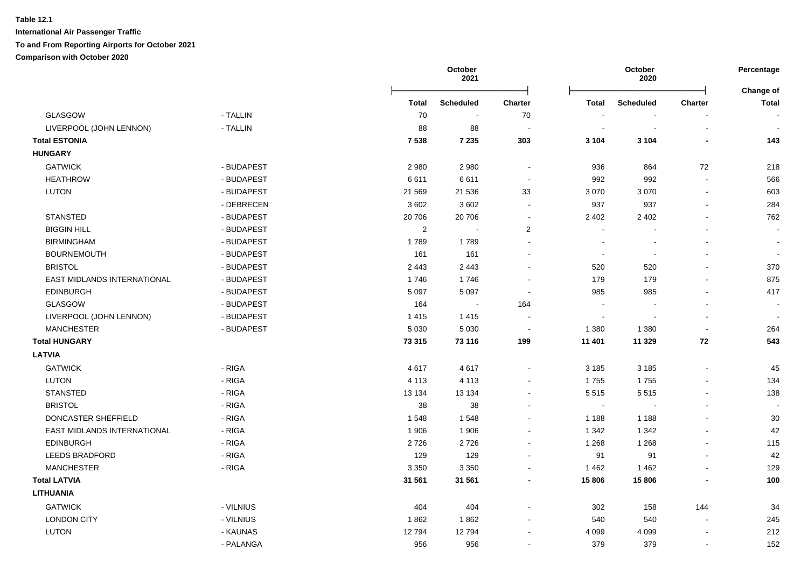|                             |            |              | October<br>2021  |                |                          | October<br>2020  |                | Percentage                |
|-----------------------------|------------|--------------|------------------|----------------|--------------------------|------------------|----------------|---------------------------|
|                             |            | <b>Total</b> | <b>Scheduled</b> | <b>Charter</b> | <b>Total</b>             | <b>Scheduled</b> | Charter        | Change of<br><b>Total</b> |
| <b>GLASGOW</b>              | - TALLIN   | 70           | $\blacksquare$   | 70             |                          |                  |                |                           |
| LIVERPOOL (JOHN LENNON)     | - TALLIN   | 88           | 88               |                | $\overline{\phantom{a}}$ | $\blacksquare$   | $\blacksquare$ | $\sim$                    |
| <b>Total ESTONIA</b>        |            | 7538         | 7 2 3 5          | 303            | 3 1 0 4                  | 3 1 0 4          |                | 143                       |
| <b>HUNGARY</b>              |            |              |                  |                |                          |                  |                |                           |
| <b>GATWICK</b>              | - BUDAPEST | 2 9 8 0      | 2980             | $\sim$         | 936                      | 864              | 72             | 218                       |
| <b>HEATHROW</b>             | - BUDAPEST | 6611         | 6611             | $\sim$         | 992                      | 992              | $\sim$         | 566                       |
| <b>LUTON</b>                | - BUDAPEST | 21 5 69      | 21 536           | 33             | 3 0 7 0                  | 3 0 7 0          | $\sim$         | 603                       |
|                             | - DEBRECEN | 3 6 0 2      | 3602             | $\blacksquare$ | 937                      | 937              |                | 284                       |
| <b>STANSTED</b>             | - BUDAPEST | 20 706       | 20 706           | $\sim$         | 2 4 0 2                  | 2 4 0 2          |                | 762                       |
| <b>BIGGIN HILL</b>          | - BUDAPEST | 2            |                  | $\overline{2}$ |                          |                  |                |                           |
| <b>BIRMINGHAM</b>           | - BUDAPEST | 1789         | 1789             | $\sim$         | $\overline{\phantom{a}}$ |                  |                |                           |
| <b>BOURNEMOUTH</b>          | - BUDAPEST | 161          | 161              |                | $\sim$                   | $\sim$           |                |                           |
| <b>BRISTOL</b>              | - BUDAPEST | 2 4 4 3      | 2 4 4 3          |                | 520                      | 520              |                | 370                       |
| EAST MIDLANDS INTERNATIONAL | - BUDAPEST | 1746         | 1746             |                | 179                      | 179              |                | 875                       |
| <b>EDINBURGH</b>            | - BUDAPEST | 5 0 9 7      | 5 0 9 7          | $\sim$         | 985                      | 985              |                | 417                       |
| <b>GLASGOW</b>              | - BUDAPEST | 164          | $\sim$           | 164            | $\sim$                   |                  |                |                           |
| LIVERPOOL (JOHN LENNON)     | - BUDAPEST | 1 4 1 5      | 1 4 1 5          |                | $\sim$                   |                  |                |                           |
| <b>MANCHESTER</b>           | - BUDAPEST | 5 0 3 0      | 5 0 3 0          | $\sim$         | 1 3 8 0                  | 1 3 8 0          |                | 264                       |
| <b>Total HUNGARY</b>        |            | 73 315       | 73 116           | 199            | 11 401                   | 11 329           | 72             | 543                       |
| <b>LATVIA</b>               |            |              |                  |                |                          |                  |                |                           |
| <b>GATWICK</b>              | - RIGA     | 4617         | 4617             | $\blacksquare$ | 3 1 8 5                  | 3 1 8 5          |                | 45                        |
| <b>LUTON</b>                | - RIGA     | 4 1 1 3      | 4 1 1 3          | $\sim$         | 1755                     | 1755             |                | 134                       |
| <b>STANSTED</b>             | - RIGA     | 13 134       | 13 134           |                | 5515                     | 5515             | $\overline{a}$ | 138                       |
| <b>BRISTOL</b>              | - RIGA     | 38           | 38               |                | $\mathbf{u}$             |                  | $\mathbf{r}$   |                           |
| DONCASTER SHEFFIELD         | - RIGA     | 1548         | 1548             |                | 1 1 8 8                  | 1 1 8 8          |                | 30                        |
| EAST MIDLANDS INTERNATIONAL | - RIGA     | 1 906        | 1 9 0 6          | $\blacksquare$ | 1 3 4 2                  | 1 3 4 2          |                | 42                        |
| <b>EDINBURGH</b>            | - RIGA     | 2726         | 2726             |                | 1 2 6 8                  | 1 2 6 8          |                | 115                       |
| <b>LEEDS BRADFORD</b>       | - RIGA     | 129          | 129              |                | 91                       | 91               |                | 42                        |
| <b>MANCHESTER</b>           | - RIGA     | 3 3 5 0      | 3 3 5 0          |                | 1 4 6 2                  | 1 4 6 2          |                | 129                       |
| <b>Total LATVIA</b>         |            | 31 561       | 31 561           |                | 15 806                   | 15 806           |                | 100                       |
| <b>LITHUANIA</b>            |            |              |                  |                |                          |                  |                |                           |
| <b>GATWICK</b>              | - VILNIUS  | 404          | 404              |                | 302                      | 158              | 144            | 34                        |
| <b>LONDON CITY</b>          | - VILNIUS  | 1862         | 1862             |                | 540                      | 540              | $\sim$         | 245                       |
| LUTON                       | - KAUNAS   | 12794        | 12794            |                | 4 0 9 9                  | 4 0 9 9          |                | 212                       |
|                             | - PALANGA  | 956          | 956              |                | 379                      | 379              |                | 152                       |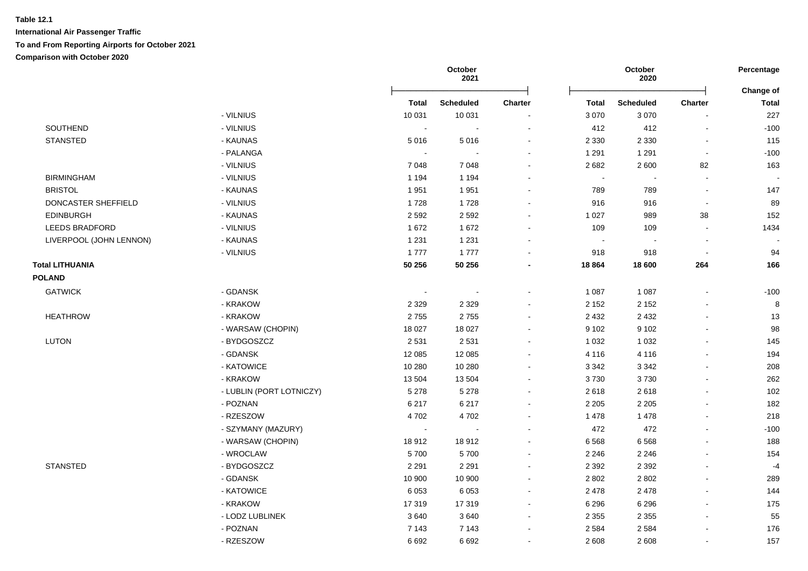|                         |                          | October<br>2021 |                          |                          | October<br>2020          |                          | Percentage<br>Change of  |              |
|-------------------------|--------------------------|-----------------|--------------------------|--------------------------|--------------------------|--------------------------|--------------------------|--------------|
|                         |                          | <b>Total</b>    | <b>Scheduled</b>         | <b>Charter</b>           | <b>Total</b>             | <b>Scheduled</b>         | Charter                  | <b>Total</b> |
|                         | - VILNIUS                | 10 031          | 10 031                   |                          | 3 0 7 0                  | 3 0 7 0                  |                          | 227          |
| SOUTHEND                | - VILNIUS                | $\sim$          |                          | $\blacksquare$           | 412                      | 412                      | $\blacksquare$           | $-100$       |
| <b>STANSTED</b>         | - KAUNAS                 | 5016            | 5016                     | $\blacksquare$           | 2 3 3 0                  | 2 3 3 0                  | $\blacksquare$           | 115          |
|                         | - PALANGA                | $\sim$          |                          |                          | 1 2 9 1                  | 1 2 9 1                  | $\blacksquare$           | $-100$       |
|                         | - VILNIUS                | 7 0 4 8         | 7 0 4 8                  |                          | 2682                     | 2 600                    | 82                       | 163          |
| <b>BIRMINGHAM</b>       | - VILNIUS                | 1 1 9 4         | 1 1 9 4                  |                          | $\overline{\phantom{a}}$ |                          |                          |              |
| <b>BRISTOL</b>          | - KAUNAS                 | 1951            | 1951                     |                          | 789                      | 789                      | $\overline{a}$           | 147          |
| DONCASTER SHEFFIELD     | - VILNIUS                | 1728            | 1728                     |                          | 916                      | 916                      | $\overline{\phantom{a}}$ | 89           |
| <b>EDINBURGH</b>        | - KAUNAS                 | 2 5 9 2         | 2 5 9 2                  |                          | 1 0 2 7                  | 989                      | 38                       | 152          |
| <b>LEEDS BRADFORD</b>   | - VILNIUS                | 1 6 7 2         | 1672                     | $\blacksquare$           | 109                      | 109                      | $\blacksquare$           | 1434         |
| LIVERPOOL (JOHN LENNON) | - KAUNAS                 | 1 2 3 1         | 1 2 3 1                  | $\sim$                   | $\sim$                   | $\overline{\phantom{a}}$ | $\overline{\phantom{a}}$ |              |
|                         | - VILNIUS                | 1777            | 1777                     |                          | 918                      | 918                      | $\blacksquare$           | 94           |
| <b>Total LITHUANIA</b>  |                          | 50 256          | 50 256                   |                          | 18 8 64                  | 18 600                   | 264                      | 166          |
| <b>POLAND</b>           |                          |                 |                          |                          |                          |                          |                          |              |
| <b>GATWICK</b>          | - GDANSK                 | $\sim$          | $\sim$                   |                          | 1 0 8 7                  | 1 0 8 7                  |                          | $-100$       |
|                         | - KRAKOW                 | 2 3 2 9         | 2 3 2 9                  |                          | 2 1 5 2                  | 2 1 5 2                  |                          | 8            |
| <b>HEATHROW</b>         | - KRAKOW                 | 2755            | 2755                     | $\sim$                   | 2 4 3 2                  | 2 4 3 2                  |                          | 13           |
|                         | - WARSAW (CHOPIN)        | 18 0 27         | 18 0 27                  |                          | 9 1 0 2                  | 9 1 0 2                  |                          | 98           |
| <b>LUTON</b>            | - BYDGOSZCZ              | 2 5 3 1         | 2 5 3 1                  | $\overline{\phantom{a}}$ | 1 0 3 2                  | 1 0 3 2                  |                          | 145          |
|                         | - GDANSK                 | 12 085          | 12 085                   | $\blacksquare$           | 4 1 1 6                  | 4 1 1 6                  |                          | 194          |
|                         | - KATOWICE               | 10 280          | 10 280                   | $\blacksquare$           | 3 3 4 2                  | 3 3 4 2                  | $\overline{a}$           | 208          |
|                         | - KRAKOW                 | 13 504          | 13 504                   | $\sim$                   | 3730                     | 3730                     |                          | 262          |
|                         | - LUBLIN (PORT LOTNICZY) | 5 2 7 8         | 5 2 7 8                  | $\blacksquare$           | 2618                     | 2618                     |                          | 102          |
|                         | - POZNAN                 | 6 2 1 7         | 6 2 1 7                  | $\overline{\phantom{a}}$ | 2 2 0 5                  | 2 2 0 5                  |                          | 182          |
|                         | - RZESZOW                | 4702            | 4702                     |                          | 1 4 7 8                  | 1 4 7 8                  |                          | 218          |
|                         | - SZYMANY (MAZURY)       | $\sim$          | $\overline{\phantom{a}}$ |                          | 472                      | 472                      | $\overline{\phantom{a}}$ | $-100$       |
|                         | - WARSAW (CHOPIN)        | 18912           | 18912                    |                          | 6 5 6 8                  | 6568                     | $\overline{a}$           | 188          |
|                         | - WROCLAW                | 5700            | 5700                     | $\blacksquare$           | 2 2 4 6                  | 2 2 4 6                  | $\overline{\phantom{a}}$ | 154          |
| <b>STANSTED</b>         | - BYDGOSZCZ              | 2 2 9 1         | 2 2 9 1                  | $\blacksquare$           | 2 3 9 2                  | 2 3 9 2                  | $\overline{a}$           | $-4$         |
|                         | - GDANSK                 | 10 900          | 10 900                   | $\blacksquare$           | 2 8 0 2                  | 2 8 0 2                  | $\overline{\phantom{a}}$ | 289          |
|                         | - KATOWICE               | 6 0 5 3         | 6 0 5 3                  | $\blacksquare$           | 2 4 7 8                  | 2 4 7 8                  | $\blacksquare$           | 144          |
|                         | - KRAKOW                 | 17319           | 17319                    | $\overline{\phantom{a}}$ | 6 2 9 6                  | 6 2 9 6                  |                          | 175          |
|                         | - LODZ LUBLINEK          | 3640            | 3640                     | $\blacksquare$           | 2 3 5 5                  | 2 3 5 5                  |                          | 55           |
|                         |                          |                 |                          |                          |                          |                          |                          |              |
|                         | - POZNAN                 | 7 1 4 3         | 7 1 4 3                  | $\sim$                   | 2 5 8 4                  | 2 5 8 4                  |                          | 176          |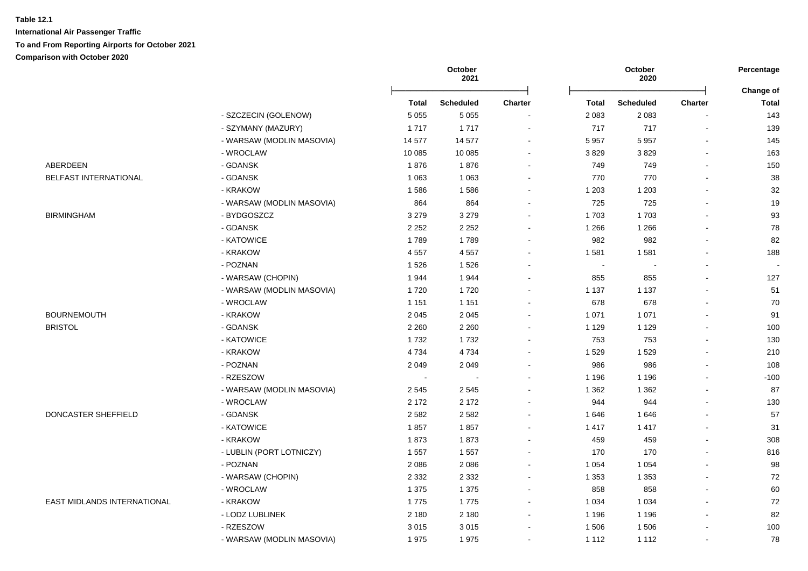| ABERDEEN<br>BELFAST INTERNATIONAL | - SZCZECIN (GOLENOW)<br>- SZYMANY (MAZURY)<br>- WARSAW (MODLIN MASOVIA) | <b>Total</b><br>5 0 5 5<br>1717 | <b>Scheduled</b><br>5 0 5 5 | Charter                  | <b>Total</b> | <b>Scheduled</b> |         | Change of    |
|-----------------------------------|-------------------------------------------------------------------------|---------------------------------|-----------------------------|--------------------------|--------------|------------------|---------|--------------|
|                                   |                                                                         |                                 |                             |                          |              |                  | Charter | <b>Total</b> |
|                                   |                                                                         |                                 |                             |                          | 2 0 8 3      | 2 0 8 3          |         | 143          |
|                                   |                                                                         |                                 | 1717                        | $\overline{\phantom{a}}$ | 717          | 717              |         | 139          |
|                                   |                                                                         | 14 577                          | 14 577                      | $\overline{\phantom{a}}$ | 5 9 5 7      | 5957             |         | 145          |
|                                   | - WROCLAW                                                               | 10 085                          | 10 085                      |                          | 3829         | 3829             |         | 163          |
|                                   | - GDANSK                                                                | 1876                            | 1876                        |                          | 749          | 749              |         | 150          |
|                                   | - GDANSK                                                                | 1 0 6 3                         | 1 0 6 3                     |                          | 770          | 770              |         | 38           |
|                                   | - KRAKOW                                                                | 1586                            | 1586                        |                          | 1 2 0 3      | 1 2 0 3          |         | 32           |
|                                   | - WARSAW (MODLIN MASOVIA)                                               | 864                             | 864                         |                          | 725          | 725              |         | 19           |
| <b>BIRMINGHAM</b>                 | - BYDGOSZCZ                                                             | 3 2 7 9                         | 3 2 7 9                     |                          | 1703         | 1703             |         | 93           |
|                                   | - GDANSK                                                                | 2 2 5 2                         | 2 2 5 2                     | $\sim$                   | 1 2 6 6      | 1 2 6 6          |         | 78           |
|                                   | - KATOWICE                                                              | 1789                            | 1789                        | $\sim$                   | 982          | 982              |         | 82           |
|                                   | - KRAKOW                                                                | 4557                            | 4557                        |                          | 1 5 8 1      | 1581             |         | 188          |
|                                   | - POZNAN                                                                | 1526                            | 1526                        |                          | $\sim$       |                  |         | $\sim$       |
|                                   | - WARSAW (CHOPIN)                                                       | 1944                            | 1944                        |                          | 855          | 855              |         | 127          |
|                                   | - WARSAW (MODLIN MASOVIA)                                               | 1720                            | 1720                        |                          | 1 1 3 7      | 1 1 3 7          |         | 51           |
|                                   | - WROCLAW                                                               | 1 1 5 1                         | 1 1 5 1                     |                          | 678          | 678              |         | 70           |
| <b>BOURNEMOUTH</b>                | - KRAKOW                                                                | 2045                            | 2 0 4 5                     |                          | 1 0 7 1      | 1 0 7 1          |         | 91           |
| <b>BRISTOL</b>                    | - GDANSK                                                                | 2 2 6 0                         | 2 2 6 0                     |                          | 1 1 2 9      | 1 1 2 9          |         | 100          |
|                                   | - KATOWICE                                                              | 1732                            | 1732                        |                          | 753          | 753              |         | 130          |
|                                   | - KRAKOW                                                                | 4 7 3 4                         | 4734                        |                          | 1529         | 1529             |         | 210          |
|                                   | - POZNAN                                                                | 2 0 4 9                         | 2 0 4 9                     |                          | 986          | 986              |         | 108          |
|                                   | - RZESZOW                                                               | $\overline{\phantom{a}}$        |                             |                          | 1 1 9 6      | 1 1 9 6          |         | $-100$       |
|                                   | - WARSAW (MODLIN MASOVIA)                                               | 2 5 4 5                         | 2 5 4 5                     |                          | 1 3 6 2      | 1 3 6 2          |         | 87           |
|                                   | - WROCLAW                                                               | 2 1 7 2                         | 2 1 7 2                     |                          | 944          | 944              |         | 130          |
| DONCASTER SHEFFIELD               | - GDANSK                                                                | 2582                            | 2582                        |                          | 1646         | 1646             |         | 57           |
|                                   | - KATOWICE                                                              | 1857                            | 1857                        | $\overline{\phantom{a}}$ | 1 4 1 7      | 1 4 1 7          |         | 31           |
|                                   | - KRAKOW                                                                | 1873                            | 1873                        | $\overline{\phantom{a}}$ | 459          | 459              |         | 308          |
|                                   | - LUBLIN (PORT LOTNICZY)                                                | 1557                            | 1 5 5 7                     |                          | 170          | 170              |         | 816          |
|                                   | - POZNAN                                                                | 2086                            | 2 0 8 6                     | $\sim$                   | 1 0 5 4      | 1 0 5 4          |         | 98           |
|                                   | - WARSAW (CHOPIN)                                                       | 2 3 3 2                         | 2 3 3 2                     |                          | 1 3 5 3      | 1 3 5 3          |         | 72           |
|                                   | - WROCLAW                                                               | 1 3 7 5                         | 1 3 7 5                     |                          | 858          | 858              |         | 60           |
| EAST MIDLANDS INTERNATIONAL       | - KRAKOW                                                                | 1775                            | 1775                        | $\sim$                   | 1 0 3 4      | 1 0 3 4          |         | $72\,$       |
|                                   | - LODZ LUBLINEK                                                         | 2 1 8 0                         | 2 1 8 0                     | $\sim$                   | 1 1 9 6      | 1 1 9 6          |         | 82           |
|                                   | - RZESZOW                                                               | 3015                            | 3015                        | $\overline{\phantom{a}}$ | 1 506        | 1506             |         | 100          |
|                                   | - WARSAW (MODLIN MASOVIA)                                               | 1975                            | 1975                        | $\overline{\phantom{a}}$ | 1 1 1 2      | 1 1 1 2          |         | 78           |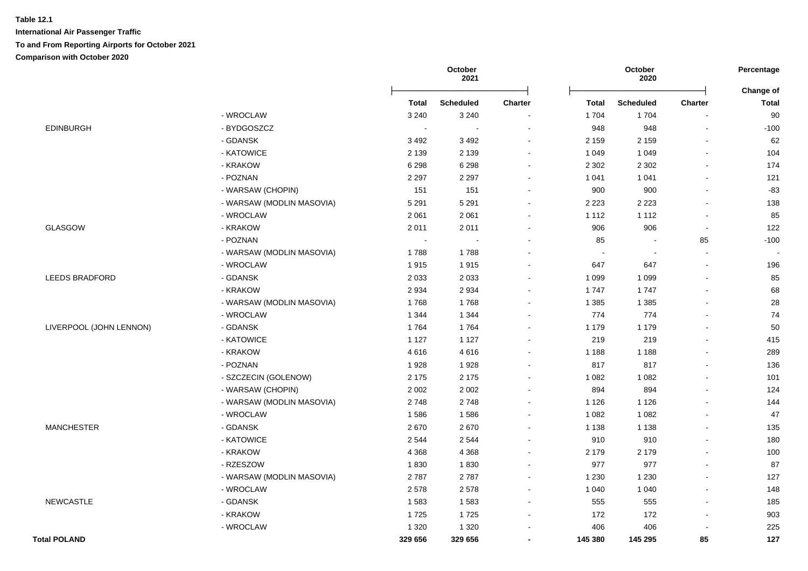|                         |                           |              | October<br>2021  |                      | October<br>2020 |                  |                          | Percentage<br>Change of |
|-------------------------|---------------------------|--------------|------------------|----------------------|-----------------|------------------|--------------------------|-------------------------|
|                         |                           | <b>Total</b> | <b>Scheduled</b> | <b>Charter</b>       | <b>Total</b>    | <b>Scheduled</b> | <b>Charter</b>           | <b>Total</b>            |
|                         | - WROCLAW                 | 3 2 4 0      | 3 2 4 0          | $\ddot{\phantom{a}}$ | 1704            | 1704             |                          | 90                      |
| <b>EDINBURGH</b>        | - BYDGOSZCZ               | $\sim$       | $\blacksquare$   | $\blacksquare$       | 948             | 948              | $\sim$                   | $-100$                  |
|                         | - GDANSK                  | 3 4 9 2      | 3 4 9 2          | $\sim$               | 2 1 5 9         | 2 1 5 9          |                          | 62                      |
|                         | - KATOWICE                | 2 1 3 9      | 2 1 3 9          | $\blacksquare$       | 1 0 4 9         | 1 0 4 9          |                          | 104                     |
|                         | - KRAKOW                  | 6 2 9 8      | 6 2 9 8          | $\blacksquare$       | 2 3 0 2         | 2 3 0 2          |                          | 174                     |
|                         | - POZNAN                  | 2 2 9 7      | 2 2 9 7          | $\sim$               | 1 0 4 1         | 1 0 4 1          | $\overline{a}$           | 121                     |
|                         | - WARSAW (CHOPIN)         | 151          | 151              | $\blacksquare$       | 900             | 900              | $\sim$                   | $-83$                   |
|                         | - WARSAW (MODLIN MASOVIA) | 5 2 9 1      | 5 2 9 1          | $\blacksquare$       | 2 2 2 3         | 2 2 2 3          |                          | 138                     |
|                         | - WROCLAW                 | 2 0 6 1      | 2 0 6 1          | $\sim$               | 1 1 1 2         | 1 1 1 2          | $\sim$                   | 85                      |
| <b>GLASGOW</b>          | - KRAKOW                  | 2011         | 2011             | $\sim$               | 906             | 906              | $\sim$                   | 122                     |
|                         | - POZNAN                  | $\sim$       |                  |                      | 85              |                  | 85                       | $-100$                  |
|                         | - WARSAW (MODLIN MASOVIA) | 1788         | 1788             |                      | $\blacksquare$  |                  |                          |                         |
|                         | - WROCLAW                 | 1915         | 1915             |                      | 647             | 647              |                          | 196                     |
| LEEDS BRADFORD          | - GDANSK                  | 2 0 3 3      | 2 0 3 3          |                      | 1 0 9 9         | 1 0 9 9          |                          | 85                      |
|                         | - KRAKOW                  | 2934         | 2934             |                      | 1747            | 1747             |                          | 68                      |
|                         | - WARSAW (MODLIN MASOVIA) | 1768         | 1768             |                      | 1 3 8 5         | 1 3 8 5          |                          | 28                      |
|                         | - WROCLAW                 | 1 3 4 4      | 1 3 4 4          | $\sim$               | 774             | 774              |                          | 74                      |
| LIVERPOOL (JOHN LENNON) | - GDANSK                  | 1764         | 1764             | $\sim$               | 1 1 7 9         | 1 1 7 9          |                          | 50                      |
|                         | - KATOWICE                | 1 1 2 7      | 1 1 2 7          | $\blacksquare$       | 219             | 219              |                          | 415                     |
|                         | - KRAKOW                  | 4616         | 4616             | $\sim$               | 1 1 8 8         | 1 1 8 8          |                          | 289                     |
|                         | - POZNAN                  | 1928         | 1928             |                      | 817             | 817              |                          | 136                     |
|                         | - SZCZECIN (GOLENOW)      | 2 1 7 5      | 2 1 7 5          |                      | 1 0 8 2         | 1 0 8 2          |                          | 101                     |
|                         | - WARSAW (CHOPIN)         | 2 0 0 2      | 2 0 0 2          | $\blacksquare$       | 894             | 894              |                          | 124                     |
|                         | - WARSAW (MODLIN MASOVIA) | 2748         | 2748             | $\sim$               | 1 1 2 6         | 1 1 2 6          |                          | 144                     |
|                         | - WROCLAW                 | 1586         | 1586             | $\sim$               | 1 0 8 2         | 1 0 8 2          |                          | 47                      |
| <b>MANCHESTER</b>       | - GDANSK                  | 2670         | 2670             |                      | 1 1 3 8         | 1 1 3 8          |                          | 135                     |
|                         | - KATOWICE                | 2544         | 2544             |                      | 910             | 910              |                          | 180                     |
|                         | - KRAKOW                  | 4 3 6 8      | 4 3 6 8          | $\sim$               | 2 1 7 9         | 2 1 7 9          |                          | 100                     |
|                         | - RZESZOW                 | 1830         | 1830             | $\sim$               | 977             | 977              | $\overline{a}$           | 87                      |
|                         | - WARSAW (MODLIN MASOVIA) | 2787         | 2787             | $\sim$               | 1 2 3 0         | 1 2 3 0          |                          | 127                     |
|                         | - WROCLAW                 | 2578         | 2578             | $\blacksquare$       | 1 0 4 0         | 1 0 4 0          |                          | 148                     |
| <b>NEWCASTLE</b>        | - GDANSK                  | 1583         | 1583             | $\sim$               | 555             | 555              | $\sim$                   | 185                     |
|                         | - KRAKOW                  | 1725         | 1725             | $\blacksquare$       | 172             | 172              | $\overline{\phantom{a}}$ | 903                     |
|                         | - WROCLAW                 | 1 3 2 0      | 1 3 2 0          |                      | 406             | 406              |                          | 225                     |
| <b>Total POLAND</b>     |                           | 329 656      | 329 656          | $\blacksquare$       | 145 380         | 145 295          | 85                       | 127                     |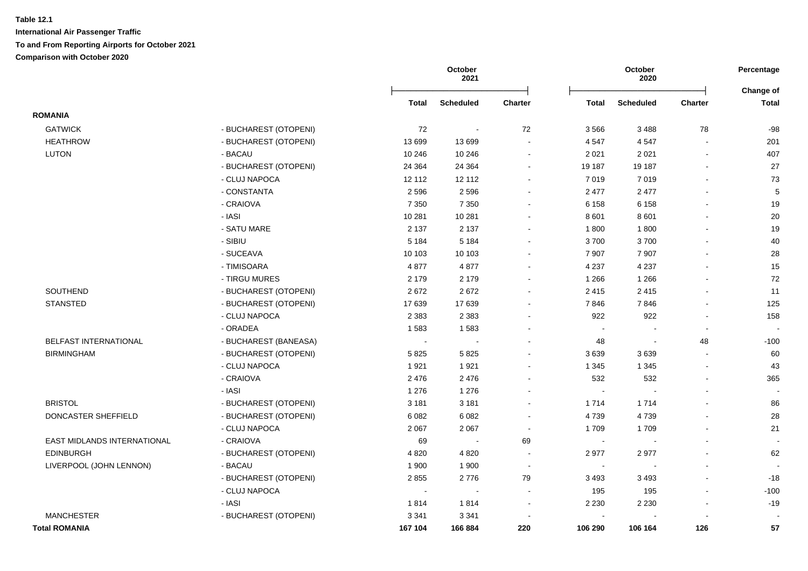|                              |                       |                | October<br>2021  |                          |                          | October<br>2020  |                          | Percentage<br>Change of  |
|------------------------------|-----------------------|----------------|------------------|--------------------------|--------------------------|------------------|--------------------------|--------------------------|
|                              |                       | Total          | <b>Scheduled</b> | <b>Charter</b>           | <b>Total</b>             | <b>Scheduled</b> | Charter                  | <b>Total</b>             |
| <b>ROMANIA</b>               |                       |                |                  |                          |                          |                  |                          |                          |
| <b>GATWICK</b>               | - BUCHAREST (OTOPENI) | 72             |                  | 72                       | 3566                     | 3488             | 78                       | $-98$                    |
| <b>HEATHROW</b>              | - BUCHAREST (OTOPENI) | 13 699         | 13 699           |                          | 4 5 4 7                  | 4547             | $\overline{\phantom{a}}$ | 201                      |
| LUTON                        | - BACAU               | 10 246         | 10 246           | $\blacksquare$           | 2 0 2 1                  | 2 0 2 1          |                          | 407                      |
|                              | - BUCHAREST (OTOPENI) | 24 3 64        | 24 3 64          | $\blacksquare$           | 19 187                   | 19 187           | $\blacksquare$           | 27                       |
|                              | - CLUJ NAPOCA         | 12 112         | 12 112           | $\blacksquare$           | 7 0 1 9                  | 7019             | L,                       | 73                       |
|                              | - CONSTANTA           | 2 5 9 6        | 2596             | $\blacksquare$           | 2 4 7 7                  | 2 4 7 7          |                          | 5                        |
|                              | - CRAIOVA             | 7 3 5 0        | 7 3 5 0          | $\blacksquare$           | 6 1 5 8                  | 6 1 5 8          | $\overline{\phantom{a}}$ | 19                       |
|                              | - IASI                | 10 281         | 10 281           | ä,                       | 8 6 0 1                  | 8 6 0 1          |                          | 20                       |
|                              | - SATU MARE           | 2 1 3 7        | 2 1 3 7          | $\blacksquare$           | 1800                     | 1800             | $\overline{a}$           | 19                       |
|                              | - SIBIU               | 5 1 8 4        | 5 1 8 4          | $\blacksquare$           | 3700                     | 3700             | $\overline{\phantom{a}}$ | 40                       |
|                              | - SUCEAVA             | 10 103         | 10 103           | $\blacksquare$           | 7 9 0 7                  | 7 9 0 7          | $\overline{\phantom{a}}$ | 28                       |
|                              | - TIMISOARA           | 4877           | 4877             | $\blacksquare$           | 4 2 3 7                  | 4 2 3 7          | $\overline{a}$           | 15                       |
|                              | - TIRGU MURES         | 2 1 7 9        | 2 1 7 9          | ÷                        | 1 2 6 6                  | 1 2 6 6          | $\overline{a}$           | 72                       |
| <b>SOUTHEND</b>              | - BUCHAREST (OTOPENI) | 2672           | 2672             | ÷                        | 2 4 1 5                  | 2415             | $\overline{a}$           | 11                       |
| <b>STANSTED</b>              | - BUCHAREST (OTOPENI) | 17639          | 17639            | ÷                        | 7846                     | 7846             | $\mathbf{r}$             | 125                      |
|                              | - CLUJ NAPOCA         | 2 3 8 3        | 2 3 8 3          | $\overline{\phantom{0}}$ | 922                      | 922              | $\overline{a}$           | 158                      |
|                              | - ORADEA              | 1583           | 1583             | $\overline{\phantom{a}}$ | $\overline{\phantom{a}}$ | $\blacksquare$   | $\blacksquare$           | $\overline{\phantom{0}}$ |
| <b>BELFAST INTERNATIONAL</b> | - BUCHAREST (BANEASA) | $\blacksquare$ |                  |                          | 48                       | $\blacksquare$   | 48                       | $-100$                   |
| <b>BIRMINGHAM</b>            | - BUCHAREST (OTOPENI) | 5825           | 5825             | $\overline{a}$           | 3639                     | 3639             | $\overline{a}$           | 60                       |
|                              | - CLUJ NAPOCA         | 1921           | 1921             | $\overline{a}$           | 1 3 4 5                  | 1 3 4 5          | $\sim$                   | 43                       |
|                              | - CRAIOVA             | 2 4 7 6        | 2476             | $\overline{a}$           | 532                      | 532              | $\sim$                   | 365                      |
|                              | - IASI                | 1 2 7 6        | 1 2 7 6          |                          | $\sim$                   |                  | $\overline{\phantom{a}}$ |                          |
| <b>BRISTOL</b>               | - BUCHAREST (OTOPENI) | 3 1 8 1        | 3 1 8 1          | $\blacksquare$           | 1 7 1 4                  | 1714             | $\blacksquare$           | 86                       |
| DONCASTER SHEFFIELD          | - BUCHAREST (OTOPENI) | 6 0 8 2        | 6 0 8 2          | $\overline{\phantom{a}}$ | 4739                     | 4739             | $\blacksquare$           | 28                       |
|                              | - CLUJ NAPOCA         | 2 0 6 7        | 2 0 6 7          | $\sim$                   | 1709                     | 1709             | $\sim$                   | 21                       |
| EAST MIDLANDS INTERNATIONAL  | - CRAIOVA             | 69             | $\sim$           | 69                       | $\sim$                   | $\sim$           | $\overline{a}$           | $\overline{\phantom{a}}$ |
| <b>EDINBURGH</b>             | - BUCHAREST (OTOPENI) | 4 8 20         | 4 8 20           | $\overline{\phantom{a}}$ | 2977                     | 2977             | $\overline{\phantom{a}}$ | 62                       |
| LIVERPOOL (JOHN LENNON)      | - BACAU               | 1 900          | 1900             | $\sim$                   | $\sim$                   | $\blacksquare$   | $\blacksquare$           |                          |
|                              | - BUCHAREST (OTOPENI) | 2855           | 2776             | 79                       | 3 4 9 3                  | 3 4 9 3          | $\mathbf{r}$             | $-18$                    |
|                              | - CLUJ NAPOCA         | $\sim$         | $\sim$           | $\blacksquare$           | 195                      | 195              | $\sim$                   | $-100$                   |
|                              | - IASI                | 1814           | 1814             | $\blacksquare$           | 2 2 3 0                  | 2 2 3 0          | $\blacksquare$           | $-19$                    |
| <b>MANCHESTER</b>            | - BUCHAREST (OTOPENI) | 3 3 4 1        | 3 3 4 1          |                          | $\sim$                   |                  |                          |                          |
| <b>Total ROMANIA</b>         |                       | 167 104        | 166 884          | 220                      | 106 290                  | 106 164          | 126                      | 57                       |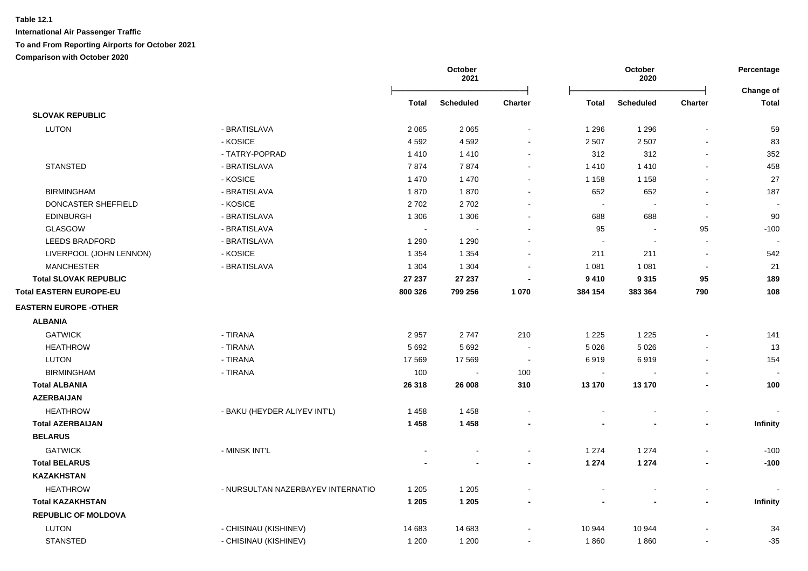|                                |                                   | October<br>2021 |                  |                | October<br>2020 | Percentage<br><b>Change of</b> |                          |                 |
|--------------------------------|-----------------------------------|-----------------|------------------|----------------|-----------------|--------------------------------|--------------------------|-----------------|
|                                |                                   | <b>Total</b>    | <b>Scheduled</b> | <b>Charter</b> | <b>Total</b>    | <b>Scheduled</b>               | Charter                  | <b>Total</b>    |
| <b>SLOVAK REPUBLIC</b>         |                                   |                 |                  |                |                 |                                |                          |                 |
| <b>LUTON</b>                   | - BRATISLAVA                      | 2 0 6 5         | 2 0 6 5          | $\blacksquare$ | 1 2 9 6         | 1 2 9 6                        |                          | 59              |
|                                | - KOSICE                          | 4592            | 4592             | $\sim$         | 2 5 0 7         | 2 5 0 7                        |                          | 83              |
|                                | - TATRY-POPRAD                    | 1410            | 1410             | $\blacksquare$ | 312             | 312                            |                          | 352             |
| <b>STANSTED</b>                | - BRATISLAVA                      | 7874            | 7874             | $\blacksquare$ | 1410            | 1410                           |                          | 458             |
|                                | - KOSICE                          | 1 4 7 0         | 1 4 7 0          |                | 1 1 5 8         | 1 1 5 8                        |                          | 27              |
| <b>BIRMINGHAM</b>              | - BRATISLAVA                      | 1870            | 1870             |                | 652             | 652                            | $\overline{\phantom{a}}$ | 187             |
| DONCASTER SHEFFIELD            | - KOSICE                          | 2702            | 2702             |                | $\sim$          |                                |                          |                 |
| <b>EDINBURGH</b>               | - BRATISLAVA                      | 1 3 0 6         | 1 3 0 6          |                | 688             | 688                            | $\sim$                   | 90              |
| GLASGOW                        | - BRATISLAVA                      |                 |                  |                | 95              |                                | 95                       | $-100$          |
| <b>LEEDS BRADFORD</b>          | - BRATISLAVA                      | 1 2 9 0         | 1 2 9 0          |                |                 |                                |                          |                 |
| LIVERPOOL (JOHN LENNON)        | - KOSICE                          | 1 3 5 4         | 1 3 5 4          |                | 211             | 211                            | $\sim$                   | 542             |
| <b>MANCHESTER</b>              | - BRATISLAVA                      | 1 3 0 4         | 1 3 0 4          |                | 1 0 8 1         | 1 0 8 1                        | $\blacksquare$           | 21              |
| <b>Total SLOVAK REPUBLIC</b>   |                                   | 27 237          | 27 237           |                | 9 4 1 0         | 9 3 1 5                        | 95                       | 189             |
| <b>Total EASTERN EUROPE-EU</b> |                                   | 800 326         | 799 256          | 1 0 7 0        | 384 154         | 383 364                        | 790                      | 108             |
| <b>EASTERN EUROPE -OTHER</b>   |                                   |                 |                  |                |                 |                                |                          |                 |
| <b>ALBANIA</b>                 |                                   |                 |                  |                |                 |                                |                          |                 |
| <b>GATWICK</b>                 | - TIRANA                          | 2957            | 2747             | 210            | 1 2 2 5         | 1 2 2 5                        |                          | 141             |
| <b>HEATHROW</b>                | - TIRANA                          | 5 6 9 2         | 5 6 9 2          | $\sim$         | 5 0 26          | 5 0 2 6                        |                          | 13              |
| <b>LUTON</b>                   | - TIRANA                          | 17 569          | 17 5 69          | $\sim$         | 6919            | 6919                           | $\overline{\phantom{a}}$ | 154             |
| <b>BIRMINGHAM</b>              | - TIRANA                          | 100             | $\sim$           | 100            | $\sim$          |                                |                          |                 |
| <b>Total ALBANIA</b>           |                                   | 26 318          | 26 008           | 310            | 13 170          | 13 170                         |                          | 100             |
| <b>AZERBAIJAN</b>              |                                   |                 |                  |                |                 |                                |                          |                 |
| <b>HEATHROW</b>                | - BAKU (HEYDER ALIYEV INT'L)      | 1458            | 1458             |                |                 |                                |                          |                 |
| <b>Total AZERBAIJAN</b>        |                                   | 1 4 5 8         | 1 4 5 8          |                |                 |                                |                          | Infinity        |
| <b>BELARUS</b>                 |                                   |                 |                  |                |                 |                                |                          |                 |
| <b>GATWICK</b>                 | - MINSK INT'L                     |                 | $\blacksquare$   | $\blacksquare$ | 1 2 7 4         | 1 2 7 4                        |                          | $-100$          |
| <b>Total BELARUS</b>           |                                   |                 | $\blacksquare$   | $\blacksquare$ | 1 2 7 4         | 1 2 7 4                        | $\blacksquare$           | $-100$          |
| <b>KAZAKHSTAN</b>              |                                   |                 |                  |                |                 |                                |                          |                 |
| <b>HEATHROW</b>                | - NURSULTAN NAZERBAYEV INTERNATIO | 1 2 0 5         | 1 2 0 5          |                |                 |                                | $\overline{a}$           |                 |
| <b>Total KAZAKHSTAN</b>        |                                   | 1 2 0 5         | 1 2 0 5          |                |                 |                                | $\blacksquare$           | <b>Infinity</b> |
| <b>REPUBLIC OF MOLDOVA</b>     |                                   |                 |                  |                |                 |                                |                          |                 |
| LUTON                          | - CHISINAU (KISHINEV)             | 14 683          | 14 683           |                | 10 944          | 10 944                         |                          | 34              |
| <b>STANSTED</b>                | - CHISINAU (KISHINEV)             | 1 200           | 1 200            |                | 1860            | 1860                           |                          | $-35$           |
|                                |                                   |                 |                  |                |                 |                                |                          |                 |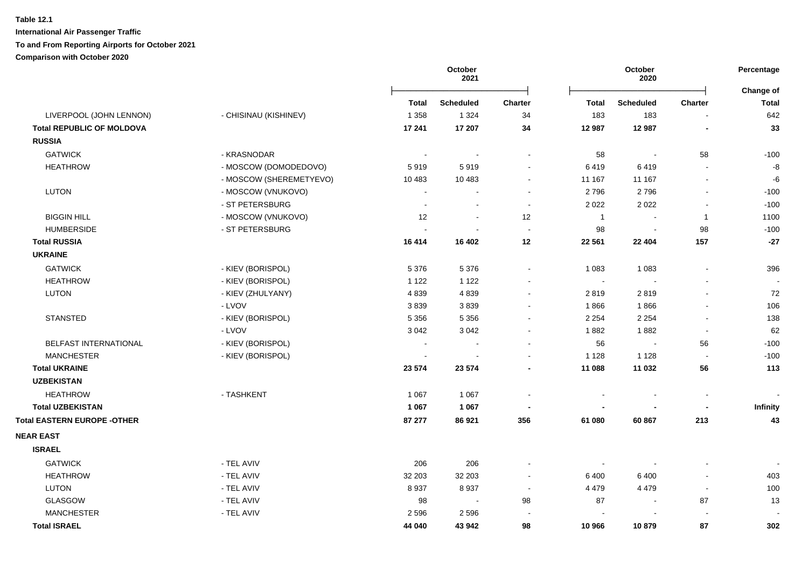|                                    |                         | October<br>2021 |                  | October<br>2020          |              |                  | Percentage<br>Change of  |                   |
|------------------------------------|-------------------------|-----------------|------------------|--------------------------|--------------|------------------|--------------------------|-------------------|
|                                    |                         | <b>Total</b>    | <b>Scheduled</b> | <b>Charter</b>           | <b>Total</b> | <b>Scheduled</b> | Charter                  | <b>Total</b>      |
| LIVERPOOL (JOHN LENNON)            | - CHISINAU (KISHINEV)   | 1 3 5 8         | 1 3 2 4          | 34                       | 183          | 183              |                          | 642               |
| <b>Total REPUBLIC OF MOLDOVA</b>   |                         | 17 241          | 17 207           | 34                       | 12 987       | 12 987           |                          | 33                |
| <b>RUSSIA</b>                      |                         |                 |                  |                          |              |                  |                          |                   |
| <b>GATWICK</b>                     | - KRASNODAR             |                 | $\sim$           | $\blacksquare$           | 58           | $\blacksquare$   | 58                       | $-100$            |
| <b>HEATHROW</b>                    | - MOSCOW (DOMODEDOVO)   | 5919            | 5919             | $\blacksquare$           | 6419         | 6419             | $\sim$                   | $\textnormal{-}8$ |
|                                    | - MOSCOW (SHEREMETYEVO) | 10 4 83         | 10 483           | $\blacksquare$           | 11 167       | 11 167           | $\blacksquare$           | -6                |
| LUTON                              | - MOSCOW (VNUKOVO)      |                 |                  | $\overline{\phantom{a}}$ | 2796         | 2796             | $\sim$                   | $-100$            |
|                                    | - ST PETERSBURG         |                 |                  | $\sim$                   | 2 0 2 2      | 2 0 2 2          |                          | $-100$            |
| <b>BIGGIN HILL</b>                 | - MOSCOW (VNUKOVO)      | 12              | $\sim$           | 12                       | $\mathbf{1}$ | $\blacksquare$   | $\overline{1}$           | 1100              |
| <b>HUMBERSIDE</b>                  | - ST PETERSBURG         |                 | $\sim$           | $\blacksquare$           | 98           | $\blacksquare$   | 98                       | $-100$            |
| <b>Total RUSSIA</b>                |                         | 16 4 14         | 16 402           | 12                       | 22 561       | 22 4 04          | 157                      | $-27$             |
| <b>UKRAINE</b>                     |                         |                 |                  |                          |              |                  |                          |                   |
| <b>GATWICK</b>                     | - KIEV (BORISPOL)       | 5 3 7 6         | 5 3 7 6          | $\blacksquare$           | 1 0 8 3      | 1 0 8 3          | L,                       | 396               |
| <b>HEATHROW</b>                    | - KIEV (BORISPOL)       | 1 1 2 2         | 1 1 2 2          | $\blacksquare$           | $\sim$       | $\sim$           |                          | $\blacksquare$    |
| LUTON                              | - KIEV (ZHULYANY)       | 4839            | 4839             | $\blacksquare$           | 2819         | 2819             | ÷,                       | 72                |
|                                    | - LVOV                  | 3839            | 3839             | $\blacksquare$           | 1866         | 1866             |                          | 106               |
| <b>STANSTED</b>                    | - KIEV (BORISPOL)       | 5 3 5 6         | 5 3 5 6          | $\blacksquare$           | 2 2 5 4      | 2 2 5 4          | $\blacksquare$           | 138               |
|                                    | - LVOV                  | 3 0 4 2         | 3 0 4 2          | $\blacksquare$           | 1882         | 1882             | $\blacksquare$           | 62                |
| <b>BELFAST INTERNATIONAL</b>       | - KIEV (BORISPOL)       |                 |                  | $\blacksquare$           | 56           | $\sim$           | 56                       | $-100$            |
| <b>MANCHESTER</b>                  | - KIEV (BORISPOL)       |                 |                  | $\blacksquare$           | 1 1 2 8      | 1 1 2 8          | $\sim$                   | $-100$            |
| <b>Total UKRAINE</b>               |                         | 23 574          | 23 574           | $\blacksquare$           | 11 088       | 11 032           | 56                       | 113               |
| <b>UZBEKISTAN</b>                  |                         |                 |                  |                          |              |                  |                          |                   |
| <b>HEATHROW</b>                    | - TASHKENT              | 1 0 6 7         | 1 0 6 7          | $\overline{\phantom{a}}$ |              |                  | $\blacksquare$           |                   |
| <b>Total UZBEKISTAN</b>            |                         | 1 0 6 7         | 1 0 6 7          |                          |              |                  | $\overline{\phantom{a}}$ | Infinity          |
| <b>Total EASTERN EUROPE -OTHER</b> |                         | 87 277          | 86 921           | 356                      | 61 080       | 60 867           | 213                      | 43                |
| <b>NEAR EAST</b>                   |                         |                 |                  |                          |              |                  |                          |                   |
| <b>ISRAEL</b>                      |                         |                 |                  |                          |              |                  |                          |                   |
| <b>GATWICK</b>                     | - TEL AVIV              | 206             | 206              |                          | $\sim$       |                  |                          |                   |
| <b>HEATHROW</b>                    | - TEL AVIV              | 32 203          | 32 203           | $\blacksquare$           | 6 4 0 0      | 6400             | $\blacksquare$           | 403               |
| <b>LUTON</b>                       | - TEL AVIV              | 8937            | 8937             | $\sim$                   | 4 4 7 9      | 4 4 7 9          | $\mathbf{r}$             | 100               |
| GLASGOW                            | - TEL AVIV              | 98              | $\sim$           | 98                       | 87           | $\blacksquare$   | 87                       | 13                |
| <b>MANCHESTER</b>                  | - TEL AVIV              | 2 5 9 6         | 2596             |                          |              |                  | $\blacksquare$           |                   |
| <b>Total ISRAEL</b>                |                         | 44 040          | 43 942           | 98                       | 10 966       | 10879            | 87                       | 302               |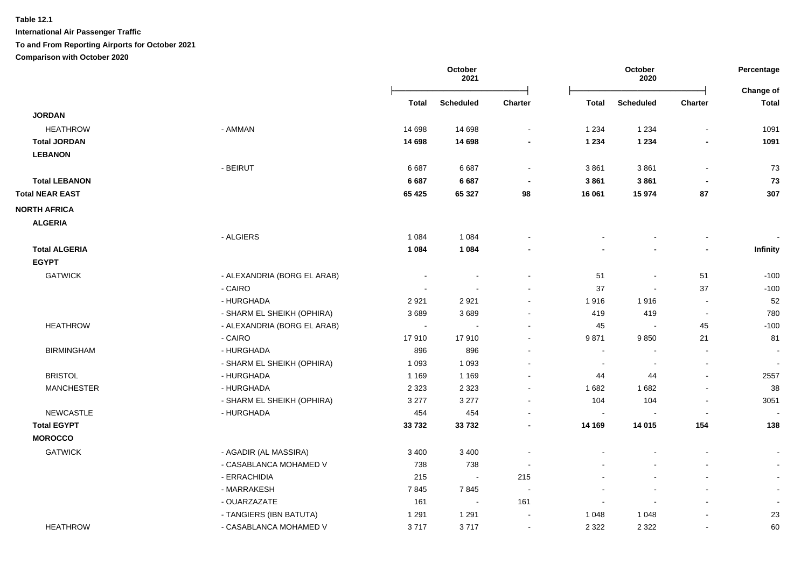**International Air Passenger Traffic**

**To and From Reporting Airports for October 2021**

**Comparison with October 2020**

|                        |                             |         | October<br>2021  | October<br>2020          |              |                          | Percentage<br>Change of  |                          |
|------------------------|-----------------------------|---------|------------------|--------------------------|--------------|--------------------------|--------------------------|--------------------------|
|                        |                             | Total   | <b>Scheduled</b> | <b>Charter</b>           | <b>Total</b> | <b>Scheduled</b>         | <b>Charter</b>           | <b>Total</b>             |
| <b>JORDAN</b>          |                             |         |                  |                          |              |                          |                          |                          |
| <b>HEATHROW</b>        | - AMMAN                     | 14 6 98 | 14 698           | $\ddot{\phantom{0}}$     | 1 2 3 4      | 1 2 3 4                  |                          | 1091                     |
| <b>Total JORDAN</b>    |                             | 14 698  | 14 698           |                          | 1 2 3 4      | 1 2 3 4                  |                          | 1091                     |
| <b>LEBANON</b>         |                             |         |                  |                          |              |                          |                          |                          |
|                        | - BEIRUT                    | 6687    | 6687             | $\blacksquare$           | 3861         | 3861                     | $\blacksquare$           | 73                       |
| <b>Total LEBANON</b>   |                             | 6 6 8 7 | 6 6 8 7          | $\blacksquare$           | 3861         | 3861                     | $\blacksquare$           | 73                       |
| <b>Total NEAR EAST</b> |                             | 65 4 25 | 65 327           | 98                       | 16 061       | 15 974                   | 87                       | 307                      |
| <b>NORTH AFRICA</b>    |                             |         |                  |                          |              |                          |                          |                          |
| <b>ALGERIA</b>         |                             |         |                  |                          |              |                          |                          |                          |
|                        | - ALGIERS                   | 1 0 8 4 | 1 0 8 4          |                          |              | $\overline{\phantom{a}}$ | $\blacksquare$           |                          |
| <b>Total ALGERIA</b>   |                             | 1 0 8 4 | 1 0 8 4          |                          |              |                          | $\overline{a}$           | Infinity                 |
| <b>EGYPT</b>           |                             |         |                  |                          |              |                          |                          |                          |
| <b>GATWICK</b>         | - ALEXANDRIA (BORG EL ARAB) |         |                  | $\overline{\phantom{a}}$ | 51           | $\overline{\phantom{a}}$ | 51                       | $-100$                   |
|                        | - CAIRO                     |         |                  | $\blacksquare$           | 37           | $\overline{\phantom{a}}$ | 37                       | $-100$                   |
|                        | - HURGHADA                  | 2921    | 2921             | $\blacksquare$           | 1916         | 1916                     | $\sim$                   | 52                       |
|                        | - SHARM EL SHEIKH (OPHIRA)  | 3689    | 3689             | $\sim$                   | 419          | 419                      | $\sim$                   | 780                      |
| <b>HEATHROW</b>        | - ALEXANDRIA (BORG EL ARAB) | $\sim$  | $\sim$           | $\sim$                   | 45           | $\overline{\phantom{a}}$ | 45                       | $-100$                   |
|                        | - CAIRO                     | 17910   | 17910            | $\blacksquare$           | 9871         | 9850                     | 21                       | 81                       |
| <b>BIRMINGHAM</b>      | - HURGHADA                  | 896     | 896              | $\sim$                   | $\sim$       | $\sim$                   | $\overline{\phantom{a}}$ | $\sim$                   |
|                        | - SHARM EL SHEIKH (OPHIRA)  | 1 0 9 3 | 1 0 9 3          | $\blacksquare$           | $\sim$       | $\blacksquare$           | $\blacksquare$           | $\blacksquare$           |
| <b>BRISTOL</b>         | - HURGHADA                  | 1 1 6 9 | 1 1 6 9          | $\blacksquare$           | 44           | 44                       | $\blacksquare$           | 2557                     |
| <b>MANCHESTER</b>      | - HURGHADA                  | 2 3 2 3 | 2 3 2 3          | $\blacksquare$           | 1682         | 1682                     | $\blacksquare$           | 38                       |
|                        | - SHARM EL SHEIKH (OPHIRA)  | 3 2 7 7 | 3 2 7 7          | $\blacksquare$           | 104          | 104                      | $\blacksquare$           | 3051                     |
| <b>NEWCASTLE</b>       | - HURGHADA                  | 454     | 454              | $\blacksquare$           | $\sim$       |                          | $\blacksquare$           |                          |
| <b>Total EGYPT</b>     |                             | 33732   | 33732            | $\blacksquare$           | 14 169       | 14 015                   | 154                      | 138                      |
| <b>MOROCCO</b>         |                             |         |                  |                          |              |                          |                          |                          |
| <b>GATWICK</b>         | - AGADIR (AL MASSIRA)       | 3 4 0 0 | 3 4 0 0          | $\blacksquare$           |              |                          |                          | $\blacksquare$           |
|                        | - CASABLANCA MOHAMED V      | 738     | 738              | $\blacksquare$           |              | $\blacksquare$           | $\blacksquare$           | $\sim$                   |
|                        | - ERRACHIDIA                | 215     | $\sim$           | 215                      |              | $\blacksquare$           | $\blacksquare$           | $\sim$                   |
|                        | - MARRAKESH                 | 7845    | 7845             | $\sim$                   |              | $\overline{a}$           | $\overline{\phantom{a}}$ | $\sim$                   |
|                        | - OUARZAZATE                | 161     | $\sim$           | 161                      |              | $\overline{\phantom{a}}$ | $\overline{a}$           | $\overline{\phantom{a}}$ |
|                        | - TANGIERS (IBN BATUTA)     | 1 2 9 1 | 1 2 9 1          | $\blacksquare$           | 1 0 4 8      | 1 0 4 8                  | $\blacksquare$           | 23                       |
| <b>HEATHROW</b>        | - CASABLANCA MOHAMED V      | 3717    | 3717             | $\blacksquare$           | 2 3 2 2      | 2 3 2 2                  | $\blacksquare$           | 60                       |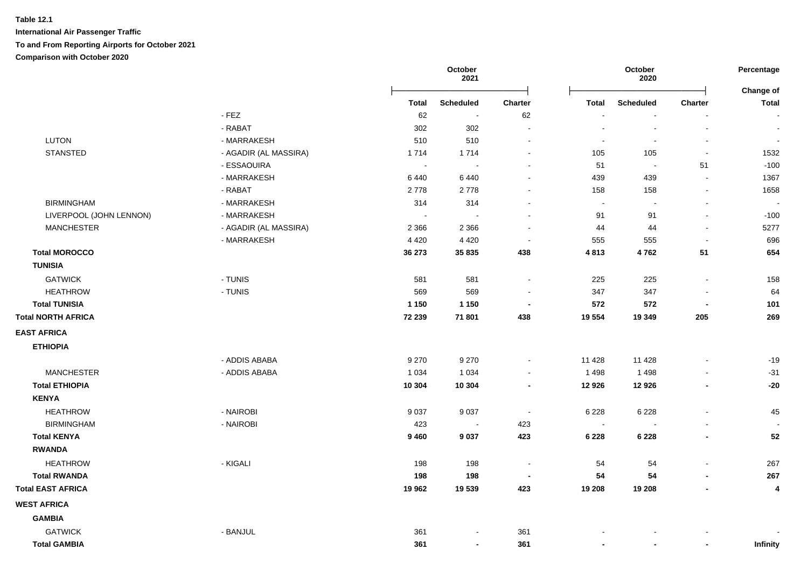|                           |                       | October<br>2021 |                          |                          |                          | October<br>2020          |                          | Percentage                |
|---------------------------|-----------------------|-----------------|--------------------------|--------------------------|--------------------------|--------------------------|--------------------------|---------------------------|
|                           |                       | <b>Total</b>    | <b>Scheduled</b>         | <b>Charter</b>           | <b>Total</b>             | <b>Scheduled</b>         | <b>Charter</b>           | Change of<br><b>Total</b> |
|                           | $-$ FEZ               | 62              | $\blacksquare$           | 62                       | $\blacksquare$           | $\overline{\phantom{a}}$ | $\blacksquare$           | $\overline{\phantom{a}}$  |
|                           | - RABAT               | 302             | 302                      | $\blacksquare$           | $\blacksquare$           | $\overline{\phantom{a}}$ | $\blacksquare$           | $\blacksquare$            |
| LUTON                     | - MARRAKESH           | 510             | 510                      | $\sim$                   | $\sim$                   | $\sim$                   | $\blacksquare$           | $\sim$                    |
| <b>STANSTED</b>           | - AGADIR (AL MASSIRA) | 1714            | 1714                     | $\sim$                   | 105                      | 105                      | $\sim$                   | 1532                      |
|                           | - ESSAOUIRA           | $\sim$          | $\sim$                   |                          | 51                       | $\sim$                   | 51                       | $-100$                    |
|                           | - MARRAKESH           | 6440            | 6440                     |                          | 439                      | 439                      | $\sim$                   | 1367                      |
|                           | - RABAT               | 2778            | 2778                     | ٠                        | 158                      | 158                      | $\blacksquare$           | 1658                      |
| <b>BIRMINGHAM</b>         | - MARRAKESH           | 314             | 314                      | $\overline{a}$           | $\sim$                   | $\overline{\phantom{a}}$ | $\blacksquare$           | $\overline{\phantom{a}}$  |
| LIVERPOOL (JOHN LENNON)   | - MARRAKESH           | $\sim$          | $\sim$                   | $\sim$                   | 91                       | 91                       | $\overline{\phantom{a}}$ | $-100$                    |
| <b>MANCHESTER</b>         | - AGADIR (AL MASSIRA) | 2 3 6 6         | 2 3 6 6                  | $\overline{\phantom{a}}$ | 44                       | 44                       | $\sim$                   | 5277                      |
|                           | - MARRAKESH           | 4 4 2 0         | 4 4 2 0                  | $\sim$                   | 555                      | 555                      | $\blacksquare$           | 696                       |
| <b>Total MOROCCO</b>      |                       | 36 273          | 35 835                   | 438                      | 4813                     | 4762                     | 51                       | 654                       |
| <b>TUNISIA</b>            |                       |                 |                          |                          |                          |                          |                          |                           |
| <b>GATWICK</b>            | - TUNIS               | 581             | 581                      | $\blacksquare$           | 225                      | 225                      | $\blacksquare$           | 158                       |
| <b>HEATHROW</b>           | - TUNIS               | 569             | 569                      | $\blacksquare$           | 347                      | 347                      | $\blacksquare$           | 64                        |
| <b>Total TUNISIA</b>      |                       | 1 1 5 0         | 1 1 5 0                  | $\blacksquare$           | 572                      | 572                      | $\overline{\phantom{a}}$ | 101                       |
| <b>Total NORTH AFRICA</b> |                       | 72 239          | 71 801                   | 438                      | 19 554                   | 19 349                   | 205                      | 269                       |
| <b>EAST AFRICA</b>        |                       |                 |                          |                          |                          |                          |                          |                           |
| <b>ETHIOPIA</b>           |                       |                 |                          |                          |                          |                          |                          |                           |
|                           | - ADDIS ABABA         | 9 2 7 0         | 9 2 7 0                  | $\blacksquare$           | 11 4 28                  | 11 4 28                  | $\ddot{\phantom{a}}$     | $-19$                     |
| <b>MANCHESTER</b>         | - ADDIS ABABA         | 1 0 3 4         | 1 0 3 4                  | $\sim$                   | 1 4 9 8                  | 1 4 9 8                  | $\blacksquare$           | $-31$                     |
| <b>Total ETHIOPIA</b>     |                       | 10 304          | 10 304                   | $\blacksquare$           | 12 9 26                  | 12 9 26                  | $\overline{\phantom{a}}$ | $-20$                     |
| <b>KENYA</b>              |                       |                 |                          |                          |                          |                          |                          |                           |
| <b>HEATHROW</b>           | - NAIROBI             | 9 0 3 7         | 9 0 3 7                  | $\sim$                   | 6 2 2 8                  | 6 2 2 8                  | $\blacksquare$           | 45                        |
| <b>BIRMINGHAM</b>         | - NAIROBI             | 423             | $\sim$                   | 423                      | $\sim$                   |                          | $\blacksquare$           |                           |
| <b>Total KENYA</b>        |                       | 9460            | 9 0 3 7                  | 423                      | 6 2 2 8                  | 6 2 2 8                  | ٠                        | 52                        |
| <b>RWANDA</b>             |                       |                 |                          |                          |                          |                          |                          |                           |
| <b>HEATHROW</b>           | - KIGALI              | 198             | 198                      | $\sim$                   | 54                       | 54                       | $\ddot{\phantom{a}}$     | 267                       |
| <b>Total RWANDA</b>       |                       | 198             | 198                      | $\overline{\phantom{a}}$ | 54                       | 54                       | $\blacksquare$           | 267                       |
| <b>Total EAST AFRICA</b>  |                       | 19 962          | 19 539                   | 423                      | 19 208                   | 19 208                   | $\blacksquare$           | 4                         |
| <b>WEST AFRICA</b>        |                       |                 |                          |                          |                          |                          |                          |                           |
| <b>GAMBIA</b>             |                       |                 |                          |                          |                          |                          |                          |                           |
| <b>GATWICK</b>            | - BANJUL              | 361             | $\blacksquare$           | 361                      |                          |                          |                          |                           |
| <b>Total GAMBIA</b>       |                       | 361             | $\overline{\phantom{a}}$ | 361                      | $\overline{\phantom{0}}$ |                          | $\blacksquare$           | <b>Infinity</b>           |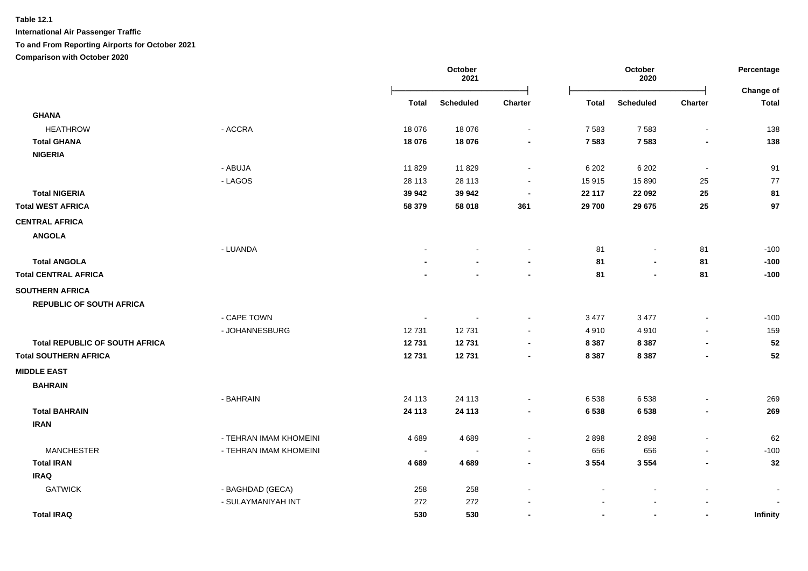**International Air Passenger Traffic**

**To and From Reporting Airports for October 2021**

**Comparison with October 2020**

|                                       |                        | October<br>October<br>2021<br>2020 |                  |                | Percentage<br>Change of |                  |                          |                 |
|---------------------------------------|------------------------|------------------------------------|------------------|----------------|-------------------------|------------------|--------------------------|-----------------|
|                                       |                        | <b>Total</b>                       | <b>Scheduled</b> | Charter        | <b>Total</b>            | <b>Scheduled</b> | Charter                  | <b>Total</b>    |
| <b>GHANA</b>                          |                        |                                    |                  |                |                         |                  |                          |                 |
| <b>HEATHROW</b>                       | - ACCRA                | 18 0 76                            | 18 0 76          | $\sim$         | 7 5 8 3                 | 7583             | $\blacksquare$           | 138             |
| <b>Total GHANA</b>                    |                        | 18 076                             | 18 076           |                | 7 5 8 3                 | 7583             |                          | 138             |
| <b>NIGERIA</b>                        |                        |                                    |                  |                |                         |                  |                          |                 |
|                                       | - ABUJA                | 11829                              | 11829            |                | 6 20 2                  | 6 20 2           | $\blacksquare$           | 91              |
|                                       | - LAGOS                | 28 113                             | 28 113           |                | 15 915                  | 15 8 90          | 25                       | 77              |
| <b>Total NIGERIA</b>                  |                        | 39 942                             | 39 942           |                | 22 117                  | 22 092           | 25                       | 81              |
| <b>Total WEST AFRICA</b>              |                        | 58 379                             | 58 018           | 361            | 29 700                  | 29 675           | 25                       | 97              |
| <b>CENTRAL AFRICA</b>                 |                        |                                    |                  |                |                         |                  |                          |                 |
| <b>ANGOLA</b>                         |                        |                                    |                  |                |                         |                  |                          |                 |
|                                       | - LUANDA               |                                    |                  |                | 81                      | $\blacksquare$   | 81                       | $-100$          |
| <b>Total ANGOLA</b>                   |                        |                                    |                  |                | 81                      |                  | 81                       | $-100$          |
| <b>Total CENTRAL AFRICA</b>           |                        |                                    |                  |                | 81                      | $\blacksquare$   | 81                       | $-100$          |
| <b>SOUTHERN AFRICA</b>                |                        |                                    |                  |                |                         |                  |                          |                 |
| <b>REPUBLIC OF SOUTH AFRICA</b>       |                        |                                    |                  |                |                         |                  |                          |                 |
|                                       | - CAPE TOWN            | $\blacksquare$                     |                  |                | 3 4 7 7                 | 3 4 7 7          |                          | $-100$          |
|                                       | - JOHANNESBURG         | 12731                              | 12731            |                | 4910                    | 4910             |                          | 159             |
| <b>Total REPUBLIC OF SOUTH AFRICA</b> |                        | 12731                              | 12731            |                | 8 3 8 7                 | 8 3 8 7          | $\overline{\phantom{0}}$ | 52              |
| <b>Total SOUTHERN AFRICA</b>          |                        | 12731                              | 12731            | $\blacksquare$ | 8 3 8 7                 | 8 3 8 7          | $\blacksquare$           | 52              |
| <b>MIDDLE EAST</b>                    |                        |                                    |                  |                |                         |                  |                          |                 |
| <b>BAHRAIN</b>                        |                        |                                    |                  |                |                         |                  |                          |                 |
|                                       | - BAHRAIN              | 24 113                             | 24 113           |                | 6538                    | 6538             |                          | 269             |
| <b>Total BAHRAIN</b>                  |                        | 24 113                             | 24 113           |                | 6 5 3 8                 | 6538             | $\overline{\phantom{0}}$ | 269             |
| <b>IRAN</b>                           |                        |                                    |                  |                |                         |                  |                          |                 |
|                                       | - TEHRAN IMAM KHOMEINI | 4689                               | 4689             |                | 2898                    | 2898             |                          | 62              |
| <b>MANCHESTER</b>                     | - TEHRAN IMAM KHOMEINI |                                    |                  |                | 656                     | 656              |                          | $-100$          |
| <b>Total IRAN</b>                     |                        | 4 6 8 9                            | 4689             |                | 3 5 5 4                 | 3 5 5 4          | $\overline{\phantom{0}}$ | 32              |
| <b>IRAQ</b>                           |                        |                                    |                  |                |                         |                  |                          |                 |
| <b>GATWICK</b>                        | - BAGHDAD (GECA)       | 258                                | 258              |                |                         |                  |                          |                 |
|                                       | - SULAYMANIYAH INT     | 272                                | 272              |                |                         |                  |                          |                 |
| <b>Total IRAQ</b>                     |                        | 530                                | 530              |                |                         | $\blacksquare$   | $\overline{\phantom{a}}$ | <b>Infinity</b> |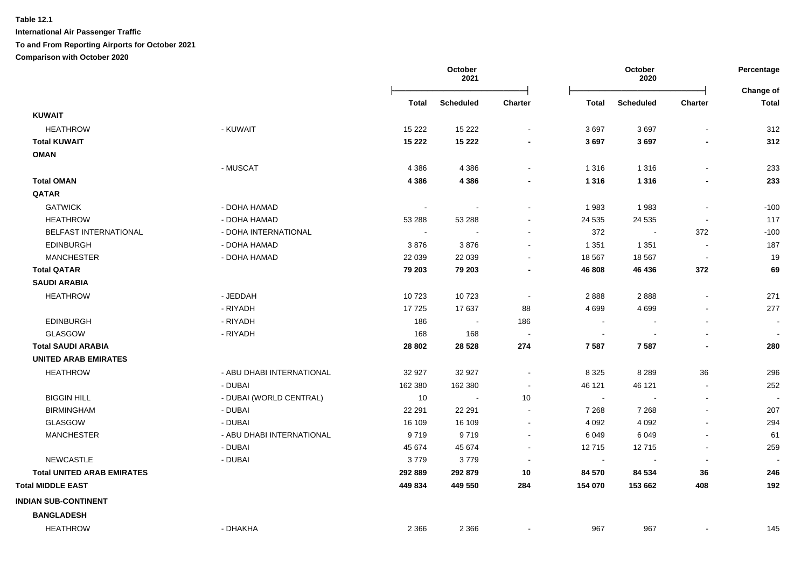|                                   |                           | October<br>2021          |                  |                          | October<br>2020 |                  | Percentage<br>Change of  |                          |
|-----------------------------------|---------------------------|--------------------------|------------------|--------------------------|-----------------|------------------|--------------------------|--------------------------|
|                                   |                           | Total                    | <b>Scheduled</b> | Charter                  | <b>Total</b>    | <b>Scheduled</b> | Charter                  | <b>Total</b>             |
| <b>KUWAIT</b>                     |                           |                          |                  |                          |                 |                  |                          |                          |
| <b>HEATHROW</b>                   | - KUWAIT                  | 15 2 22                  | 15 2 22          | $\sim$                   | 3697            | 3697             | $\blacksquare$           | 312                      |
| <b>Total KUWAIT</b>               |                           | 15 222                   | 15 2 22          | $\blacksquare$           | 3697            | 3697             | $\blacksquare$           | 312                      |
| <b>OMAN</b>                       |                           |                          |                  |                          |                 |                  |                          |                          |
|                                   | - MUSCAT                  | 4 3 8 6                  | 4 3 8 6          |                          | 1 3 1 6         | 1 3 1 6          |                          | 233                      |
| <b>Total OMAN</b>                 |                           | 4 3 8 6                  | 4 3 8 6          |                          | 1 3 1 6         | 1 3 1 6          |                          | 233                      |
| QATAR                             |                           |                          |                  |                          |                 |                  |                          |                          |
| <b>GATWICK</b>                    | - DOHA HAMAD              | $\overline{\phantom{a}}$ |                  | $\blacksquare$           | 1983            | 1983             | $\blacksquare$           | $-100$                   |
| <b>HEATHROW</b>                   | - DOHA HAMAD              | 53 288                   | 53 288           |                          | 24 5 35         | 24 5 35          |                          | 117                      |
| <b>BELFAST INTERNATIONAL</b>      | - DOHA INTERNATIONAL      | $\sim$                   |                  |                          | 372             | $\sim$           | 372                      | $-100$                   |
| <b>EDINBURGH</b>                  | - DOHA HAMAD              | 3876                     | 3876             |                          | 1 3 5 1         | 1 3 5 1          |                          | 187                      |
| <b>MANCHESTER</b>                 | - DOHA HAMAD              | 22 039                   | 22 039           | $\blacksquare$           | 18 5 67         | 18 5 67          | $\blacksquare$           | 19                       |
| <b>Total QATAR</b>                |                           | 79 203                   | 79 203           |                          | 46 808          | 46 436           | 372                      | 69                       |
| <b>SAUDI ARABIA</b>               |                           |                          |                  |                          |                 |                  |                          |                          |
| <b>HEATHROW</b>                   | - JEDDAH                  | 10723                    | 10723            | $\sim$                   | 2888            | 2888             | $\blacksquare$           | 271                      |
|                                   | - RIYADH                  | 17725                    | 17637            | 88                       | 4 6 9 9         | 4 6 9 9          |                          | 277                      |
| <b>EDINBURGH</b>                  | - RIYADH                  | 186                      | $\sim$           | 186                      | $\sim$          |                  |                          | $\overline{\phantom{a}}$ |
| <b>GLASGOW</b>                    | - RIYADH                  | 168                      | 168              | $\overline{\phantom{a}}$ | $\sim$          |                  | $\sim$                   | $\sim$                   |
| <b>Total SAUDI ARABIA</b>         |                           | 28 802                   | 28 5 28          | 274                      | 7 5 8 7         | 7587             | $\blacksquare$           | 280                      |
| <b>UNITED ARAB EMIRATES</b>       |                           |                          |                  |                          |                 |                  |                          |                          |
| <b>HEATHROW</b>                   | - ABU DHABI INTERNATIONAL | 32 927                   | 32 927           | $\blacksquare$           | 8 3 2 5         | 8 2 8 9          | 36                       | 296                      |
|                                   | - DUBAI                   | 162 380                  | 162 380          | $\blacksquare$           | 46 121          | 46 121           | $\sim$                   | 252                      |
| <b>BIGGIN HILL</b>                | - DUBAI (WORLD CENTRAL)   | 10                       | $\blacksquare$   | 10                       | $\sim$          |                  | $\blacksquare$           |                          |
| <b>BIRMINGHAM</b>                 | - DUBAI                   | 22 291                   | 22 291           | $\sim$                   | 7 2 6 8         | 7 2 6 8          | $\overline{\phantom{a}}$ | 207                      |
| <b>GLASGOW</b>                    | - DUBAI                   | 16 109                   | 16 109           | $\overline{\phantom{a}}$ | 4 0 9 2         | 4 0 9 2          |                          | 294                      |
| <b>MANCHESTER</b>                 | - ABU DHABI INTERNATIONAL | 9719                     | 9719             | $\sim$                   | 6 0 4 9         | 6049             |                          | 61                       |
|                                   | - DUBAI                   | 45 674                   | 45 674           | $\blacksquare$           | 12715           | 12715            | $\sim$                   | 259                      |
| <b>NEWCASTLE</b>                  | - DUBAI                   | 3779                     | 3779             |                          | $\blacksquare$  |                  | $\blacksquare$           |                          |
| <b>Total UNITED ARAB EMIRATES</b> |                           | 292 889                  | 292 879          | 10                       | 84 570          | 84 534           | 36                       | 246                      |
| <b>Total MIDDLE EAST</b>          |                           | 449 834                  | 449 550          | 284                      | 154 070         | 153 662          | 408                      | 192                      |
| <b>INDIAN SUB-CONTINENT</b>       |                           |                          |                  |                          |                 |                  |                          |                          |
| <b>BANGLADESH</b>                 |                           |                          |                  |                          |                 |                  |                          |                          |
| <b>HEATHROW</b>                   | - DHAKHA                  | 2 3 6 6                  | 2 3 6 6          | $\blacksquare$           | 967             | 967              | $\blacksquare$           | 145                      |
|                                   |                           |                          |                  |                          |                 |                  |                          |                          |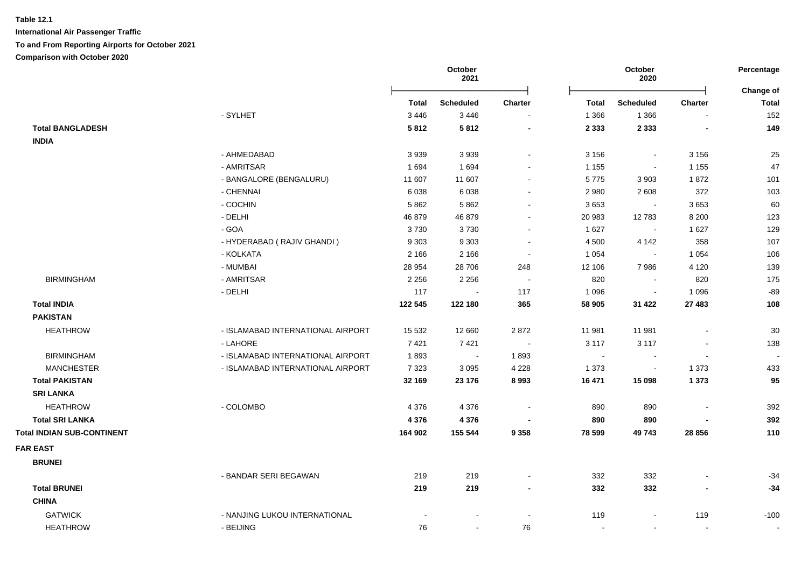**International Air Passenger Traffic**

**To and From Reporting Airports for October 2021**

**Comparison with October 2020**

|                                   |                                   | October<br>2021 |                  |                          | October<br>2020 |                          |                          |                           |
|-----------------------------------|-----------------------------------|-----------------|------------------|--------------------------|-----------------|--------------------------|--------------------------|---------------------------|
|                                   |                                   | Total           | <b>Scheduled</b> | <b>Charter</b>           | Total           | <b>Scheduled</b>         | <b>Charter</b>           | Change of<br><b>Total</b> |
|                                   | - SYLHET                          | 3 4 4 6         | 3 4 4 6          | $\sim$                   | 1 3 6 6         | 1 3 6 6                  |                          | 152                       |
| <b>Total BANGLADESH</b>           |                                   | 5812            | 5812             | $\overline{\phantom{a}}$ | 2 3 3 3         | 2 3 3 3                  | $\overline{\phantom{a}}$ | 149                       |
| <b>INDIA</b>                      |                                   |                 |                  |                          |                 |                          |                          |                           |
|                                   | - AHMEDABAD                       | 3939            | 3 9 3 9          | $\sim$                   | 3 1 5 6         | $\sim$                   | 3 1 5 6                  | 25                        |
|                                   | - AMRITSAR                        | 1694            | 1694             |                          | 1 1 5 5         | $\blacksquare$           | 1 1 5 5                  | 47                        |
|                                   | - BANGALORE (BENGALURU)           | 11 607          | 11 607           |                          | 5775            | 3 9 0 3                  | 1872                     | 101                       |
|                                   | - CHENNAI                         | 6038            | 6038             |                          | 2 9 8 0         | 2608                     | 372                      | 103                       |
|                                   | - COCHIN                          | 5 8 6 2         | 5862             | $\blacksquare$           | 3653            | $\blacksquare$           | 3653                     | 60                        |
|                                   | - DELHI                           | 46 879          | 46 879           | $\blacksquare$           | 20 983          | 12783                    | 8 2 0 0                  | 123                       |
|                                   | - GOA                             | 3730            | 3730             | $\blacksquare$           | 1 6 2 7         | $\sim$                   | 1627                     | 129                       |
|                                   | - HYDERABAD (RAJIV GHANDI)        | 9 3 0 3         | 9 3 0 3          | $\sim$                   | 4 500           | 4 1 4 2                  | 358                      | 107                       |
|                                   | - KOLKATA                         | 2 1 6 6         | 2 1 6 6          | $\sim$                   | 1 0 5 4         | $\overline{\phantom{a}}$ | 1 0 5 4                  | 106                       |
|                                   | - MUMBAI                          | 28 954          | 28 706           | 248                      | 12 106          | 7986                     | 4 1 2 0                  | 139                       |
| <b>BIRMINGHAM</b>                 | - AMRITSAR                        | 2 2 5 6         | 2 2 5 6          | $\sim$                   | 820             | $\sim$                   | 820                      | 175                       |
|                                   | - DELHI                           | 117             |                  | 117                      | 1 0 9 6         | $\overline{\phantom{a}}$ | 1 0 9 6                  | $-89$                     |
| <b>Total INDIA</b>                |                                   | 122 545         | 122 180          | 365                      | 58 905          | 31 4 22                  | 27 483                   | 108                       |
| <b>PAKISTAN</b>                   |                                   |                 |                  |                          |                 |                          |                          |                           |
| <b>HEATHROW</b>                   | - ISLAMABAD INTERNATIONAL AIRPORT | 15 5 32         | 12 660           | 2872                     | 11 981          | 11 981                   |                          | 30                        |
|                                   | - LAHORE                          | 7421            | 7421             | $\sim$                   | 3 1 1 7         | 3 1 1 7                  |                          | 138                       |
| <b>BIRMINGHAM</b>                 | - ISLAMABAD INTERNATIONAL AIRPORT | 1893            | $\sim$           | 1893                     | $\sim$          | $\blacksquare$           | $\blacksquare$           |                           |
| <b>MANCHESTER</b>                 | - ISLAMABAD INTERNATIONAL AIRPORT | 7 3 2 3         | 3 0 9 5          | 4 2 2 8                  | 1 3 7 3         | $\blacksquare$           | 1 3 7 3                  | 433                       |
| <b>Total PAKISTAN</b>             |                                   | 32 169          | 23 176           | 8 9 9 3                  | 16 471          | 15 098                   | 1 3 7 3                  | 95                        |
| <b>SRI LANKA</b>                  |                                   |                 |                  |                          |                 |                          |                          |                           |
| <b>HEATHROW</b>                   | - COLOMBO                         | 4 3 7 6         | 4 3 7 6          | $\sim$                   | 890             | 890                      |                          | 392                       |
| <b>Total SRI LANKA</b>            |                                   | 4 3 7 6         | 4 3 7 6          | $\blacksquare$           | 890             | 890                      |                          | 392                       |
| <b>Total INDIAN SUB-CONTINENT</b> |                                   | 164 902         | 155 544          | 9 3 5 8                  | 78 599          | 49743                    | 28 8 56                  | 110                       |
| <b>FAR EAST</b>                   |                                   |                 |                  |                          |                 |                          |                          |                           |
| <b>BRUNEI</b>                     |                                   |                 |                  |                          |                 |                          |                          |                           |
|                                   |                                   |                 |                  |                          |                 |                          |                          |                           |
| <b>Total BRUNEI</b>               | - BANDAR SERI BEGAWAN             | 219             | 219              |                          | 332             | 332                      |                          | $-34$                     |
|                                   |                                   | 219             | 219              | $\overline{\phantom{a}}$ | 332             | 332                      |                          | $-34$                     |
| <b>CHINA</b>                      |                                   |                 |                  |                          |                 |                          |                          |                           |
| <b>GATWICK</b>                    | - NANJING LUKOU INTERNATIONAL     |                 |                  | $\sim$                   | 119             | $\blacksquare$           | 119                      | $-100$                    |
| <b>HEATHROW</b>                   | - BEIJING                         | 76              | $\sim$           | 76                       | $\sim$          | $\sim$                   | $\blacksquare$           |                           |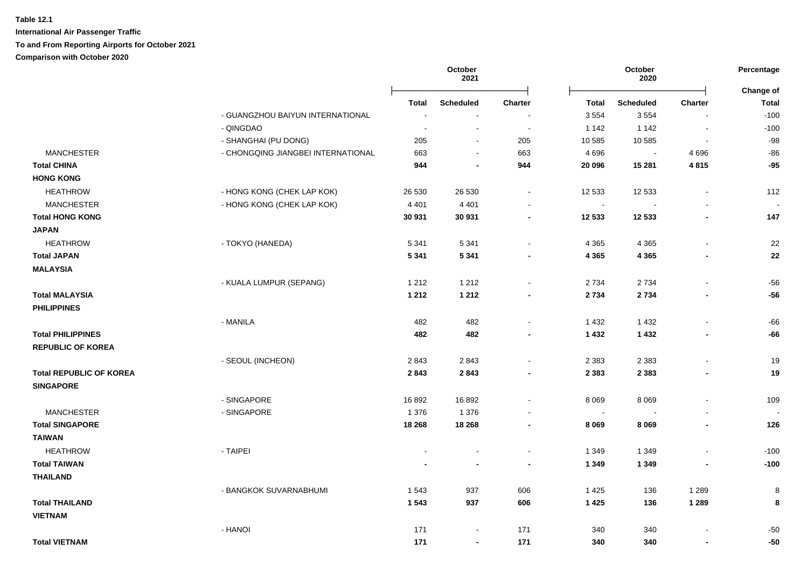|                                |                                    | October<br>2021          |                          |                          | October<br>2020 |                  |                          |                           |
|--------------------------------|------------------------------------|--------------------------|--------------------------|--------------------------|-----------------|------------------|--------------------------|---------------------------|
|                                |                                    | Total                    | <b>Scheduled</b>         | Charter                  | <b>Total</b>    | <b>Scheduled</b> | <b>Charter</b>           | Change of<br><b>Total</b> |
|                                | - GUANGZHOU BAIYUN INTERNATIONAL   | $\overline{\phantom{a}}$ | $\sim$                   |                          | 3 5 5 4         | 3554             | $\overline{\phantom{a}}$ | $-100$                    |
|                                | - QINGDAO                          | $\overline{\phantom{a}}$ | $\overline{\phantom{a}}$ | $\sim$                   | 1 1 4 2         | 1 1 4 2          | $\blacksquare$           | $-100$                    |
|                                | - SHANGHAI (PU DONG)               | 205                      | $\sim$                   | 205                      | 10 585          | 10 585           | $\sim$                   | $-98$                     |
| <b>MANCHESTER</b>              | - CHONGQING JIANGBEI INTERNATIONAL | 663                      | $\sim$                   | 663                      | 4696            | $\sim$           | 4696                     | $-86$                     |
| <b>Total CHINA</b>             |                                    | 944                      | $\blacksquare$           | 944                      | 20 096          | 15 281           | 4815                     | $-95$                     |
| <b>HONG KONG</b>               |                                    |                          |                          |                          |                 |                  |                          |                           |
| <b>HEATHROW</b>                | - HONG KONG (CHEK LAP KOK)         | 26 530                   | 26 530                   | $\sim$                   | 12 533          | 12 533           | $\blacksquare$           | 112                       |
| <b>MANCHESTER</b>              | - HONG KONG (CHEK LAP KOK)         | 4 4 0 1                  | 4 4 0 1                  |                          | $\sim$          |                  |                          |                           |
| <b>Total HONG KONG</b>         |                                    | 30 931                   | 30 931                   | $\overline{\phantom{a}}$ | 12 533          | 12 533           | $\blacksquare$           | 147                       |
| <b>JAPAN</b>                   |                                    |                          |                          |                          |                 |                  |                          |                           |
| <b>HEATHROW</b>                | - TOKYO (HANEDA)                   | 5 3 4 1                  | 5 3 4 1                  | $\blacksquare$           | 4 3 6 5         | 4 3 6 5          |                          | 22                        |
| <b>Total JAPAN</b>             |                                    | 5 3 4 1                  | 5 3 4 1                  | $\blacksquare$           | 4 3 6 5         | 4 3 6 5          |                          | 22                        |
| <b>MALAYSIA</b>                |                                    |                          |                          |                          |                 |                  |                          |                           |
|                                | - KUALA LUMPUR (SEPANG)            | 1 2 1 2                  | 1 2 1 2                  | $\sim$                   | 2 7 3 4         | 2 7 3 4          | $\blacksquare$           | $-56$                     |
| <b>Total MALAYSIA</b>          |                                    | 1 2 1 2                  | 1 2 1 2                  | $\blacksquare$           | 2 7 3 4         | 2 7 3 4          | $\blacksquare$           | $-56$                     |
| <b>PHILIPPINES</b>             |                                    |                          |                          |                          |                 |                  |                          |                           |
|                                | - MANILA                           | 482                      | 482                      | $\sim$                   | 1 4 3 2         | 1 4 3 2          | $\mathbf{r}$             | -66                       |
| <b>Total PHILIPPINES</b>       |                                    | 482                      | 482                      | $\overline{\phantom{a}}$ | 1 4 3 2         | 1432             | $\blacksquare$           | $-66$                     |
| <b>REPUBLIC OF KOREA</b>       |                                    |                          |                          |                          |                 |                  |                          |                           |
|                                | - SEOUL (INCHEON)                  | 2843                     | 2843                     | $\overline{\phantom{a}}$ | 2 3 8 3         | 2 3 8 3          | $\overline{a}$           | 19                        |
| <b>Total REPUBLIC OF KOREA</b> |                                    | 2843                     | 2843                     | $\blacksquare$           | 2 3 8 3         | 2 3 8 3          | $\overline{\phantom{a}}$ | 19                        |
| <b>SINGAPORE</b>               |                                    |                          |                          |                          |                 |                  |                          |                           |
|                                | - SINGAPORE                        | 16892                    | 16892                    |                          | 8 0 6 9         | 8 0 6 9          | $\blacksquare$           | 109                       |
| <b>MANCHESTER</b>              | - SINGAPORE                        | 1 3 7 6                  | 1 3 7 6                  |                          | $\sim$          |                  |                          |                           |
| <b>Total SINGAPORE</b>         |                                    | 18 268                   | 18 268                   | $\blacksquare$           | 8 0 6 9         | 8 0 6 9          | $\blacksquare$           | 126                       |
| <b>TAIWAN</b>                  |                                    |                          |                          |                          |                 |                  |                          |                           |
| <b>HEATHROW</b>                | - TAIPEI                           |                          |                          |                          | 1 3 4 9         | 1 3 4 9          |                          | $-100$                    |
| <b>Total TAIWAN</b>            |                                    |                          | $\blacksquare$           | $\overline{\phantom{a}}$ | 1 3 4 9         | 1 3 4 9          | $\blacksquare$           | $-100$                    |
| <b>THAILAND</b>                |                                    |                          |                          |                          |                 |                  |                          |                           |
|                                | - BANGKOK SUVARNABHUMI             | 1 5 4 3                  | 937                      | 606                      | 1425            | 136              | 1 2 8 9                  | 8                         |
| <b>Total THAILAND</b>          |                                    | 1543                     | 937                      | 606                      | 1 4 2 5         | 136              | 1 2 8 9                  | 8                         |
| <b>VIETNAM</b>                 |                                    |                          |                          |                          |                 |                  |                          |                           |
|                                | - HANOI                            | 171                      | $\blacksquare$           | 171                      | 340             | 340              |                          | $-50$                     |
| <b>Total VIETNAM</b>           |                                    | 171                      | $\blacksquare$           | 171                      | 340             | 340              | $\blacksquare$           | $-50$                     |
|                                |                                    |                          |                          |                          |                 |                  |                          |                           |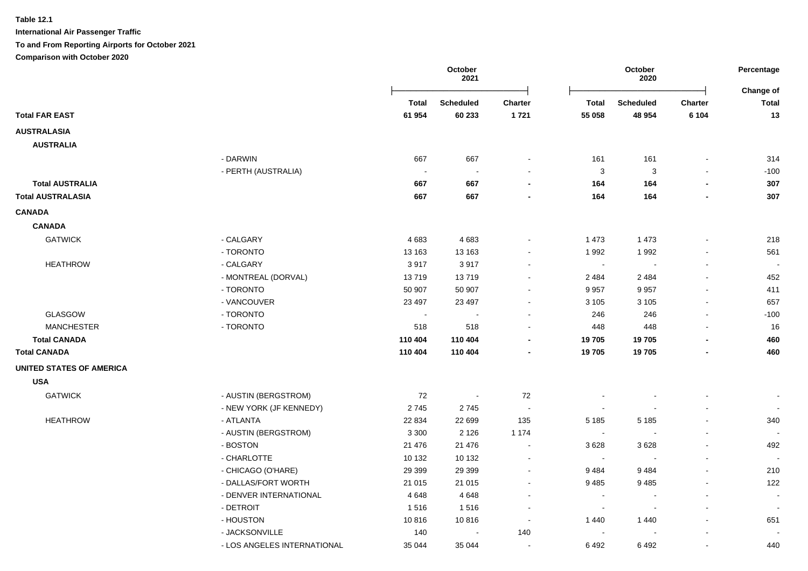|                                 |                             |                | October<br>2021  |                          | October<br>2020 |                  | Percentage<br><b>Change of</b> |                          |
|---------------------------------|-----------------------------|----------------|------------------|--------------------------|-----------------|------------------|--------------------------------|--------------------------|
|                                 |                             | <b>Total</b>   | <b>Scheduled</b> | Charter                  | <b>Total</b>    | <b>Scheduled</b> | <b>Charter</b>                 | <b>Total</b>             |
| <b>Total FAR EAST</b>           |                             | 61 954         | 60 233           | 1721                     | 55 058          | 48 954           | 6 1 0 4                        | 13                       |
| <b>AUSTRALASIA</b>              |                             |                |                  |                          |                 |                  |                                |                          |
| <b>AUSTRALIA</b>                |                             |                |                  |                          |                 |                  |                                |                          |
|                                 | - DARWIN                    | 667            | 667              |                          | 161             | 161              |                                | 314                      |
|                                 | - PERTH (AUSTRALIA)         |                | $\sim$           |                          | 3               | 3                |                                | $-100$                   |
| <b>Total AUSTRALIA</b>          |                             | 667            | 667              | $\blacksquare$           | 164             | 164              |                                | 307                      |
| <b>Total AUSTRALASIA</b>        |                             | 667            | 667              | $\blacksquare$           | 164             | 164              |                                | 307                      |
| <b>CANADA</b>                   |                             |                |                  |                          |                 |                  |                                |                          |
| <b>CANADA</b>                   |                             |                |                  |                          |                 |                  |                                |                          |
| <b>GATWICK</b>                  | - CALGARY                   | 4683           | 4683             |                          | 1 4 7 3         | 1 4 7 3          |                                | 218                      |
|                                 | - TORONTO                   | 13 163         | 13 163           |                          | 1992            | 1992             |                                | 561                      |
| <b>HEATHROW</b>                 | - CALGARY                   | 3917           | 3917             | ۰                        | $\blacksquare$  | $\blacksquare$   | $\blacksquare$                 | $\sim$                   |
|                                 | - MONTREAL (DORVAL)         | 13719          | 13719            | ۰                        | 2 4 8 4         | 2 4 8 4          |                                | 452                      |
|                                 | - TORONTO                   | 50 907         | 50 907           | $\blacksquare$           | 9 9 5 7         | 9957             |                                | 411                      |
|                                 | - VANCOUVER                 | 23 4 9 7       | 23 4 9 7         | $\blacksquare$           | 3 1 0 5         | 3 1 0 5          | $\blacksquare$                 | 657                      |
| <b>GLASGOW</b>                  | - TORONTO                   | $\blacksquare$ |                  |                          | 246             | 246              | $\blacksquare$                 | $-100$                   |
| <b>MANCHESTER</b>               | - TORONTO                   | 518            | 518              |                          | 448             | 448              |                                | 16                       |
| <b>Total CANADA</b>             |                             | 110 404        | 110 404          | $\blacksquare$           | 19 705          | 19705            |                                | 460                      |
| <b>Total CANADA</b>             |                             | 110 404        | 110 404          | ٠                        | 19705           | 19705            |                                | 460                      |
| <b>UNITED STATES OF AMERICA</b> |                             |                |                  |                          |                 |                  |                                |                          |
| <b>USA</b>                      |                             |                |                  |                          |                 |                  |                                |                          |
| <b>GATWICK</b>                  | - AUSTIN (BERGSTROM)        | 72             | $\blacksquare$   | 72                       |                 |                  |                                |                          |
|                                 | - NEW YORK (JF KENNEDY)     | 2745           | 2745             | $\blacksquare$           |                 |                  |                                |                          |
| <b>HEATHROW</b>                 | - ATLANTA                   | 22 834         | 22 699           | 135                      | 5 1 8 5         | 5 1 8 5          |                                | 340                      |
|                                 | - AUSTIN (BERGSTROM)        | 3 3 0 0        | 2 1 2 6          | 1 1 7 4                  |                 |                  |                                | $\sim$                   |
|                                 | - BOSTON                    | 21 476         | 21 476           | $\blacksquare$           | 3628            | 3628             | $\blacksquare$                 | 492                      |
|                                 | - CHARLOTTE                 | 10 132         | 10 132           | $\blacksquare$           |                 |                  |                                | $\overline{\phantom{a}}$ |
|                                 | - CHICAGO (O'HARE)          | 29 3 9 9       | 29 3 9 9         | ä,                       | 9484            | 9484             |                                | 210                      |
|                                 | - DALLAS/FORT WORTH         | 21 015         | 21 015           | $\blacksquare$           | 9485            | 9485             |                                | 122                      |
|                                 | - DENVER INTERNATIONAL      | 4648           | 4648             |                          |                 |                  |                                | $\sim$                   |
|                                 | - DETROIT                   | 1516           | 1516             | $\overline{a}$           | $\sim$          |                  |                                | $\overline{\phantom{a}}$ |
|                                 | - HOUSTON                   | 10816          | 10816            | $\ddot{\phantom{0}}$     | 1440            | 1440             | $\blacksquare$                 | 651                      |
|                                 | - JACKSONVILLE              | 140            | $\blacksquare$   | 140                      |                 |                  |                                |                          |
|                                 | - LOS ANGELES INTERNATIONAL | 35 044         | 35 044           | $\overline{\phantom{a}}$ | 6492            | 6492             |                                | 440                      |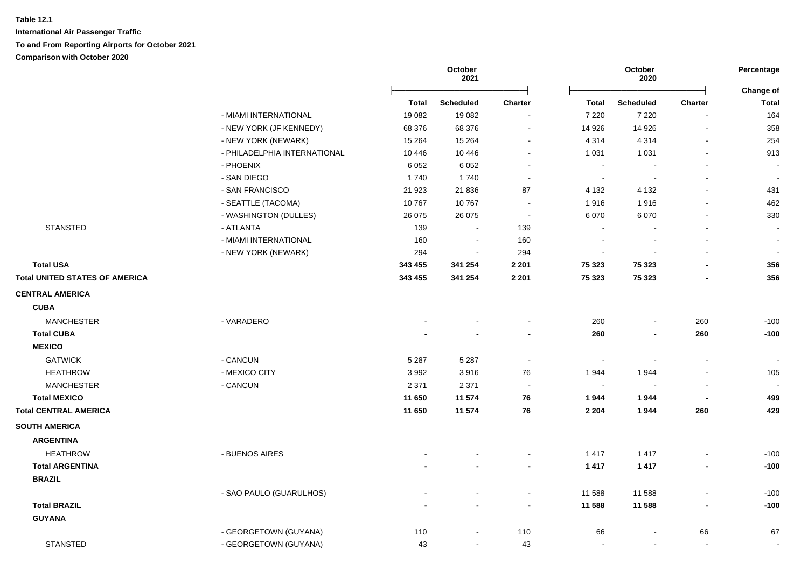|                                       |                              |         | October<br>2021 |                          |                | October<br>2020 |                          | Percentage<br>Change of  |
|---------------------------------------|------------------------------|---------|-----------------|--------------------------|----------------|-----------------|--------------------------|--------------------------|
|                                       |                              | Total   | Scheduled       | <b>Charter</b>           | <b>Total</b>   | Scheduled       | <b>Charter</b>           | <b>Total</b>             |
|                                       | - MIAMI INTERNATIONAL        | 19 082  | 19 082          |                          | 7 2 2 0        | 7 2 2 0         |                          | 164                      |
|                                       | - NEW YORK (JF KENNEDY)      | 68 376  | 68 376          | $\blacksquare$           | 14 9 26        | 14 9 26         | $\overline{\phantom{a}}$ | 358                      |
|                                       | - NEW YORK (NEWARK)          | 15 2 64 | 15 2 64         | $\blacksquare$           | 4 3 1 4        | 4 3 1 4         | $\blacksquare$           | 254                      |
|                                       | - PHILADELPHIA INTERNATIONAL | 10 4 46 | 10 4 46         |                          | 1 0 3 1        | 1 0 3 1         |                          | 913                      |
|                                       | - PHOENIX                    | 6 0 5 2 | 6 0 5 2         |                          | $\blacksquare$ |                 |                          |                          |
|                                       | - SAN DIEGO                  | 1740    | 1740            |                          | $\sim$         |                 |                          |                          |
|                                       | - SAN FRANCISCO              | 21 9 23 | 21 836          | 87                       | 4 1 3 2        | 4 1 3 2         |                          | 431                      |
|                                       | - SEATTLE (TACOMA)           | 10767   | 10767           | $\sim$                   | 1916           | 1916            |                          | 462                      |
|                                       | - WASHINGTON (DULLES)        | 26 0 75 | 26 075          | $\sim$                   | 6 0 7 0        | 6070            |                          | 330                      |
| <b>STANSTED</b>                       | - ATLANTA                    | 139     | $\sim$          | 139                      | $\sim$         |                 | $\sim$                   |                          |
|                                       | - MIAMI INTERNATIONAL        | 160     | $\sim$          | 160                      | $\blacksquare$ |                 |                          |                          |
|                                       | - NEW YORK (NEWARK)          | 294     | $\sim$          | 294                      | $\blacksquare$ |                 |                          |                          |
| <b>Total USA</b>                      |                              | 343 455 | 341 254         | 2 2 0 1                  | 75 323         | 75 323          |                          | 356                      |
| <b>Total UNITED STATES OF AMERICA</b> |                              | 343 455 | 341 254         | 2 2 0 1                  | 75 323         | 75 323          |                          | 356                      |
| <b>CENTRAL AMERICA</b>                |                              |         |                 |                          |                |                 |                          |                          |
| <b>CUBA</b>                           |                              |         |                 |                          |                |                 |                          |                          |
| <b>MANCHESTER</b>                     | - VARADERO                   |         |                 | $\blacksquare$           | 260            |                 | 260                      | $-100$                   |
| <b>Total CUBA</b>                     |                              |         |                 | $\overline{\phantom{a}}$ | 260            | $\blacksquare$  | 260                      | $-100$                   |
| <b>MEXICO</b>                         |                              |         |                 |                          |                |                 |                          |                          |
| <b>GATWICK</b>                        | - CANCUN                     | 5 2 8 7 | 5 2 8 7         | $\blacksquare$           | $\sim$         | $\sim$          | $\sim$                   | $\overline{\phantom{a}}$ |
| <b>HEATHROW</b>                       | - MEXICO CITY                | 3992    | 3916            | 76                       | 1944           | 1944            |                          | 105                      |
| <b>MANCHESTER</b>                     | - CANCUN                     | 2 3 7 1 | 2 3 7 1         | $\blacksquare$           | $\sim$         |                 |                          |                          |
| <b>Total MEXICO</b>                   |                              | 11 650  | 11 574          | 76                       | 1944           | 1944            |                          | 499                      |
| <b>Total CENTRAL AMERICA</b>          |                              | 11 650  | 11 574          | 76                       | 2 2 0 4        | 1944            | 260                      | 429                      |
| <b>SOUTH AMERICA</b>                  |                              |         |                 |                          |                |                 |                          |                          |
| <b>ARGENTINA</b>                      |                              |         |                 |                          |                |                 |                          |                          |
| <b>HEATHROW</b>                       | - BUENOS AIRES               |         |                 |                          | 1 4 1 7        | 1 4 1 7         |                          | $-100$                   |
| <b>Total ARGENTINA</b>                |                              |         |                 | $\blacksquare$           | 1417           | 1 4 1 7         | $\overline{\phantom{a}}$ | $-100$                   |
| <b>BRAZIL</b>                         |                              |         |                 |                          |                |                 |                          |                          |
|                                       | - SAO PAULO (GUARULHOS)      |         |                 | $\blacksquare$           | 11 588         | 11 588          |                          | $-100$                   |
| <b>Total BRAZIL</b>                   |                              |         |                 | $\overline{\phantom{a}}$ | 11 588         | 11 588          |                          | $-100$                   |
| <b>GUYANA</b>                         |                              |         |                 |                          |                |                 |                          |                          |
|                                       | - GEORGETOWN (GUYANA)        | 110     | $\sim$          | 110                      | 66             |                 | 66                       | 67                       |
| <b>STANSTED</b>                       | - GEORGETOWN (GUYANA)        | 43      | $\sim$          | 43                       | $\sim$         | $\sim$          | $\sim$                   | $\blacksquare$           |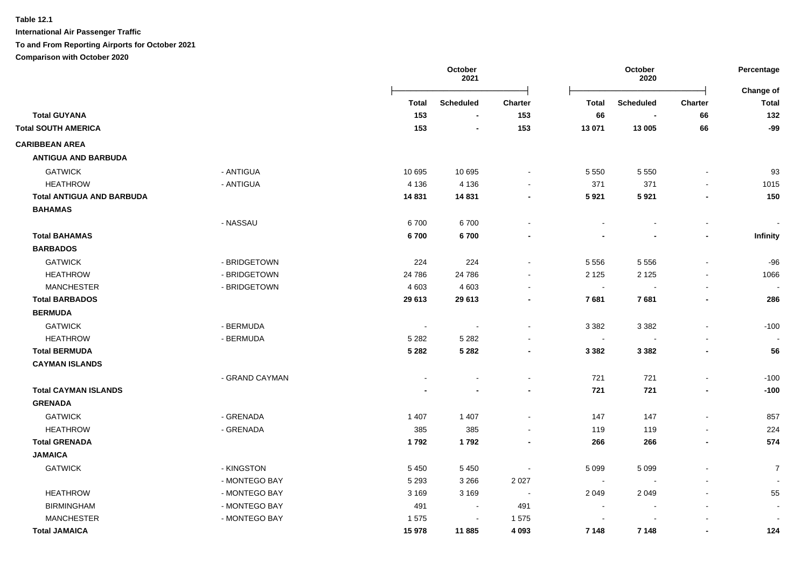|                                  |                |                | October<br>2021  |                          | October<br>2020          |                  |                          | Percentage<br>Change of  |
|----------------------------------|----------------|----------------|------------------|--------------------------|--------------------------|------------------|--------------------------|--------------------------|
|                                  |                | Total          | <b>Scheduled</b> | <b>Charter</b>           | <b>Total</b>             | <b>Scheduled</b> | <b>Charter</b>           | <b>Total</b>             |
| <b>Total GUYANA</b>              |                | 153            | $\blacksquare$   | 153                      | 66                       | $\blacksquare$   | 66                       | 132                      |
| <b>Total SOUTH AMERICA</b>       |                | 153            | $\blacksquare$   | 153                      | 13 071                   | 13 005           | 66                       | $-99$                    |
| <b>CARIBBEAN AREA</b>            |                |                |                  |                          |                          |                  |                          |                          |
| <b>ANTIGUA AND BARBUDA</b>       |                |                |                  |                          |                          |                  |                          |                          |
| <b>GATWICK</b>                   | - ANTIGUA      | 10 695         | 10 695           | $\sim$                   | 5 5 5 0                  | 5 5 5 0          |                          | 93                       |
| <b>HEATHROW</b>                  | - ANTIGUA      | 4 1 3 6        | 4 1 3 6          |                          | 371                      | 371              |                          | 1015                     |
| <b>Total ANTIGUA AND BARBUDA</b> |                | 14831          | 14 831           | $\blacksquare$           | 5921                     | 5921             |                          | 150                      |
| <b>BAHAMAS</b>                   |                |                |                  |                          |                          |                  |                          |                          |
|                                  | - NASSAU       | 6700           | 6700             |                          |                          |                  |                          |                          |
| <b>Total BAHAMAS</b>             |                | 6700           | 6700             |                          |                          |                  |                          | Infinity                 |
| <b>BARBADOS</b>                  |                |                |                  |                          |                          |                  |                          |                          |
| <b>GATWICK</b>                   | - BRIDGETOWN   | 224            | 224              |                          | 5 5 5 6                  | 5 5 5 6          |                          | $-96$                    |
| <b>HEATHROW</b>                  | - BRIDGETOWN   | 24 786         | 24 786           |                          | 2 1 2 5                  | 2 1 2 5          |                          | 1066                     |
| <b>MANCHESTER</b>                | - BRIDGETOWN   | 4 6 0 3        | 4 6 0 3          |                          | $\sim$                   | $\sim$           |                          |                          |
| <b>Total BARBADOS</b>            |                | 29 613         | 29 613           | $\overline{\phantom{a}}$ | 7681                     | 7681             | $\overline{\phantom{a}}$ | 286                      |
| <b>BERMUDA</b>                   |                |                |                  |                          |                          |                  |                          |                          |
| <b>GATWICK</b>                   | - BERMUDA      | $\blacksquare$ | $\blacksquare$   | $\sim$                   | 3 3 8 2                  | 3 3 8 2          | $\sim$                   | $-100$                   |
| <b>HEATHROW</b>                  | - BERMUDA      | 5 2 8 2        | 5 2 8 2          |                          | $\blacksquare$           |                  |                          |                          |
| <b>Total BERMUDA</b>             |                | 5 2 8 2        | 5 2 8 2          |                          | 3 3 8 2                  | 3 3 8 2          |                          | 56                       |
| <b>CAYMAN ISLANDS</b>            |                |                |                  |                          |                          |                  |                          |                          |
|                                  | - GRAND CAYMAN |                |                  | $\sim$                   | 721                      | 721              | $\overline{\phantom{a}}$ | $-100$                   |
| <b>Total CAYMAN ISLANDS</b>      |                |                |                  | $\blacksquare$           | 721                      | 721              | $\blacksquare$           | $-100$                   |
| <b>GRENADA</b>                   |                |                |                  |                          |                          |                  |                          |                          |
| <b>GATWICK</b>                   | - GRENADA      | 1 4 0 7        | 1 4 0 7          |                          | 147                      | 147              |                          | 857                      |
| <b>HEATHROW</b>                  | - GRENADA      | 385            | 385              |                          | 119                      | 119              |                          | 224                      |
| <b>Total GRENADA</b>             |                | 1792           | 1792             | $\blacksquare$           | 266                      | 266              |                          | 574                      |
| <b>JAMAICA</b>                   |                |                |                  |                          |                          |                  |                          |                          |
| <b>GATWICK</b>                   | - KINGSTON     | 5 4 5 0        | 5 4 5 0          |                          | 5 0 9 9                  | 5 0 9 9          |                          | $\overline{7}$           |
|                                  | - MONTEGO BAY  | 5 2 9 3        | 3 2 6 6          | 2 0 2 7                  | $\sim$                   |                  |                          | $\overline{\phantom{a}}$ |
| <b>HEATHROW</b>                  | - MONTEGO BAY  | 3 1 6 9        | 3 1 6 9          | $\sim$                   | 2 0 4 9                  | 2 0 4 9          |                          | 55                       |
| <b>BIRMINGHAM</b>                | - MONTEGO BAY  | 491            | $\blacksquare$   | 491                      | $\overline{\phantom{a}}$ |                  |                          | $\blacksquare$           |
| <b>MANCHESTER</b>                | - MONTEGO BAY  | 1575           | $\blacksquare$   | 1575                     |                          |                  |                          |                          |
| <b>Total JAMAICA</b>             |                | 15978          | 11885            | 4 0 9 3                  | 7 1 4 8                  | 7 1 4 8          | $\blacksquare$           | 124                      |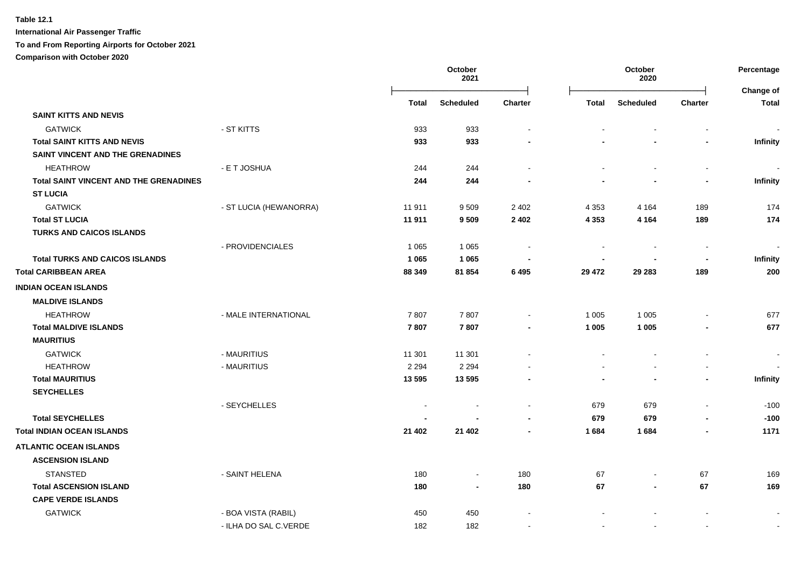**International Air Passenger Traffic**

### **To and From Reporting Airports for October 2021**

**Comparison with October 2020**

|                                               |                        | October<br>2021 |                | October<br>2020 |         |                  | Percentage<br>Change of |                 |
|-----------------------------------------------|------------------------|-----------------|----------------|-----------------|---------|------------------|-------------------------|-----------------|
|                                               |                        | Total           | Scheduled      | Charter         | Total   | <b>Scheduled</b> | <b>Charter</b>          | <b>Total</b>    |
| <b>SAINT KITTS AND NEVIS</b>                  |                        |                 |                |                 |         |                  |                         |                 |
| <b>GATWICK</b>                                | - ST KITTS             | 933             | 933            |                 |         |                  |                         |                 |
| <b>Total SAINT KITTS AND NEVIS</b>            |                        | 933             | 933            |                 |         |                  |                         | Infinity        |
| SAINT VINCENT AND THE GRENADINES              |                        |                 |                |                 |         |                  |                         |                 |
| <b>HEATHROW</b>                               | - E T JOSHUA           | 244             | 244            |                 |         |                  | $\blacksquare$          |                 |
| <b>Total SAINT VINCENT AND THE GRENADINES</b> |                        | 244             | 244            |                 |         |                  | $\blacksquare$          | <b>Infinity</b> |
| <b>ST LUCIA</b>                               |                        |                 |                |                 |         |                  |                         |                 |
| <b>GATWICK</b>                                | - ST LUCIA (HEWANORRA) | 11 911          | 9509           | 2 4 0 2         | 4 3 5 3 | 4 1 6 4          | 189                     | 174             |
| <b>Total ST LUCIA</b>                         |                        | 11 911          | 9509           | 2 4 0 2         | 4 3 5 3 | 4 1 6 4          | 189                     | 174             |
| <b>TURKS AND CAICOS ISLANDS</b>               |                        |                 |                |                 |         |                  |                         |                 |
|                                               | - PROVIDENCIALES       | 1 0 6 5         | 1 0 6 5        |                 |         |                  | $\overline{a}$          |                 |
| <b>Total TURKS AND CAICOS ISLANDS</b>         |                        | 1 0 6 5         | 1 0 6 5        |                 |         |                  | $\blacksquare$          | <b>Infinity</b> |
| <b>Total CARIBBEAN AREA</b>                   |                        | 88 349          | 81 854         | 6 4 9 5         | 29 472  | 29 283           | 189                     | 200             |
| <b>INDIAN OCEAN ISLANDS</b>                   |                        |                 |                |                 |         |                  |                         |                 |
| <b>MALDIVE ISLANDS</b>                        |                        |                 |                |                 |         |                  |                         |                 |
| <b>HEATHROW</b>                               | - MALE INTERNATIONAL   | 7807            | 7807           |                 | 1 0 0 5 | 1 0 0 5          |                         | 677             |
| <b>Total MALDIVE ISLANDS</b>                  |                        | 7807            | 7807           |                 | 1 0 0 5 | 1 0 0 5          |                         | 677             |
| <b>MAURITIUS</b>                              |                        |                 |                |                 |         |                  |                         |                 |
| <b>GATWICK</b>                                | - MAURITIUS            | 11 301          | 11 301         |                 |         |                  | L,                      |                 |
| <b>HEATHROW</b>                               | - MAURITIUS            | 2 2 9 4         | 2 2 9 4        |                 |         |                  | $\blacksquare$          |                 |
| <b>Total MAURITIUS</b>                        |                        | 13 5 95         | 13 5 95        |                 |         |                  | $\blacksquare$          | Infinity        |
| <b>SEYCHELLES</b>                             |                        |                 |                |                 |         |                  |                         |                 |
|                                               | - SEYCHELLES           |                 |                |                 | 679     | 679              | $\overline{a}$          | $-100$          |
| <b>Total SEYCHELLES</b>                       |                        |                 |                |                 | 679     | 679              |                         | $-100$          |
| <b>Total INDIAN OCEAN ISLANDS</b>             |                        | 21 402          | 21 402         |                 | 1684    | 1684             | $\blacksquare$          | 1171            |
| <b>ATLANTIC OCEAN ISLANDS</b>                 |                        |                 |                |                 |         |                  |                         |                 |
| <b>ASCENSION ISLAND</b>                       |                        |                 |                |                 |         |                  |                         |                 |
| <b>STANSTED</b>                               | - SAINT HELENA         | 180             | $\blacksquare$ | 180             | 67      |                  | 67                      | 169             |
| <b>Total ASCENSION ISLAND</b>                 |                        | 180             | $\blacksquare$ | 180             | 67      | $\blacksquare$   | 67                      | 169             |
| <b>CAPE VERDE ISLANDS</b>                     |                        |                 |                |                 |         |                  |                         |                 |
| <b>GATWICK</b>                                | - BOA VISTA (RABIL)    | 450             | 450            |                 |         |                  |                         |                 |
|                                               | - ILHA DO SAL C.VERDE  | 182             | 182            |                 |         |                  |                         | $\sim$          |